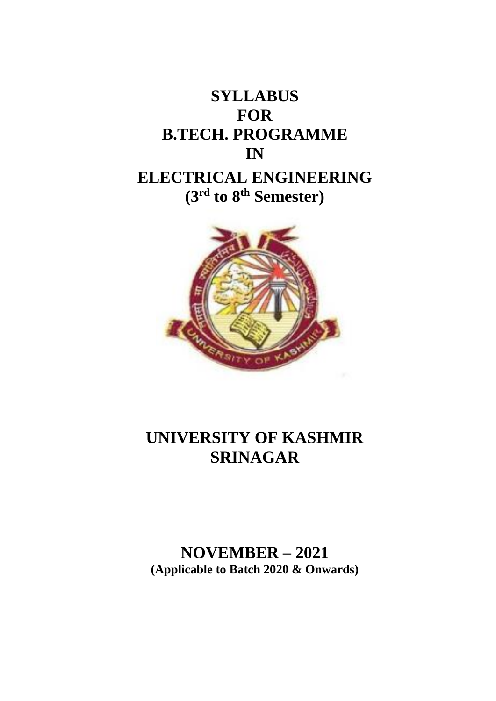



## **UNIVERSITY OF KASHMIR SRINAGAR**

### **NOVEMBER – 2021 (Applicable to Batch 2020 & Onwards)**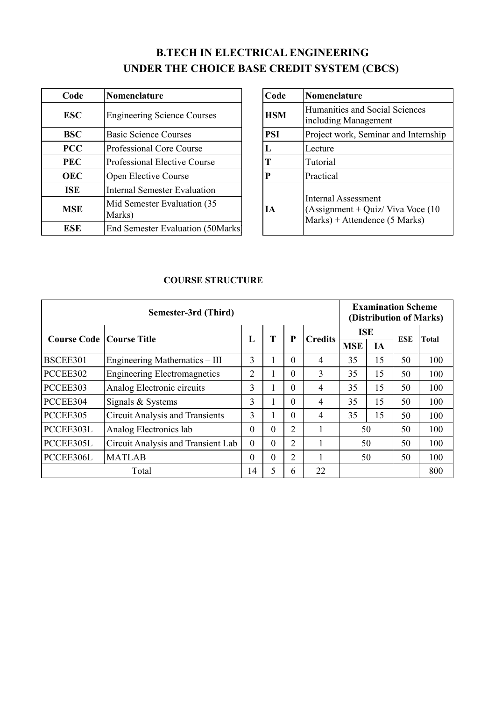### **B.TECH IN ELECTRICAL ENGINEERING UNDER THE CHOICE BASE CREDIT SYSTEM (CBCS)**

| Code       | Nomenclature                           | Code       | Nomenclature                                                                                    |  |  |
|------------|----------------------------------------|------------|-------------------------------------------------------------------------------------------------|--|--|
| <b>ESC</b> | <b>Engineering Science Courses</b>     | <b>HSM</b> | Humanities and Social Sciences<br>including Management                                          |  |  |
| <b>BSC</b> | <b>Basic Science Courses</b>           | <b>PSI</b> | Project work, Seminar and Intern                                                                |  |  |
| <b>PCC</b> | <b>Professional Core Course</b>        | L          | Lecture                                                                                         |  |  |
| <b>PEC</b> | <b>Professional Elective Course</b>    | T          | Tutorial                                                                                        |  |  |
| <b>OEC</b> | Open Elective Course                   | P          | Practical                                                                                       |  |  |
| <b>ISE</b> | <b>Internal Semester Evaluation</b>    |            |                                                                                                 |  |  |
| <b>MSE</b> | Mid Semester Evaluation (35)<br>Marks) | IА         | <b>Internal Assessment</b><br>(Assignment + Quiz/ Viva Voce (<br>$Marks$ + Attendence (5 Marks) |  |  |
| <b>ESE</b> | End Semester Evaluation (50Marks)      |            |                                                                                                 |  |  |

| Code       | Nomenclature                           | Code       | Nomenclature                                                                                          |  |  |
|------------|----------------------------------------|------------|-------------------------------------------------------------------------------------------------------|--|--|
| <b>ESC</b> | <b>Engineering Science Courses</b>     | <b>HSM</b> | Humanities and Social Sciences<br>including Management                                                |  |  |
| BSC        | <b>Basic Science Courses</b>           | <b>PSI</b> | Project work, Seminar and Internship                                                                  |  |  |
| <b>PCC</b> | Professional Core Course               | L          | Lecture                                                                                               |  |  |
| PEC        | <b>Professional Elective Course</b>    | T          | Tutorial                                                                                              |  |  |
| <b>OEC</b> | Open Elective Course                   | P          | Practical                                                                                             |  |  |
| <b>ISE</b> | <b>Internal Semester Evaluation</b>    |            |                                                                                                       |  |  |
| MSE        | Mid Semester Evaluation (35)<br>Marks) | <b>IA</b>  | <b>Internal Assessment</b><br>(Assignment + Quiz/ Viva Voce $(10$<br>$Marks$ ) + Attendence (5 Marks) |  |  |
| <b>ESE</b> | End Semester Evaluation (50Marks)      |            |                                                                                                       |  |  |

### **COURSE STRUCTURE**

|                                   | Semester-3rd (Third)                   |          |    |                |                |            |    |            | <b>Examination Scheme</b><br>(Distribution of Marks) |  |  |  |
|-----------------------------------|----------------------------------------|----------|----|----------------|----------------|------------|----|------------|------------------------------------------------------|--|--|--|
| <b>Course Code   Course Title</b> |                                        |          | T  | P              | <b>Credits</b> | <b>ISE</b> |    | <b>ESE</b> | <b>Total</b>                                         |  |  |  |
|                                   |                                        | L        |    |                |                | <b>MSE</b> | ĪА |            |                                                      |  |  |  |
| BSCEE301                          | Engineering Mathematics – III          | 3        | л. | $\Omega$       | $\overline{4}$ | 35         | 15 | 50         | 100                                                  |  |  |  |
| PCCEE302                          | <b>Engineering Electromagnetics</b>    | 2        |    | $\theta$       | 3              | 35         | 15 | 50         | 100                                                  |  |  |  |
| PCCEE303                          | Analog Electronic circuits             | 3        | л. | $\Omega$       | $\overline{4}$ | 35         | 15 | 50         | 100                                                  |  |  |  |
| PCCEE304                          | Signals & Systems                      | 3        | л. | $\Omega$       | 4              | 35         | 15 | 50         | 100                                                  |  |  |  |
| PCCEE305                          | <b>Circuit Analysis and Transients</b> | 3        |    | $\Omega$       | 4              | 35         | 15 | 50         | 100                                                  |  |  |  |
| PCCEE303L                         | Analog Electronics lab                 | $\theta$ | 0  | 2              |                | 50         |    | 50         | 100                                                  |  |  |  |
| PCCEE305L                         | Circuit Analysis and Transient Lab     | $\theta$ | 0  | $\overline{2}$ |                | 50         |    | 50         | 100                                                  |  |  |  |
| PCCEE306L                         | <b>MATLAB</b>                          | $\theta$ | 0  | 2              |                | 50         |    | 50         | 100                                                  |  |  |  |
|                                   | Total                                  | 14       | 5  | 6              | 22             |            |    |            | 800                                                  |  |  |  |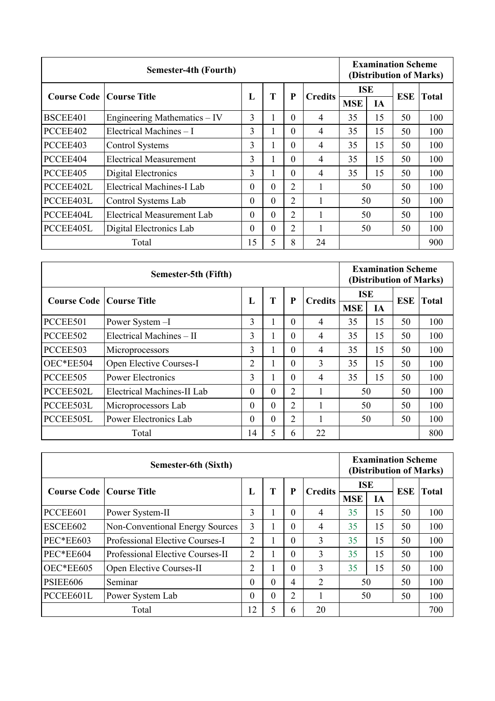|                                   | Semester-4th (Fourth)             |          |    |                |                |            |    |     | <b>Examination Scheme</b><br>(Distribution of Marks) |  |  |  |
|-----------------------------------|-----------------------------------|----------|----|----------------|----------------|------------|----|-----|------------------------------------------------------|--|--|--|
| <b>Course Code   Course Title</b> |                                   | L        | T  | P              | <b>Credits</b> | ISE        |    | ESE | Total                                                |  |  |  |
|                                   |                                   |          |    |                |                | <b>MSE</b> | IA |     |                                                      |  |  |  |
| BSCEE401                          | Engineering Mathematics – IV      | 3        | л. | $\Omega$       | $\overline{4}$ | 35         | 15 | 50  | 100                                                  |  |  |  |
| PCCEE402                          | Electrical Machines – I           | 3        |    | $\Omega$       | $\overline{4}$ | 35         | 15 |     | 100                                                  |  |  |  |
| PCCEE403                          | Control Systems                   | 3        |    | $\Omega$       | $\overline{4}$ | 35         | 15 | 50  | 100                                                  |  |  |  |
| PCCEE404                          | <b>Electrical Measurement</b>     | 3        | л. | $\Omega$       | 4              | 35         | 15 | 50  | 100                                                  |  |  |  |
| PCCEE405                          | Digital Electronics               | 3        | л. | $\Omega$       | $\overline{4}$ | 35         | 15 | 50  | 100                                                  |  |  |  |
| PCCEE402L                         | Electrical Machines-I Lab         | $\theta$ | 0  | 2              |                | 50         |    | 50  | 100                                                  |  |  |  |
| PCCEE403L                         | Control Systems Lab               | $\theta$ | 0  | $\overline{2}$ |                | 50         |    | 50  | 100                                                  |  |  |  |
| PCCEE404L                         | <b>Electrical Measurement Lab</b> | $\theta$ | 0  | 2              |                | 50         |    | 50  | 100                                                  |  |  |  |
| PCCEE405L                         | Digital Electronics Lab           | $\theta$ | 0  | $\overline{2}$ |                | 50         |    | 50  | 100                                                  |  |  |  |
|                                   | Total                             | 15       | 5  | 8              | 24             |            |    |     | 900                                                  |  |  |  |

|                                   | Semester-5th (Fifth)       |                |          |                |                |            |    | <b>Examination Scheme</b><br>(Distribution of Marks) |       |  |  |
|-----------------------------------|----------------------------|----------------|----------|----------------|----------------|------------|----|------------------------------------------------------|-------|--|--|
| <b>Course Code   Course Title</b> |                            | L              | T        | P              | <b>Credits</b> | <b>ISE</b> |    | <b>ESE</b>                                           | Total |  |  |
|                                   |                            |                |          |                |                | <b>MSE</b> | IA |                                                      |       |  |  |
| PCCEE501                          | Power System -I            | 3              |          | $\Omega$       | 4              | 35         | 15 | 50                                                   | 100   |  |  |
| PCCEE502                          | Electrical Machines - II   | 3              |          | $\Omega$       | 4              | 35         | 15 | 50                                                   | 100   |  |  |
| PCCEE503                          | Microprocessors            | 3              |          | $\Omega$       | 4              | 35         | 15 | 50                                                   | 100   |  |  |
| OEC*EE504                         | Open Elective Courses-I    | $\overline{2}$ |          | $\Omega$       | 3              | 35         | 15 | 50                                                   | 100   |  |  |
| PCCEE505                          | <b>Power Electronics</b>   | 3              |          | $\Omega$       | 4              | 35         | 15 | 50                                                   | 100   |  |  |
| PCCEE502L                         | Electrical Machines-II Lab | $\theta$       | 0        | $\overline{2}$ |                | 50         |    | 50                                                   | 100   |  |  |
| PCCEE503L                         | Microprocessors Lab        | $\theta$       | $\theta$ | $\overline{2}$ |                | 50         |    | 50                                                   | 100   |  |  |
| PCCEE505L                         | Power Electronics Lab      | $\theta$       | $\theta$ | $\overline{2}$ |                | 50         |    | 50                                                   | 100   |  |  |
|                                   | Total                      | 14             | 5        | 6              | 22             |            |    |                                                      | 800   |  |  |

|                                   | <b>Examination Scheme</b><br>(Distribution of Marks) |                |   |          |                |            |    |            |       |
|-----------------------------------|------------------------------------------------------|----------------|---|----------|----------------|------------|----|------------|-------|
| <b>Course Code   Course Title</b> |                                                      | L              | T | P        | <b>Credits</b> | <b>ISE</b> |    | <b>ESE</b> | Total |
|                                   |                                                      |                |   |          |                | <b>MSE</b> | IА |            |       |
| PCCEE601                          | Power System-II                                      | 3              |   | 0        | $\overline{4}$ | 35         | 15 | 50         | 100   |
| ESCEE602                          | <b>Non-Conventional Energy Sources</b>               | 3              |   | 0        | $\overline{4}$ | 35         | 15 | 50         | 100   |
| <b>PEC*EE603</b>                  | Professional Elective Courses-I                      | 2              |   | $\theta$ | 3              | 35         | 15 | 50         | 100   |
| PEC*EE604                         | <b>Professional Elective Courses-II</b>              | 2              |   | 0        | 3              | 35         | 15 | 50         | 100   |
| OEC*EE605                         | Open Elective Courses-II                             | 2              |   | 0        | 3              | 35         | 15 | 50         | 100   |
| PSIEE606                          | Seminar                                              | $\overline{0}$ | 0 | 4        | 2              | 50         |    | 50         | 100   |
| PCCEE601L                         | Power System Lab                                     | $\theta$       | 0 | 2        |                | 50         |    | 50         | 100   |
|                                   | Total                                                | 12             | 5 | 6        | 20             |            |    |            | 700   |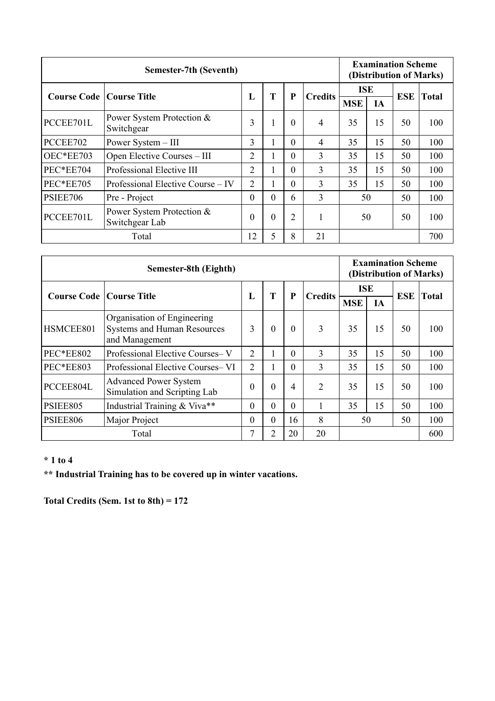|                                   | Semester-7th (Seventh)                      |                |    |          |                |            |    |            | <b>Examination Scheme</b><br>(Distribution of Marks) |  |  |  |
|-----------------------------------|---------------------------------------------|----------------|----|----------|----------------|------------|----|------------|------------------------------------------------------|--|--|--|
| <b>Course Code   Course Title</b> |                                             | L              | T  | P        | <b>Credits</b> | <b>ISE</b> |    | <b>ESE</b> | <b>Total</b>                                         |  |  |  |
|                                   |                                             |                |    |          |                | <b>MSE</b> | IA |            |                                                      |  |  |  |
| PCCEE701L                         | Power System Protection &<br>Switchgear     | 3              | L. | $\theta$ | $\overline{4}$ | 35         | 15 | 50         | 100                                                  |  |  |  |
| PCCEE702                          | Power System - III                          | 3              | л. | $\Omega$ | $\overline{4}$ | 35         | 15 | 50         | 100                                                  |  |  |  |
| OEC*EE703                         | Open Elective Courses – III                 | $\overline{2}$ | л. | $\Omega$ | 3              | 35         | 15 | 50         | 100                                                  |  |  |  |
| PEC*EE704                         | Professional Elective III                   | $\overline{2}$ |    | $\Omega$ | 3              | 35         | 15 | 50         | 100                                                  |  |  |  |
| PEC*EE705                         | Professional Elective Course – IV           | $\overline{2}$ | Ι. | $\theta$ | 3              | 35         | 15 | 50         | 100                                                  |  |  |  |
| <b>PSIEE706</b>                   | Pre - Project                               | $\theta$       | 0  | 6        | 3              | 50         |    | 50         | 100                                                  |  |  |  |
| PCCEE701L                         | Power System Protection &<br>Switchgear Lab | $\theta$       | 0  | 2        | 1              | 50         |    | 50         | 100                                                  |  |  |  |
|                                   | Total                                       | 12             | 5  | 8        | 21             |            |    |            | 700                                                  |  |  |  |

|                                   | <b>Examination Scheme</b><br>(Distribution of Marks)                         |                |                |          |                |            |    |            |              |
|-----------------------------------|------------------------------------------------------------------------------|----------------|----------------|----------|----------------|------------|----|------------|--------------|
| <b>Course Code   Course Title</b> |                                                                              | L              | T              | P        | <b>Credits</b> | <b>ISE</b> |    | <b>ESE</b> | <b>Total</b> |
|                                   |                                                                              |                |                |          |                | <b>MSE</b> | IA |            |              |
| HSMCEE801                         | Organisation of Engineering<br>Systems and Human Resources<br>and Management | 3              | $\mathbf{0}$   | $\Omega$ | 3              | 35         | 15 | 50         | 100          |
| <b>PEC*EE802</b>                  | Professional Elective Courses-V                                              | $\overline{2}$ |                | $\Omega$ | 3              | 35         | 15 | 50         | 100          |
| PEC*EE803                         | Professional Elective Courses–VI                                             | 2              |                | $\Omega$ | 3              | 35         | 15 | 50         | 100          |
| PCCEE804L                         | <b>Advanced Power System</b><br>Simulation and Scripting Lab                 | $\theta$       | $\theta$       | 4        | $\overline{2}$ | 15<br>35   |    | 50         | 100          |
| PSIEE805                          | Industrial Training & Viva**                                                 | $\theta$       | $\theta$       | $\Omega$ |                | 35         | 15 | 50         | 100          |
| <b>PSIEE806</b>                   | Major Project                                                                | $\overline{0}$ | $\theta$       | 16       | 8              | 50<br>50   |    |            | 100          |
|                                   | Total                                                                        | 7              | $\overline{2}$ | 20       | 20             |            |    |            | 600          |

#### **\* 1 to 4**

**\*\* Industrial Training has to be covered up in winter vacations.** 

**Total Credits (Sem. 1st to 8th) = 172**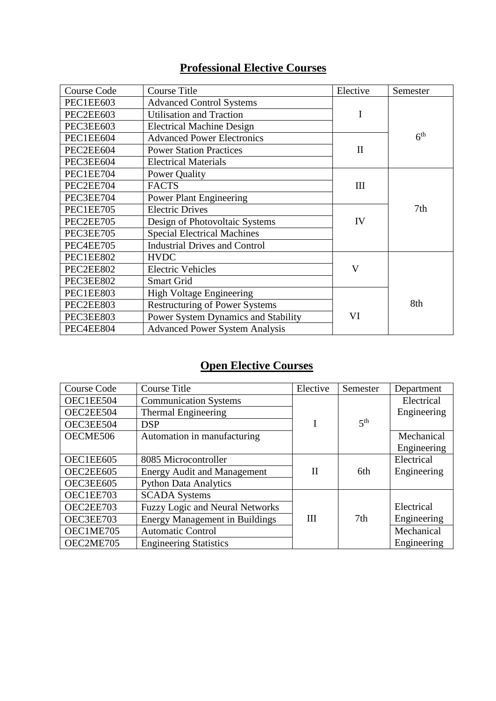### **Professional Elective Courses**

| <b>Course Code</b> | <b>Course Title</b>                   | Elective                | Semester        |
|--------------------|---------------------------------------|-------------------------|-----------------|
| PEC1EE603          | <b>Advanced Control Systems</b>       |                         |                 |
| PEC2EE603          | <b>Utilisation and Traction</b>       | I                       |                 |
| PEC3EE603          | <b>Electrical Machine Design</b>      |                         |                 |
| PEC1EE604          | <b>Advanced Power Electronics</b>     |                         | 6 <sup>th</sup> |
| PEC2EE604          | <b>Power Station Practices</b>        | $\mathbf{I}$            |                 |
| PEC3EE604          | <b>Electrical Materials</b>           |                         |                 |
| PEC1EE704          | Power Quality                         |                         |                 |
| PEC2EE704          | <b>FACTS</b>                          | Ш                       |                 |
| PEC3EE704          | <b>Power Plant Engineering</b>        |                         |                 |
| PEC1EE705          | <b>Electric Drives</b>                |                         | 7th             |
| PEC2EE705          | Design of Photovoltaic Systems        | IV                      |                 |
| PEC3EE705          | <b>Special Electrical Machines</b>    |                         |                 |
| PEC4EE705          | <b>Industrial Drives and Control</b>  |                         |                 |
| PEC1EE802          | <b>HVDC</b>                           |                         |                 |
| PEC2EE802          | <b>Electric Vehicles</b>              | $\overline{\mathsf{V}}$ |                 |
| PEC3EE802          | <b>Smart Grid</b>                     |                         |                 |
| PEC1EE803          | <b>High Voltage Engineering</b>       |                         |                 |
| PEC2EE803          | <b>Restructuring of Power Systems</b> |                         | 8th             |
| PEC3EE803          | Power System Dynamics and Stability   | VI                      |                 |
| PEC4EE804          | <b>Advanced Power System Analysis</b> |                         |                 |

### **Open Elective Courses**

| <b>Course Code</b> | <b>Course Title</b>                    | Elective     | Semester        | Department  |
|--------------------|----------------------------------------|--------------|-----------------|-------------|
| OEC1EE504          | <b>Communication Systems</b>           |              |                 | Electrical  |
| OEC2EE504          | <b>Thermal Engineering</b>             |              |                 | Engineering |
| OEC3EE504          | <b>DSP</b>                             |              | 5 <sup>th</sup> |             |
| OECME506           | Automation in manufacturing            |              |                 | Mechanical  |
|                    |                                        |              |                 | Engineering |
| OEC1EE605          | 8085 Microcontroller                   |              |                 | Electrical  |
| OEC2EE605          | <b>Energy Audit and Management</b>     | $\mathbf{I}$ | 6th             | Engineering |
| OEC3EE605          | <b>Python Data Analytics</b>           |              |                 |             |
| OEC1EE703          | <b>SCADA Systems</b>                   |              |                 |             |
| OEC2EE703          | <b>Fuzzy Logic and Neural Networks</b> |              |                 | Electrical  |
| OEC3EE703          | <b>Energy Management in Buildings</b>  | Ш            | 7 <sub>th</sub> | Engineering |
| OEC1ME705          | <b>Automatic Control</b>               |              |                 | Mechanical  |
| OEC2ME705          | <b>Engineering Statistics</b>          |              |                 | Engineering |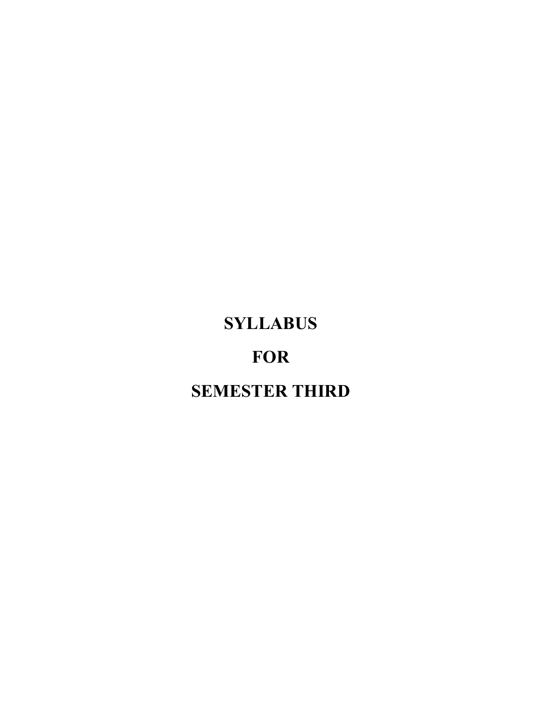# **SYLLABUS**

## **FOR**

# **SEMESTER THIRD**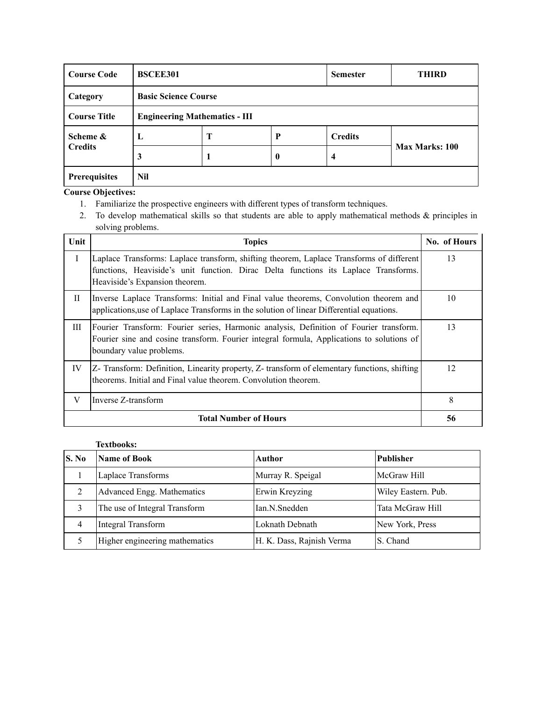| <b>Course Code</b>  | <b>BSCEE301</b>                      |                             | <b>Semester</b> | <b>THIRD</b>   |                       |  |  |  |  |  |
|---------------------|--------------------------------------|-----------------------------|-----------------|----------------|-----------------------|--|--|--|--|--|
| Category            |                                      | <b>Basic Science Course</b> |                 |                |                       |  |  |  |  |  |
| <b>Course Title</b> | <b>Engineering Mathematics - III</b> |                             |                 |                |                       |  |  |  |  |  |
| Scheme &            | L                                    | Т                           | P               | <b>Credits</b> |                       |  |  |  |  |  |
| <b>Credits</b>      | 3                                    |                             | $\bf{0}$        | 4              | <b>Max Marks: 100</b> |  |  |  |  |  |
| Prerequisites       | Nil                                  |                             |                 |                |                       |  |  |  |  |  |

- 1. Familiarize the prospective engineers with different types of transform techniques.
- 2. To develop mathematical skills so that students are able to apply mathematical methods & principles in solving problems.

| Unit         | <b>Topics</b>                                                                                                                                                                                                     | No. of Hours |
|--------------|-------------------------------------------------------------------------------------------------------------------------------------------------------------------------------------------------------------------|--------------|
| Ι            | Laplace Transforms: Laplace transform, shifting theorem, Laplace Transforms of different<br>functions, Heaviside's unit function. Dirac Delta functions its Laplace Transforms.<br>Heaviside's Expansion theorem. | 13           |
| $\mathbf{I}$ | Inverse Laplace Transforms: Initial and Final value theorems, Convolution theorem and<br>applications, use of Laplace Transforms in the solution of linear Differential equations.                                | 10           |
| Ш            | Fourier Transform: Fourier series, Harmonic analysis, Definition of Fourier transform.<br>Fourier sine and cosine transform. Fourier integral formula, Applications to solutions of<br>boundary value problems.   | 13           |
| IV           | Z- Transform: Definition, Linearity property, Z- transform of elementary functions, shifting<br>theorems. Initial and Final value theorem. Convolution theorem.                                                   | 12           |
| V            | Inverse Z-transform                                                                                                                                                                                               | 8            |
|              | <b>Total Number of Hours</b>                                                                                                                                                                                      | 56           |

| S. No | Name of Book                   | Author                    | <b>Publisher</b>    |
|-------|--------------------------------|---------------------------|---------------------|
|       | Laplace Transforms             | Murray R. Speigal         | McGraw Hill         |
|       | Advanced Engg. Mathematics     | Erwin Kreyzing            | Wiley Eastern. Pub. |
|       | The use of Integral Transform  | Ian.N.Snedden             | Tata McGraw Hill    |
|       | Integral Transform             | Loknath Debnath           | New York, Press     |
|       | Higher engineering mathematics | H. K. Dass, Rajnish Verma | S. Chand            |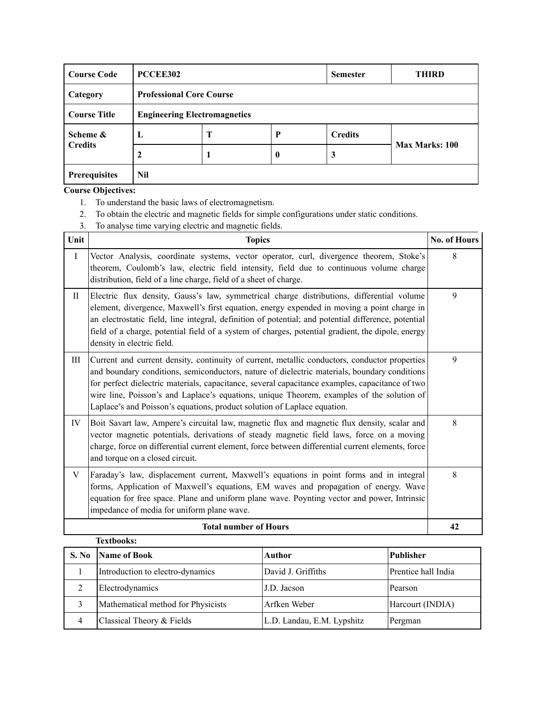| <b>Course Code</b>  | PCCEE302                            |   | <b>Semester</b> | <b>THIRD</b>   |                |
|---------------------|-------------------------------------|---|-----------------|----------------|----------------|
| Category            | <b>Professional Core Course</b>     |   |                 |                |                |
| <b>Course Title</b> | <b>Engineering Electromagnetics</b> |   |                 |                |                |
| Scheme &            | L                                   | Т | P               | <b>Credits</b> |                |
| <b>Credits</b>      |                                     |   | $\bf{0}$        | 3              | Max Marks: 100 |
| Prerequisites       | Nil                                 |   |                 |                |                |

- 1. To understand the basic laws of electromagnetism.
- 2. To obtain the electric and magnetic fields for simple configurations under static conditions.
- 3. To analyse time varying electric and magnetic fields.

| Unit      | <b>Topics</b>                                                                                                                                                                                                                                                                                                                                                                                                                                                             | <b>No. of Hours</b> |
|-----------|---------------------------------------------------------------------------------------------------------------------------------------------------------------------------------------------------------------------------------------------------------------------------------------------------------------------------------------------------------------------------------------------------------------------------------------------------------------------------|---------------------|
| $\rm I$   | Vector Analysis, coordinate systems, vector operator, curl, divergence theorem, Stoke's<br>theorem, Coulomb's law, electric field intensity, field due to continuous volume charge<br>distribution, field of a line charge, field of a sheet of charge.                                                                                                                                                                                                                   | 8                   |
| $\rm{II}$ | Electric flux density, Gauss's law, symmetrical charge distributions, differential volume<br>element, divergence, Maxwell's first equation, energy expended in moving a point charge in<br>an electrostatic field, line integral, definition of potential; and potential difference, potential<br>field of a charge, potential field of a system of charges, potential gradient, the dipole, energy<br>density in electric field.                                         | 9                   |
| Ш         | Current and current density, continuity of current, metallic conductors, conductor properties<br>and boundary conditions, semiconductors, nature of dielectric materials, boundary conditions<br>for perfect dielectric materials, capacitance, several capacitance examples, capacitance of two<br>wire line, Poisson's and Laplace's equations, unique Theorem, examples of the solution of<br>Laplace's and Poisson's equations, product solution of Laplace equation. | 9                   |
| IV        | Boit Savart law, Ampere's circuital law, magnetic flux and magnetic flux density, scalar and<br>vector magnetic potentials, derivations of steady magnetic field laws, force on a moving<br>charge, force on differential current element, force between differential current elements, force<br>and torque on a closed circuit.                                                                                                                                          | 8                   |
| V         | Faraday's law, displacement current, Maxwell's equations in point forms and in integral<br>forms, Application of Maxwell's equations, EM waves and propagation of energy. Wave<br>equation for free space. Plane and uniform plane wave. Poynting vector and power, Intrinsic<br>impedance of media for uniform plane wave.                                                                                                                                               | 8                   |
|           | <b>Total number of Hours</b>                                                                                                                                                                                                                                                                                                                                                                                                                                              | 42                  |

| <b>Textbooks:</b> |                                    |                            |                     |  |  |
|-------------------|------------------------------------|----------------------------|---------------------|--|--|
| S. No             | Name of Book                       | Author                     | <b>Publisher</b>    |  |  |
|                   | Introduction to electro-dynamics   | David J. Griffiths         | Prentice hall India |  |  |
|                   | Electrodynamics                    | J.D. Jacson                | Pearson             |  |  |
|                   | Mathematical method for Physicists | Arfken Weber               | Harcourt (INDIA)    |  |  |
|                   | Classical Theory & Fields          | L.D. Landau, E.M. Lypshitz | Pergman             |  |  |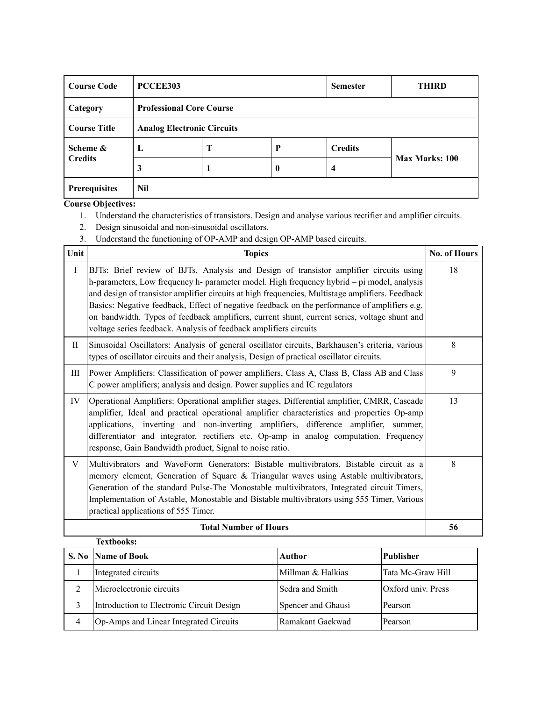| <b>Course Code</b>  | PCCEE303                          |   |          | <b>Semester</b> | <b>THIRD</b>          |  |
|---------------------|-----------------------------------|---|----------|-----------------|-----------------------|--|
| Category            | <b>Professional Core Course</b>   |   |          |                 |                       |  |
| <b>Course Title</b> | <b>Analog Electronic Circuits</b> |   |          |                 |                       |  |
| Scheme &            | L                                 | Т | P        | <b>Credits</b>  |                       |  |
| <b>Credits</b>      | 3                                 |   | $\bf{0}$ | 4               | <b>Max Marks: 100</b> |  |
| Prerequisites       | Nil                               |   |          |                 |                       |  |

1. Understand the characteristics of transistors. Design and analyse various rectifier and amplifier circuits.

a.

- 2. Design sinusoidal and non-sinusoidal oscillators.
- 3. Understand the functioning of OP-AMP and design OP-AMP based circuits.

| Unit         | <b>Topics</b>                                                                                                                                                                                                                                                                                                                                                                                                                                                                                                                                                 | <b>No. of Hours</b> |
|--------------|---------------------------------------------------------------------------------------------------------------------------------------------------------------------------------------------------------------------------------------------------------------------------------------------------------------------------------------------------------------------------------------------------------------------------------------------------------------------------------------------------------------------------------------------------------------|---------------------|
| $\mathbf{I}$ | BJTs: Brief review of BJTs, Analysis and Design of transistor amplifier circuits using<br>h-parameters, Low frequency h- parameter model. High frequency hybrid – pi model, analysis<br>and design of transistor amplifier circuits at high frequencies, Multistage amplifiers. Feedback<br>Basics: Negative feedback, Effect of negative feedback on the performance of amplifiers e.g.<br>on bandwidth. Types of feedback amplifiers, current shunt, current series, voltage shunt and<br>voltage series feedback. Analysis of feedback amplifiers circuits | 18                  |
| П            | Sinusoidal Oscillators: Analysis of general oscillator circuits, Barkhausen's criteria, various<br>types of oscillator circuits and their analysis, Design of practical oscillator circuits.                                                                                                                                                                                                                                                                                                                                                                  | 8                   |
| Ш            | Power Amplifiers: Classification of power amplifiers, Class A, Class B, Class AB and Class<br>C power amplifiers; analysis and design. Power supplies and IC regulators                                                                                                                                                                                                                                                                                                                                                                                       | 9                   |
| IV           | Operational Amplifiers: Operational amplifier stages, Differential amplifier, CMRR, Cascade<br>amplifier, Ideal and practical operational amplifier characteristics and properties Op-amp<br>applications, inverting and non-inverting amplifiers, difference amplifier, summer,<br>differentiator and integrator, rectifiers etc. Op-amp in analog computation. Frequency<br>response, Gain Bandwidth product, Signal to noise ratio.                                                                                                                        | 13                  |
| V            | Multivibrators and WaveForm Generators: Bistable multivibrators, Bistable circuit as a<br>memory element, Generation of Square & Triangular waves using Astable multivibrators,<br>Generation of the standard Pulse-The Monostable multivibrators, Integrated circuit Timers,<br>Implementation of Astable, Monostable and Bistable multivibrators using 555 Timer, Various<br>practical applications of 555 Timer.                                                                                                                                           | 8                   |
|              | <b>Total Number of Hours</b>                                                                                                                                                                                                                                                                                                                                                                                                                                                                                                                                  | 56                  |
|              | <b>Textbooks:</b>                                                                                                                                                                                                                                                                                                                                                                                                                                                                                                                                             |                     |

|   | S. No Name of Book                        | Author             | <b>Publisher</b>   |
|---|-------------------------------------------|--------------------|--------------------|
|   | Integrated circuits                       | Millman & Halkias  | Tata Mc-Graw Hill  |
|   | Microelectronic circuits                  | Sedra and Smith    | Oxford univ. Press |
|   | Introduction to Electronic Circuit Design | Spencer and Ghausi | Pearson            |
| 4 | Op-Amps and Linear Integrated Circuits    | Ramakant Gaekwad   | Pearson            |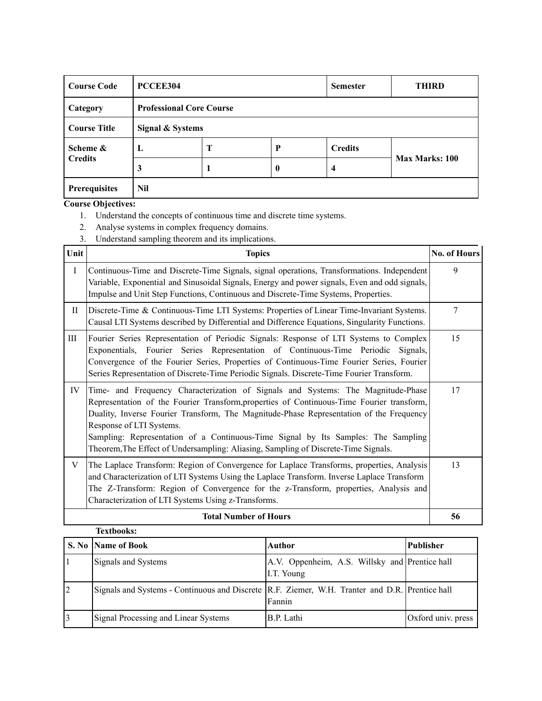| <b>Course Code</b>  | PCCEE304                        |   |          | <b>Semester</b> | <b>THIRD</b>          |
|---------------------|---------------------------------|---|----------|-----------------|-----------------------|
| Category            | <b>Professional Core Course</b> |   |          |                 |                       |
| <b>Course Title</b> | Signal & Systems                |   |          |                 |                       |
| Scheme &            | L                               | Т | P        | <b>Credits</b>  |                       |
| <b>Credits</b>      | 3                               |   | $\bf{0}$ | $\overline{4}$  | <b>Max Marks: 100</b> |
| Prerequisites       | Nil                             |   |          |                 |                       |

- 1. Understand the concepts of continuous time and discrete time systems.
- 2. Analyse systems in complex frequency domains.
- 3. Understand sampling theorem and its implications.

| Unit      | <b>Topics</b>                                                                                                                                                                                                                                                                                                                                                                                                                                                                   | No. of Hours |
|-----------|---------------------------------------------------------------------------------------------------------------------------------------------------------------------------------------------------------------------------------------------------------------------------------------------------------------------------------------------------------------------------------------------------------------------------------------------------------------------------------|--------------|
| I         | Continuous-Time and Discrete-Time Signals, signal operations, Transformations. Independent<br>Variable, Exponential and Sinusoidal Signals, Energy and power signals, Even and odd signals,<br>Impulse and Unit Step Functions, Continuous and Discrete-Time Systems, Properties.                                                                                                                                                                                               | 9            |
| $\rm{II}$ | Discrete-Time & Continuous-Time LTI Systems: Properties of Linear Time-Invariant Systems.<br>Causal LTI Systems described by Differential and Difference Equations, Singularity Functions.                                                                                                                                                                                                                                                                                      | 7            |
| III       | Fourier Series Representation of Periodic Signals: Response of LTI Systems to Complex<br>Exponentials, Fourier Series Representation of Continuous-Time Periodic Signals,<br>Convergence of the Fourier Series, Properties of Continuous-Time Fourier Series, Fourier<br>Series Representation of Discrete-Time Periodic Signals. Discrete-Time Fourier Transform.                                                                                                              | 15           |
| IV        | Time- and Frequency Characterization of Signals and Systems: The Magnitude-Phase<br>Representation of the Fourier Transform, properties of Continuous-Time Fourier transform,<br>Duality, Inverse Fourier Transform, The Magnitude-Phase Representation of the Frequency<br>Response of LTI Systems.<br>Sampling: Representation of a Continuous-Time Signal by Its Samples: The Sampling<br>Theorem, The Effect of Undersampling: Aliasing, Sampling of Discrete-Time Signals. | 17           |
| V         | The Laplace Transform: Region of Convergence for Laplace Transforms, properties, Analysis<br>and Characterization of LTI Systems Using the Laplace Transform. Inverse Laplace Transform<br>The Z-Transform: Region of Convergence for the z-Transform, properties, Analysis and<br>Characterization of LTI Systems Using z-Transforms.                                                                                                                                          | 13           |
|           | <b>Total Number of Hours</b>                                                                                                                                                                                                                                                                                                                                                                                                                                                    | 56           |

|                | <b>Textbooks:</b>                                                                                |                                                              |                    |
|----------------|--------------------------------------------------------------------------------------------------|--------------------------------------------------------------|--------------------|
|                | S. No Name of Book                                                                               | Author                                                       | <b>Publisher</b>   |
|                | Signals and Systems                                                                              | A.V. Oppenheim, A.S. Willsky and Prentice hall<br>I.T. Young |                    |
| $\overline{2}$ | Signals and Systems - Continuous and Discrete   R.F. Ziemer, W.H. Tranter and D.R. Prentice hall | Fannin                                                       |                    |
|                | Signal Processing and Linear Systems                                                             | B.P. Lathi                                                   | Oxford univ. press |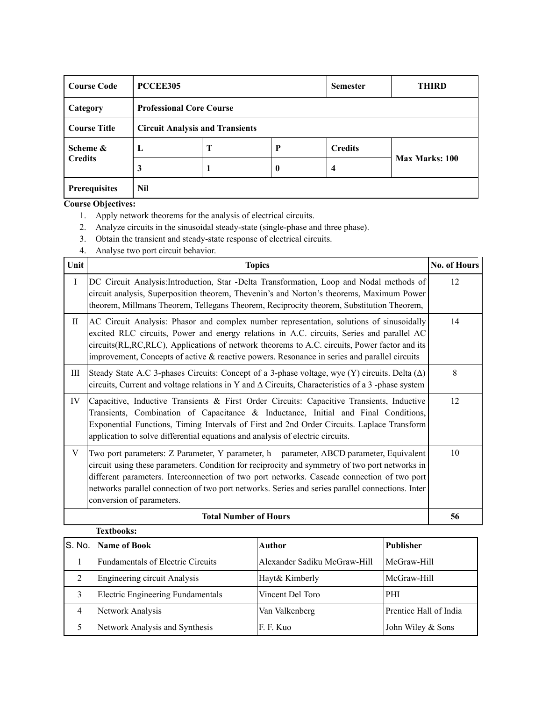| <b>Course Code</b>  | PCCEE305                               |   | <b>Semester</b>  | <b>THIRD</b>   |                       |  |
|---------------------|----------------------------------------|---|------------------|----------------|-----------------------|--|
| Category            | <b>Professional Core Course</b>        |   |                  |                |                       |  |
| <b>Course Title</b> | <b>Circuit Analysis and Transients</b> |   |                  |                |                       |  |
| Scheme &            | L                                      | Т | P                | <b>Credits</b> |                       |  |
| <b>Credits</b>      | 3                                      |   | $\boldsymbol{0}$ | 4              | <b>Max Marks: 100</b> |  |
| Prerequisites       | Nil                                    |   |                  |                |                       |  |

- 1. Apply network theorems for the analysis of electrical circuits.
- 2. Analyze circuits in the sinusoidal steady-state (single-phase and three phase).
- 3. Obtain the transient and steady-state response of electrical circuits.
- 4. Analyse two port circuit behavior.

| Unit        | <b>Topics</b>                                                                                                                                                                                                                                                                                                                                                                                                             | <b>No. of Hours</b> |
|-------------|---------------------------------------------------------------------------------------------------------------------------------------------------------------------------------------------------------------------------------------------------------------------------------------------------------------------------------------------------------------------------------------------------------------------------|---------------------|
| $\mathbf I$ | DC Circuit Analysis: Introduction, Star - Delta Transformation, Loop and Nodal methods of<br>circuit analysis, Superposition theorem, Thevenin's and Norton's theorems, Maximum Power<br>theorem, Millmans Theorem, Tellegans Theorem, Reciprocity theorem, Substitution Theorem,                                                                                                                                         | 12                  |
| $_{\rm II}$ | AC Circuit Analysis: Phasor and complex number representation, solutions of sinusoidally<br>excited RLC circuits, Power and energy relations in A.C. circuits, Series and parallel AC<br>circuits(RL,RC,RLC), Applications of network theorems to A.C. circuits, Power factor and its<br>improvement, Concepts of active $\&$ reactive powers. Resonance in series and parallel circuits                                  | 14                  |
| Ш           | Steady State A.C 3-phases Circuits: Concept of a 3-phase voltage, wye (Y) circuits. Delta $(\Delta)$<br>circuits, Current and voltage relations in Y and $\Delta$ Circuits, Characteristics of a 3-phase system                                                                                                                                                                                                           | 8                   |
| IV          | Capacitive, Inductive Transients & First Order Circuits: Capacitive Transients, Inductive<br>Transients, Combination of Capacitance & Inductance, Initial and Final Conditions,<br>Exponential Functions, Timing Intervals of First and 2nd Order Circuits. Laplace Transform<br>application to solve differential equations and analysis of electric circuits.                                                           | 12                  |
| V           | Two port parameters: Z Parameter, Y parameter, h – parameter, ABCD parameter, Equivalent<br>circuit using these parameters. Condition for reciprocity and symmetry of two port networks in<br>different parameters. Interconnection of two port networks. Cascade connection of two port<br>networks parallel connection of two port networks. Series and series parallel connections. Inter<br>conversion of parameters. | 10                  |
|             | <b>Total Number of Hours</b>                                                                                                                                                                                                                                                                                                                                                                                              | 56                  |

|   | <b>Textbooks:</b>                   |                              |                        |
|---|-------------------------------------|------------------------------|------------------------|
|   | S. No. Name of Book                 | Author                       | <b>Publisher</b>       |
|   | Fundamentals of Electric Circuits   | Alexander Sadiku McGraw-Hill | McGraw-Hill            |
| 2 | <b>Engineering circuit Analysis</b> | Hayt& Kimberly               | McGraw-Hill            |
|   | Electric Engineering Fundamentals   | Vincent Del Toro             | <b>PHI</b>             |
| 4 | Network Analysis                    | Van Valkenberg               | Prentice Hall of India |
|   | Network Analysis and Synthesis      | F. F. Kuo                    | John Wiley & Sons      |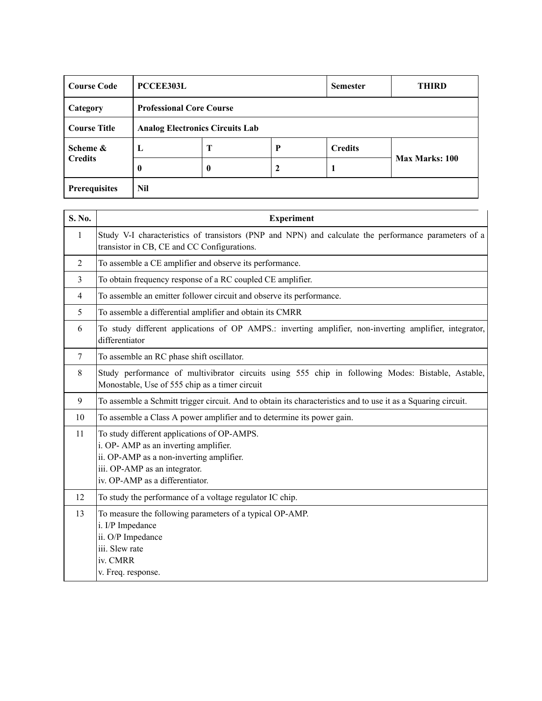| <b>Course Code</b>                                            | <b>PCCEE303L</b> |                                 |             | <b>Semester</b> | <b>THIRD</b>          |  |
|---------------------------------------------------------------|------------------|---------------------------------|-------------|-----------------|-----------------------|--|
| Category                                                      |                  | <b>Professional Core Course</b> |             |                 |                       |  |
| <b>Course Title</b><br><b>Analog Electronics Circuits Lab</b> |                  |                                 |             |                 |                       |  |
| Scheme &                                                      | L                | Т                               | P           | <b>Credits</b>  |                       |  |
| <b>Credits</b>                                                | 0                | $\boldsymbol{0}$                | $\mathbf 2$ | 1               | <b>Max Marks: 100</b> |  |
| Prerequisites                                                 | Nil              |                                 |             |                 |                       |  |

| Study V-I characteristics of transistors (PNP and NPN) and calculate the performance parameters of a          |
|---------------------------------------------------------------------------------------------------------------|
|                                                                                                               |
|                                                                                                               |
|                                                                                                               |
|                                                                                                               |
| To study different applications of OP AMPS.: inverting amplifier, non-inverting amplifier, integrator,        |
|                                                                                                               |
| Study performance of multivibrator circuits using 555 chip in following Modes: Bistable, Astable,             |
| To assemble a Schmitt trigger circuit. And to obtain its characteristics and to use it as a Squaring circuit. |
|                                                                                                               |
|                                                                                                               |
|                                                                                                               |
|                                                                                                               |
|                                                                                                               |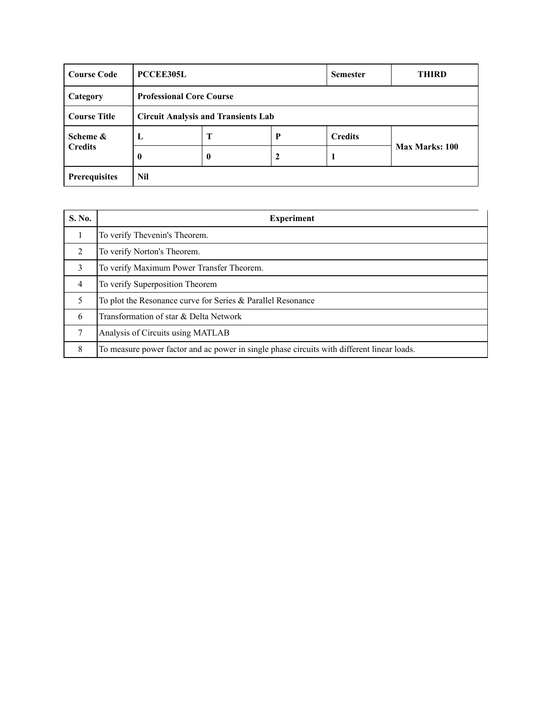| <b>Course Code</b>                                                | <b>PCCEE305L</b>                |   |   | <b>Semester</b> | <b>THIRD</b>          |  |
|-------------------------------------------------------------------|---------------------------------|---|---|-----------------|-----------------------|--|
| Category                                                          | <b>Professional Core Course</b> |   |   |                 |                       |  |
| <b>Course Title</b><br><b>Circuit Analysis and Transients Lab</b> |                                 |   |   |                 |                       |  |
| Scheme &                                                          | L                               | Т | P | <b>Credits</b>  |                       |  |
| <b>Credits</b>                                                    | $\bf{0}$                        | 0 | 2 |                 | <b>Max Marks: 100</b> |  |
| <b>Prerequisites</b>                                              | Nil                             |   |   |                 |                       |  |

| S. No.         | <b>Experiment</b>                                                                          |
|----------------|--------------------------------------------------------------------------------------------|
|                | To verify Thevenin's Theorem.                                                              |
| $\mathfrak{D}$ | To verify Norton's Theorem.                                                                |
| 3              | To verify Maximum Power Transfer Theorem.                                                  |
| $\overline{4}$ | To verify Superposition Theorem                                                            |
| 5              | To plot the Resonance curve for Series & Parallel Resonance                                |
| 6              | Transformation of star & Delta Network                                                     |
|                | Analysis of Circuits using MATLAB                                                          |
| 8              | To measure power factor and ac power in single phase circuits with different linear loads. |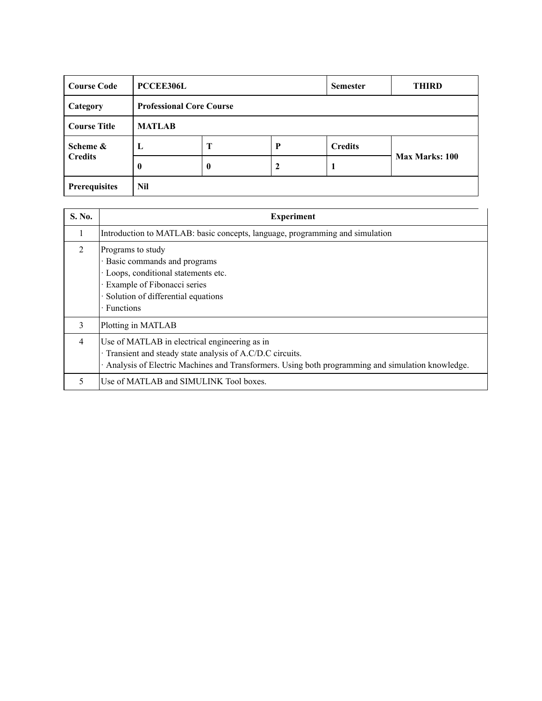| <b>Course Code</b>   | <b>PCCEE306L</b> |                                 |   | <b>Semester</b> | <b>THIRD</b>          |  |  |
|----------------------|------------------|---------------------------------|---|-----------------|-----------------------|--|--|
| Category             |                  | <b>Professional Core Course</b> |   |                 |                       |  |  |
| <b>Course Title</b>  | <b>MATLAB</b>    |                                 |   |                 |                       |  |  |
| Scheme &             | L                | Т                               | P | <b>Credits</b>  |                       |  |  |
| <b>Credits</b>       | 0                | $\mathbf{0}$                    |   |                 | <b>Max Marks: 100</b> |  |  |
| <b>Prerequisites</b> | Nil              |                                 |   |                 |                       |  |  |

| S. No.         | <b>Experiment</b>                                                                                                                                                                                               |
|----------------|-----------------------------------------------------------------------------------------------------------------------------------------------------------------------------------------------------------------|
|                | Introduction to MATLAB: basic concepts, language, programming and simulation                                                                                                                                    |
| $\mathfrak{D}$ | Programs to study<br>· Basic commands and programs<br>· Loops, conditional statements etc.<br>· Example of Fibonacci series<br>Solution of differential equations<br>· Functions                                |
| $\mathcal{E}$  | Plotting in MATLAB                                                                                                                                                                                              |
| $\overline{4}$ | Use of MATLAB in electrical engineering as in<br>· Transient and steady state analysis of A.C/D.C circuits.<br>Analysis of Electric Machines and Transformers. Using both programming and simulation knowledge. |
| 5              | Use of MATLAB and SIMULINK Tool boxes.                                                                                                                                                                          |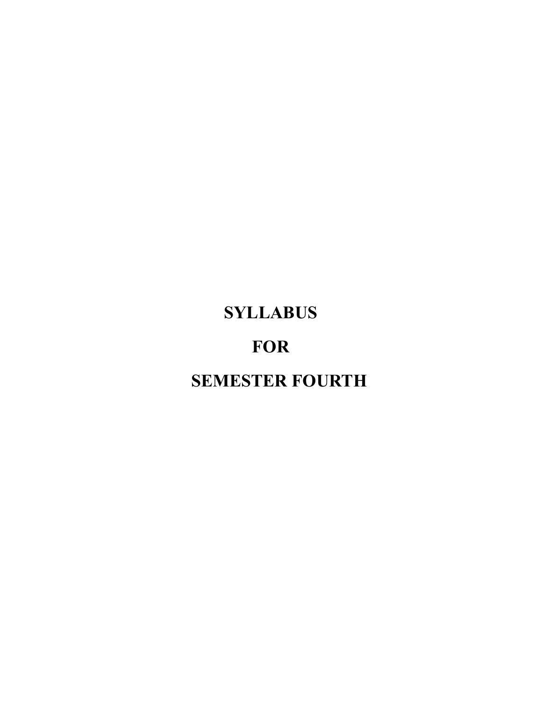# **SYLLABUS**

## **FOR**

# **SEMESTER FOURTH**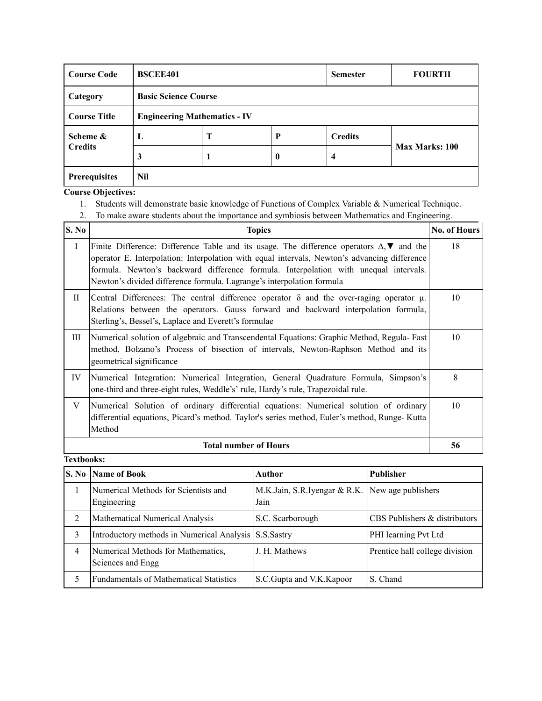| <b>Course Code</b>  | <b>BSCEE401</b>                     |   |          | <b>Semester</b> | <b>FOURTH</b>  |
|---------------------|-------------------------------------|---|----------|-----------------|----------------|
| Category            | <b>Basic Science Course</b>         |   |          |                 |                |
| <b>Course Title</b> | <b>Engineering Mathematics - IV</b> |   |          |                 |                |
| Scheme &            | L                                   | Т | P        | <b>Credits</b>  |                |
| <b>Credits</b>      | 3                                   |   | $\bf{0}$ | 4               | Max Marks: 100 |
| Prerequisites       | Nil                                 |   |          |                 |                |

- 1. Students will demonstrate basic knowledge of Functions of Complex Variable & Numerical Technique.
- 2. To make aware students about the importance and symbiosis between Mathematics and Engineering.

| S. No        | <b>Topics</b>                                                                                                                                                                                                                                                                                                                                                            | No. of Hours |
|--------------|--------------------------------------------------------------------------------------------------------------------------------------------------------------------------------------------------------------------------------------------------------------------------------------------------------------------------------------------------------------------------|--------------|
| $\mathbf I$  | Finite Difference: Difference Table and its usage. The difference operators $\Delta$ , $\nabla$ and the<br>operator E. Interpolation: Interpolation with equal intervals, Newton's advancing difference<br>formula. Newton's backward difference formula. Interpolation with unequal intervals.<br>Newton's divided difference formula. Lagrange's interpolation formula | 18           |
| $\mathbf{I}$ | Central Differences: The central difference operator $\delta$ and the over-raging operator $\mu$ .<br>Relations between the operators. Gauss forward and backward interpolation formula,<br>Sterling's, Bessel's, Laplace and Everett's formulae                                                                                                                         | 10           |
| Ш            | Numerical solution of algebraic and Transcendental Equations: Graphic Method, Regula-Fast<br>method, Bolzano's Process of bisection of intervals, Newton-Raphson Method and its<br>geometrical significance                                                                                                                                                              | 10           |
| IV           | Numerical Integration: Numerical Integration, General Quadrature Formula, Simpson's<br>one-third and three-eight rules, Weddle's' rule, Hardy's rule, Trapezoidal rule.                                                                                                                                                                                                  | 8            |
| V            | Numerical Solution of ordinary differential equations: Numerical solution of ordinary<br>differential equations, Picard's method. Taylor's series method, Euler's method, Runge-Kutta<br>Method                                                                                                                                                                          | 10           |
|              | <b>Total number of Hours</b>                                                                                                                                                                                                                                                                                                                                             | 56           |

|   | <b>S. No Name of Book</b>                               | Author                                                    | l Publisher                    |
|---|---------------------------------------------------------|-----------------------------------------------------------|--------------------------------|
|   | Numerical Methods for Scientists and<br>Engineering     | M.K.Jain, S.R.Iyengar & R.K.   New age publishers<br>Jain |                                |
| 2 | Mathematical Numerical Analysis                         | S.C. Scarborough                                          | CBS Publishers & distributors  |
| 3 | Introductory methods in Numerical Analysis S.S.Sastry   |                                                           | PHI learning Pvt Ltd           |
| 4 | Numerical Methods for Mathematics,<br>Sciences and Engg | J. H. Mathews                                             | Prentice hall college division |
|   | <b>Fundamentals of Mathematical Statistics</b>          | S.C. Gupta and V.K. Kapoor                                | S. Chand                       |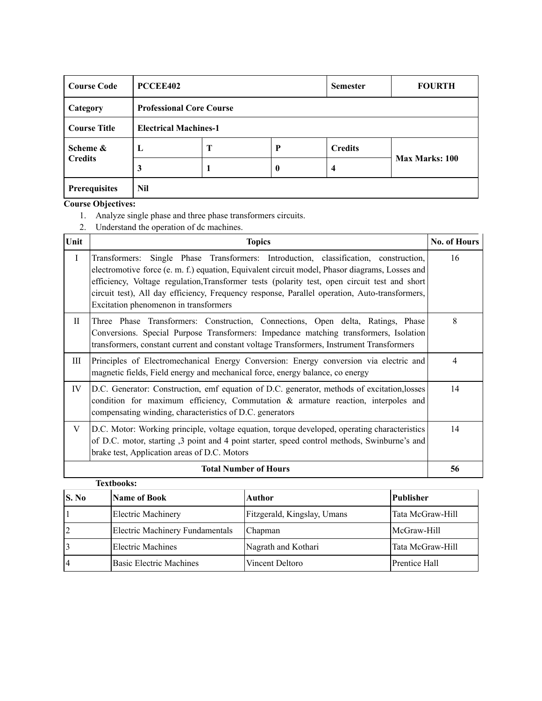| <b>Course Code</b>  | PCCEE402                     |                                 | <b>Semester</b> | <b>FOURTH</b>  |                       |  |
|---------------------|------------------------------|---------------------------------|-----------------|----------------|-----------------------|--|
| Category            |                              | <b>Professional Core Course</b> |                 |                |                       |  |
| <b>Course Title</b> | <b>Electrical Machines-1</b> |                                 |                 |                |                       |  |
| Scheme &            | L                            | Т                               | P               | <b>Credits</b> |                       |  |
| <b>Credits</b>      | 3                            |                                 | $\bf{0}$        | 4              | <b>Max Marks: 100</b> |  |
| Prerequisites       | Nil                          |                                 |                 |                |                       |  |

- 1. Analyze single phase and three phase transformers circuits.
- 2. Understand the operation of dc machines.

| Unit         | <b>Topics</b>                                                                                                                                                                                                                                                                                                                                                                                                                     | <b>No. of Hours</b> |
|--------------|-----------------------------------------------------------------------------------------------------------------------------------------------------------------------------------------------------------------------------------------------------------------------------------------------------------------------------------------------------------------------------------------------------------------------------------|---------------------|
| $\bf{I}$     | Transformers: Single Phase Transformers: Introduction, classification, construction,<br>electromotive force (e. m. f.) equation, Equivalent circuit model, Phasor diagrams, Losses and<br>efficiency, Voltage regulation, Transformer tests (polarity test, open circuit test and short<br>circuit test), All day efficiency, Frequency response, Parallel operation, Auto-transformers,<br>Excitation phenomenon in transformers | 16                  |
| $\mathbf{I}$ | Three Phase Transformers: Construction, Connections, Open delta, Ratings, Phase<br>Conversions. Special Purpose Transformers: Impedance matching transformers, Isolation<br>transformers, constant current and constant voltage Transformers, Instrument Transformers                                                                                                                                                             | 8                   |
| Ш            | Principles of Electromechanical Energy Conversion: Energy conversion via electric and<br>magnetic fields, Field energy and mechanical force, energy balance, co energy                                                                                                                                                                                                                                                            | $\overline{4}$      |
| IV           | D.C. Generator: Construction, emf equation of D.C. generator, methods of excitation, losses<br>condition for maximum efficiency, Commutation $\&$ armature reaction, interpoles and<br>compensating winding, characteristics of D.C. generators                                                                                                                                                                                   | 14                  |
| V            | D.C. Motor: Working principle, voltage equation, torque developed, operating characteristics<br>of D.C. motor, starting ,3 point and 4 point starter, speed control methods, Swinburne's and<br>brake test, Application areas of D.C. Motors                                                                                                                                                                                      | 14                  |
|              | <b>Total Number of Hours</b>                                                                                                                                                                                                                                                                                                                                                                                                      | 56                  |

|       | <b>Textbooks:</b>               |                             |                      |  |  |  |  |
|-------|---------------------------------|-----------------------------|----------------------|--|--|--|--|
| S. No | Name of Book                    | Author                      | Publisher            |  |  |  |  |
|       | <b>Electric Machinery</b>       | Fitzgerald, Kingslay, Umans | Tata McGraw-Hill     |  |  |  |  |
|       | Electric Machinery Fundamentals | Chapman                     | McGraw-Hill          |  |  |  |  |
|       | Electric Machines               | Nagrath and Kothari         | Tata McGraw-Hill     |  |  |  |  |
|       | Basic Electric Machines         | Vincent Deltoro             | <b>Prentice Hall</b> |  |  |  |  |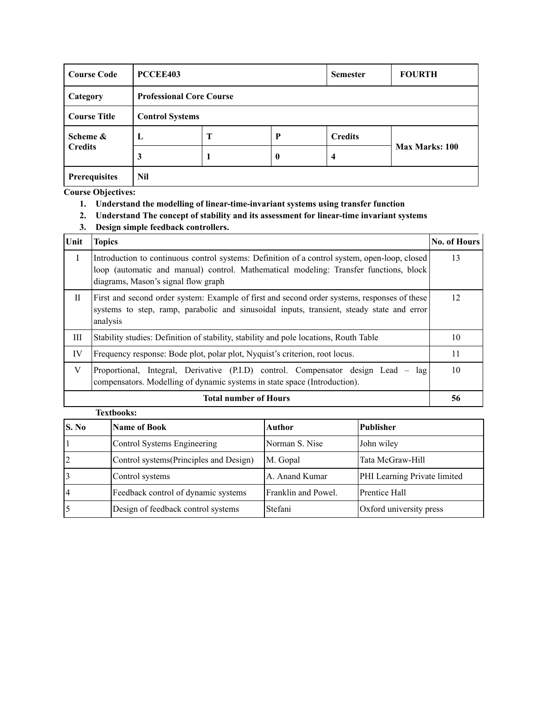| <b>Course Code</b>   | PCCEE403 |                                 | <b>Semester</b> | <b>FOURTH</b>  |                |  |  |
|----------------------|----------|---------------------------------|-----------------|----------------|----------------|--|--|
| Category             |          | <b>Professional Core Course</b> |                 |                |                |  |  |
| <b>Course Title</b>  |          | <b>Control Systems</b>          |                 |                |                |  |  |
| Scheme &             | L        | Т                               | P               | <b>Credits</b> |                |  |  |
| <b>Credits</b>       | 3        |                                 | $\bf{0}$        | 4              | Max Marks: 100 |  |  |
| <b>Prerequisites</b> | Nil      |                                 |                 |                |                |  |  |

- **1. Understand the modelling of linear-time-invariant systems using transfer function**
- **2. Understand The concept of stability and its assessment for linear-time invariant systems**
- **3. Design simple feedback controllers.**

| Unit         | <b>Topics</b>                                                                                                                                                                                                                 | <b>No. of Hours</b> |
|--------------|-------------------------------------------------------------------------------------------------------------------------------------------------------------------------------------------------------------------------------|---------------------|
| $\mathbf I$  | Introduction to continuous control systems: Definition of a control system, open-loop, closed<br>loop (automatic and manual) control. Mathematical modeling: Transfer functions, block<br>diagrams, Mason's signal flow graph | 13                  |
| $\mathbf{H}$ | First and second order system: Example of first and second order systems, responses of these<br>systems to step, ramp, parabolic and sinusoidal inputs, transient, steady state and error<br>analysis                         | 12                  |
| Ш            | Stability studies: Definition of stability, stability and pole locations, Routh Table                                                                                                                                         | 10                  |
| IV           | Frequency response: Bode plot, polar plot, Nyquist's criterion, root locus.                                                                                                                                                   | 11                  |
| V            | Proportional, Integral, Derivative (P.I.D) control. Compensator design Lead -<br>lag<br>compensators. Modelling of dynamic systems in state space (Introduction).                                                             | 10                  |
|              | <b>Total number of Hours</b>                                                                                                                                                                                                  | 56                  |

### **Textbooks: S.** No **Name of Book Author Publisher** 1 Control Systems Engineering Norman S. Nise John wiley 2 Control systems (Principles and Design) | M. Gopal | Tata McGraw-Hill 3 Control systems A. Anand Kumar PHI Learning Private limited 4 Feedback control of dynamic systems Franklin and Powel. Prentice Hall 5 Design of feedback control systems Stefani Oxford university press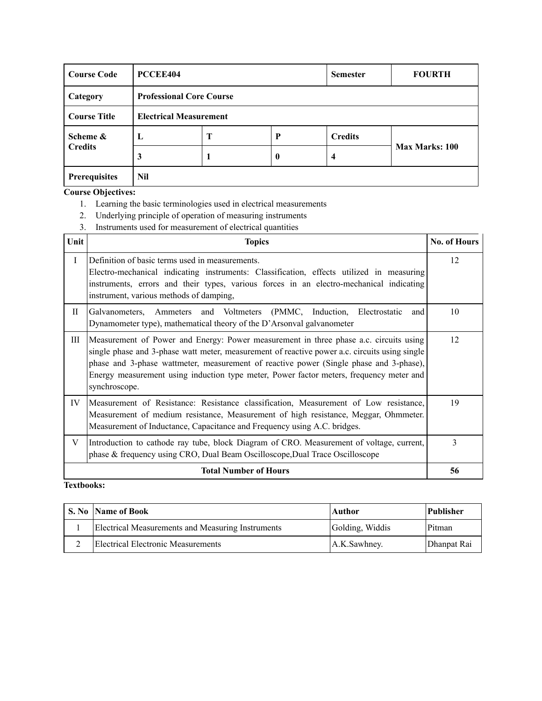| <b>Course Code</b>  | PCCEE404                      |                                 | <b>Semester</b>  | <b>FOURTH</b>           |                       |  |  |  |
|---------------------|-------------------------------|---------------------------------|------------------|-------------------------|-----------------------|--|--|--|
| Category            |                               | <b>Professional Core Course</b> |                  |                         |                       |  |  |  |
| <b>Course Title</b> | <b>Electrical Measurement</b> |                                 |                  |                         |                       |  |  |  |
| Scheme &            | L                             | Т                               | P                | <b>Credits</b>          |                       |  |  |  |
| <b>Credits</b>      | 3                             |                                 | $\boldsymbol{0}$ | $\overline{\mathbf{4}}$ | <b>Max Marks: 100</b> |  |  |  |
| Prerequisites       | <b>Nil</b>                    |                                 |                  |                         |                       |  |  |  |

- 1. Learning the basic terminologies used in electrical measurements
- 2. Underlying principle of operation of measuring instruments
- 3. Instruments used for measurement of electrical quantities

| Unit     | <b>Topics</b>                                                                                                                                                                                                                                                                                                                                                                                | <b>No. of Hours</b> |
|----------|----------------------------------------------------------------------------------------------------------------------------------------------------------------------------------------------------------------------------------------------------------------------------------------------------------------------------------------------------------------------------------------------|---------------------|
| $\bf{I}$ | Definition of basic terms used in measurements.<br>Electro-mechanical indicating instruments: Classification, effects utilized in measuring<br>instruments, errors and their types, various forces in an electro-mechanical indicating<br>instrument, various methods of damping,                                                                                                            | 12                  |
| H        | Galvanometers, Ammeters and Voltmeters (PMMC, Induction, Electrostatic<br>and<br>Dynamometer type), mathematical theory of the D'Arsonval galvanometer                                                                                                                                                                                                                                       | 10                  |
| Ш        | Measurement of Power and Energy: Power measurement in three phase a.c. circuits using<br>single phase and 3-phase watt meter, measurement of reactive power a.c. circuits using single<br>phase and 3-phase wattmeter, measurement of reactive power (Single phase and 3-phase),<br>Energy measurement using induction type meter, Power factor meters, frequency meter and<br>synchroscope. | 12                  |
| IV       | Measurement of Resistance: Resistance classification, Measurement of Low resistance,<br>Measurement of medium resistance, Measurement of high resistance, Meggar, Ohmmeter.<br>Measurement of Inductance, Capacitance and Frequency using A.C. bridges.                                                                                                                                      | 19                  |
| V        | Introduction to cathode ray tube, block Diagram of CRO. Measurement of voltage, current,<br>phase & frequency using CRO, Dual Beam Oscilloscope, Dual Trace Oscilloscope                                                                                                                                                                                                                     | 3                   |
|          | <b>Total Number of Hours</b>                                                                                                                                                                                                                                                                                                                                                                 | 56                  |

| <b>S. No Name of Book</b>                         | Author          | Publisher   |
|---------------------------------------------------|-----------------|-------------|
| Electrical Measurements and Measuring Instruments | Golding, Widdis | Pitman      |
| Electrical Electronic Measurements                | A.K.Sawhney.    | Dhanpat Rai |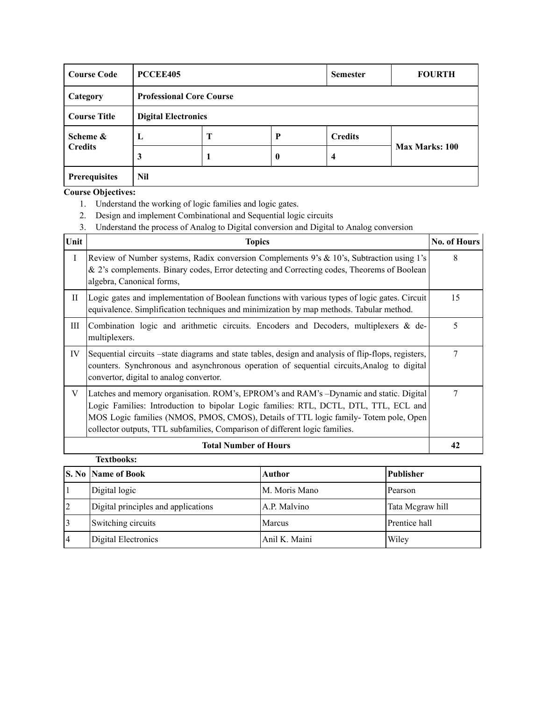| <b>Course Code</b>  | PCCEE405                        |   | <b>Semester</b> | <b>FOURTH</b>  |                       |  |
|---------------------|---------------------------------|---|-----------------|----------------|-----------------------|--|
| Category            | <b>Professional Core Course</b> |   |                 |                |                       |  |
| <b>Course Title</b> | <b>Digital Electronics</b>      |   |                 |                |                       |  |
| Scheme &            | L                               | T | P               | <b>Credits</b> |                       |  |
| <b>Credits</b>      | 3                               |   | $\bf{0}$        | 4              | <b>Max Marks: 100</b> |  |
| Prerequisites       | Nil                             |   |                 |                |                       |  |

- 1. Understand the working of logic families and logic gates.
- 2. Design and implement Combinational and Sequential logic circuits
- 3. Understand the process of Analog to Digital conversion and Digital to Analog conversion

| Unit         | <b>Topics</b>                                                                                                                                                                                                                                                                                                                                        | <b>No. of Hours</b> |
|--------------|------------------------------------------------------------------------------------------------------------------------------------------------------------------------------------------------------------------------------------------------------------------------------------------------------------------------------------------------------|---------------------|
| $\mathbf{I}$ | Review of Number systems, Radix conversion Complements 9's & 10's, Subtraction using 1's<br>& 2's complements. Binary codes, Error detecting and Correcting codes, Theorems of Boolean<br>algebra, Canonical forms,                                                                                                                                  | 8                   |
| $\mathbf{I}$ | Logic gates and implementation of Boolean functions with various types of logic gates. Circuit<br>equivalence. Simplification techniques and minimization by map methods. Tabular method.                                                                                                                                                            | 15                  |
| Ш            | Combination logic and arithmetic circuits. Encoders and Decoders, multiplexers & de-<br>multiplexers.                                                                                                                                                                                                                                                | 5                   |
| IV           | Sequential circuits –state diagrams and state tables, design and analysis of flip-flops, registers,<br>counters. Synchronous and asynchronous operation of sequential circuits, Analog to digital<br>convertor, digital to analog convertor.                                                                                                         | 7                   |
| V            | Latches and memory organisation. ROM's, EPROM's and RAM's -Dynamic and static. Digital<br>Logic Families: Introduction to bipolar Logic families: RTL, DCTL, DTL, TTL, ECL and<br>MOS Logic families (NMOS, PMOS, CMOS), Details of TTL logic family-Totem pole, Open<br>collector outputs, TTL subfamilies, Comparison of different logic families. | 7                   |
|              | <b>Total Number of Hours</b>                                                                                                                                                                                                                                                                                                                         | 42                  |
|              | <b>Textbooks:</b>                                                                                                                                                                                                                                                                                                                                    |                     |

|   | <b>S. No Name of Book</b>           | Author        | Publisher        |
|---|-------------------------------------|---------------|------------------|
|   | Digital logic                       | M. Moris Mano | Pearson          |
| 2 | Digital principles and applications | A.P. Malvino  | Tata Megraw hill |
|   | Switching circuits                  | Marcus        | Prentice hall    |
|   | Digital Electronics                 | Anil K. Maini | Wiley            |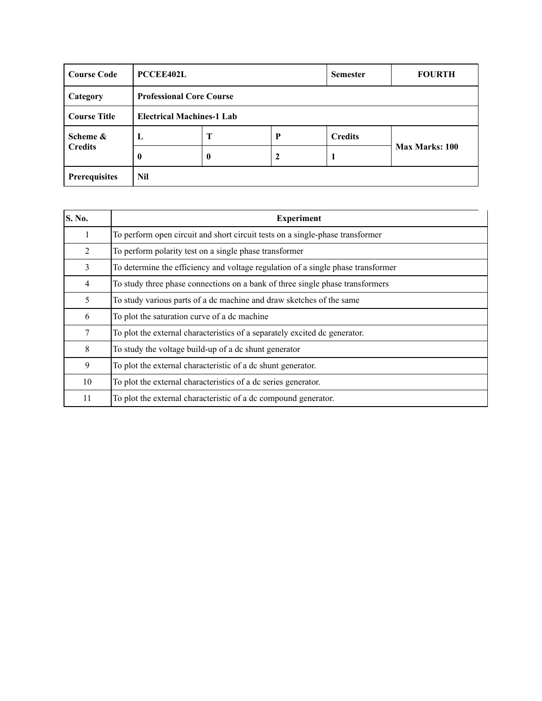| <b>Course Code</b>  | <b>PCCEE402L</b>                 |   |             | <b>Semester</b> | <b>FOURTH</b>  |  |
|---------------------|----------------------------------|---|-------------|-----------------|----------------|--|
| Category            | <b>Professional Core Course</b>  |   |             |                 |                |  |
| <b>Course Title</b> | <b>Electrical Machines-1 Lab</b> |   |             |                 |                |  |
| Scheme &            | L                                | Т | P           | <b>Credits</b>  |                |  |
| <b>Credits</b>      | 0                                | 0 | $\mathbf 2$ | -1              | Max Marks: 100 |  |
| Prerequisites       | Nil                              |   |             |                 |                |  |

| <b>S. No.</b> | <b>Experiment</b>                                                                |
|---------------|----------------------------------------------------------------------------------|
| 1             | To perform open circuit and short circuit tests on a single-phase transformer    |
| 2             | To perform polarity test on a single phase transformer                           |
| 3             | To determine the efficiency and voltage regulation of a single phase transformer |
| 4             | To study three phase connections on a bank of three single phase transformers    |
| 5             | To study various parts of a dc machine and draw sketches of the same             |
| 6             | To plot the saturation curve of a dc machine                                     |
| 7             | To plot the external characteristics of a separately excited dc generator.       |
| 8             | To study the voltage build-up of a dc shunt generator                            |
| 9             | To plot the external characteristic of a dc shunt generator.                     |
| 10            | To plot the external characteristics of a dc series generator.                   |
| 11            | To plot the external characteristic of a dc compound generator.                  |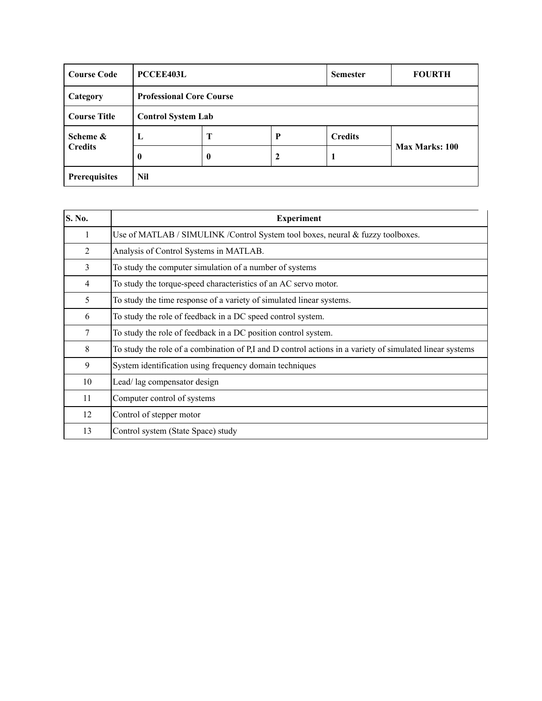| <b>Course Code</b>   | <b>PCCEE403L</b>          |                                 | <b>Semester</b> | <b>FOURTH</b>  |                       |  |  |  |
|----------------------|---------------------------|---------------------------------|-----------------|----------------|-----------------------|--|--|--|
| Category             |                           | <b>Professional Core Course</b> |                 |                |                       |  |  |  |
| <b>Course Title</b>  | <b>Control System Lab</b> |                                 |                 |                |                       |  |  |  |
| Scheme &             | L                         | Т                               | P               | <b>Credits</b> |                       |  |  |  |
| <b>Credits</b>       | 0                         | $\bf{0}$                        | 2               |                | <b>Max Marks: 100</b> |  |  |  |
| <b>Prerequisites</b> | Nil                       |                                 |                 |                |                       |  |  |  |

| <b>S. No.</b> | <b>Experiment</b>                                                                                        |
|---------------|----------------------------------------------------------------------------------------------------------|
| 1             | Use of MATLAB / SIMULINK / Control System tool boxes, neural & fuzzy toolboxes.                          |
| 2             | Analysis of Control Systems in MATLAB.                                                                   |
| 3             | To study the computer simulation of a number of systems                                                  |
| 4             | To study the torque-speed characteristics of an AC servo motor.                                          |
| 5             | To study the time response of a variety of simulated linear systems.                                     |
| 6             | To study the role of feedback in a DC speed control system.                                              |
| 7             | To study the role of feedback in a DC position control system.                                           |
| 8             | To study the role of a combination of P,I and D control actions in a variety of simulated linear systems |
| 9             | System identification using frequency domain techniques                                                  |
| 10            | Lead/lag compensator design                                                                              |
| 11            | Computer control of systems                                                                              |
| 12            | Control of stepper motor                                                                                 |
| 13            | Control system (State Space) study                                                                       |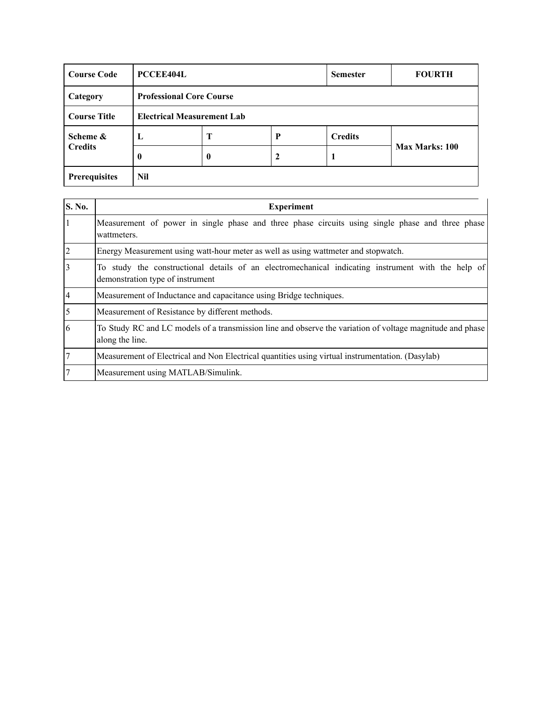| <b>Course Code</b>                 | <b>PCCEE404L</b>                  |                  | <b>Semester</b> | <b>FOURTH</b>  |                       |  |  |
|------------------------------------|-----------------------------------|------------------|-----------------|----------------|-----------------------|--|--|
| Category                           | <b>Professional Core Course</b>   |                  |                 |                |                       |  |  |
| <b>Course Title</b>                | <b>Electrical Measurement Lab</b> |                  |                 |                |                       |  |  |
| Scheme &                           | L                                 | T                | P               | <b>Credits</b> |                       |  |  |
| <b>Credits</b>                     | $\bf{0}$                          | $\boldsymbol{0}$ | 2               | л              | <b>Max Marks: 100</b> |  |  |
| <b>Prerequisites</b><br><b>Nil</b> |                                   |                  |                 |                |                       |  |  |

| <b>S. No.</b>  | <b>Experiment</b>                                                                                                                      |
|----------------|----------------------------------------------------------------------------------------------------------------------------------------|
| 1              | Measurement of power in single phase and three phase circuits using single phase and three phase<br>wattmeters.                        |
| $\overline{2}$ | Energy Measurement using watt-hour meter as well as using wattmeter and stopwatch.                                                     |
| 3              | To study the constructional details of an electromechanical indicating instrument with the help of<br>demonstration type of instrument |
| 4              | Measurement of Inductance and capacitance using Bridge techniques.                                                                     |
| 5              | Measurement of Resistance by different methods.                                                                                        |
| 6              | To Study RC and LC models of a transmission line and observe the variation of voltage magnitude and phase<br>along the line.           |
| $\overline{7}$ | Measurement of Electrical and Non Electrical quantities using virtual instrumentation. (Dasylab)                                       |
|                | Measurement using MATLAB/Simulink.                                                                                                     |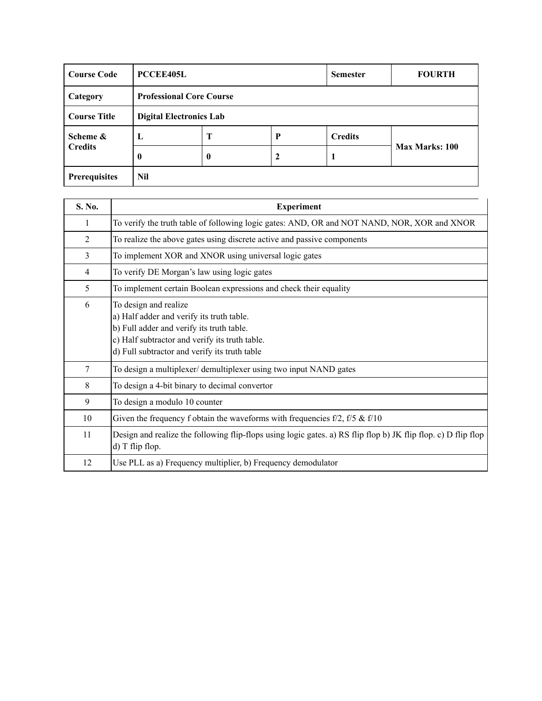| <b>Course Code</b>  | <b>PCCEE405L</b>               |                                 | <b>Semester</b> | <b>FOURTH</b>  |                       |  |  |  |
|---------------------|--------------------------------|---------------------------------|-----------------|----------------|-----------------------|--|--|--|
| Category            |                                | <b>Professional Core Course</b> |                 |                |                       |  |  |  |
| <b>Course Title</b> | <b>Digital Electronics Lab</b> |                                 |                 |                |                       |  |  |  |
| Scheme &            | L                              | Т                               | P               | <b>Credits</b> |                       |  |  |  |
| <b>Credits</b>      | 0                              | 0                               | 2               |                | <b>Max Marks: 100</b> |  |  |  |
| Prerequisites       | Nil                            |                                 |                 |                |                       |  |  |  |

| S. No.         | <b>Experiment</b>                                                                                                                                                                                                  |
|----------------|--------------------------------------------------------------------------------------------------------------------------------------------------------------------------------------------------------------------|
| 1              | To verify the truth table of following logic gates: AND, OR and NOT NAND, NOR, XOR and XNOR                                                                                                                        |
| 2              | To realize the above gates using discrete active and passive components                                                                                                                                            |
| $\overline{3}$ | To implement XOR and XNOR using universal logic gates                                                                                                                                                              |
| 4              | To verify DE Morgan's law using logic gates                                                                                                                                                                        |
| 5              | To implement certain Boolean expressions and check their equality                                                                                                                                                  |
| 6              | To design and realize<br>a) Half adder and verify its truth table.<br>b) Full adder and verify its truth table.<br>c) Half subtractor and verify its truth table.<br>d) Full subtractor and verify its truth table |
| 7              | To design a multiplexer/ demultiplexer using two input NAND gates                                                                                                                                                  |
| 8              | To design a 4-bit binary to decimal convertor                                                                                                                                                                      |
| 9              | To design a modulo 10 counter                                                                                                                                                                                      |
| 10             | Given the frequency f obtain the waveforms with frequencies $f/2$ , $f/5 \& f/10$                                                                                                                                  |
| 11             | Design and realize the following flip-flops using logic gates. a) RS flip flop b) JK flip flop. c) D flip flop<br>d) T flip flop.                                                                                  |
| 12             | Use PLL as a) Frequency multiplier, b) Frequency demodulator                                                                                                                                                       |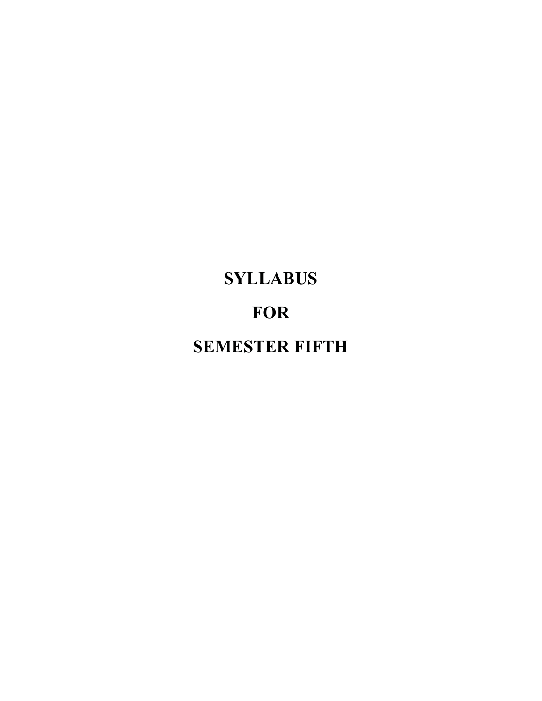# **SYLLABUS FOR SEMESTER FIFTH**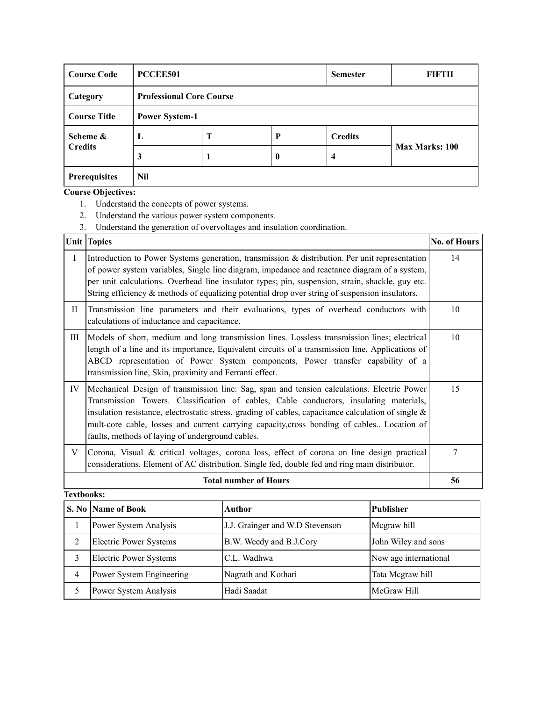| <b>Course Code</b>   |              | PCCEE501                        |          |                | FIFTH          |  |  |
|----------------------|--------------|---------------------------------|----------|----------------|----------------|--|--|
| Category             |              | <b>Professional Core Course</b> |          |                |                |  |  |
| <b>Course Title</b>  |              | <b>Power System-1</b>           |          |                |                |  |  |
| Scheme &             | $\mathbf{L}$ | Т                               | P        | <b>Credits</b> |                |  |  |
| <b>Credits</b>       | 3            |                                 | $\bf{0}$ | 4              | Max Marks: 100 |  |  |
| <b>Prerequisites</b> | Nil          |                                 |          |                |                |  |  |

- 1. Understand the concepts of power systems.
- 2. Understand the various power system components.
- 3. Understand the generation of overvoltages and insulation coordination.

|              | <b>Unit Topics</b>                                                                                                                                                                                                                                                                                                                                                                                                                               | <b>No. of Hours</b> |  |  |  |
|--------------|--------------------------------------------------------------------------------------------------------------------------------------------------------------------------------------------------------------------------------------------------------------------------------------------------------------------------------------------------------------------------------------------------------------------------------------------------|---------------------|--|--|--|
| $\mathbf{I}$ | Introduction to Power Systems generation, transmission & distribution. Per unit representation<br>of power system variables, Single line diagram, impedance and reactance diagram of a system,<br>per unit calculations. Overhead line insulator types; pin, suspension, strain, shackle, guy etc.<br>String efficiency $\&$ methods of equalizing potential drop over string of suspension insulators.                                          |                     |  |  |  |
| H            | Transmission line parameters and their evaluations, types of overhead conductors with<br>calculations of inductance and capacitance.                                                                                                                                                                                                                                                                                                             | 10                  |  |  |  |
| Ш            | Models of short, medium and long transmission lines. Lossless transmission lines; electrical<br>length of a line and its importance, Equivalent circuits of a transmission line, Applications of<br>ABCD representation of Power System components, Power transfer capability of a<br>transmission line, Skin, proximity and Ferranti effect.                                                                                                    | 10                  |  |  |  |
| IV           | Mechanical Design of transmission line: Sag, span and tension calculations. Electric Power<br>Transmission Towers. Classification of cables, Cable conductors, insulating materials,<br>insulation resistance, electrostatic stress, grading of cables, capacitance calculation of single $\&$<br>mult-core cable, losses and current carrying capacity, cross bonding of cables Location of<br>faults, methods of laying of underground cables. | 15                  |  |  |  |
| V            | Corona, Visual & critical voltages, corona loss, effect of corona on line design practical<br>considerations. Element of AC distribution. Single fed, double fed and ring main distributor.                                                                                                                                                                                                                                                      | 7                   |  |  |  |
|              | <b>Total number of Hours</b>                                                                                                                                                                                                                                                                                                                                                                                                                     | 56                  |  |  |  |

| <b>Textbooks:</b> |                               |                                 |                       |  |  |  |
|-------------------|-------------------------------|---------------------------------|-----------------------|--|--|--|
|                   | S. No Name of Book            | Author                          | <b>Publisher</b>      |  |  |  |
|                   | Power System Analysis         | J.J. Grainger and W.D Stevenson | Megraw hill           |  |  |  |
| 2                 | <b>Electric Power Systems</b> | B.W. Weedy and B.J.Cory         | John Wiley and sons   |  |  |  |
| 3                 | <b>Electric Power Systems</b> | C.L. Wadhwa                     | New age international |  |  |  |
| 4                 | Power System Engineering      | Nagrath and Kothari             | Tata Megraw hill      |  |  |  |
|                   | Power System Analysis         | Hadi Saadat                     | McGraw Hill           |  |  |  |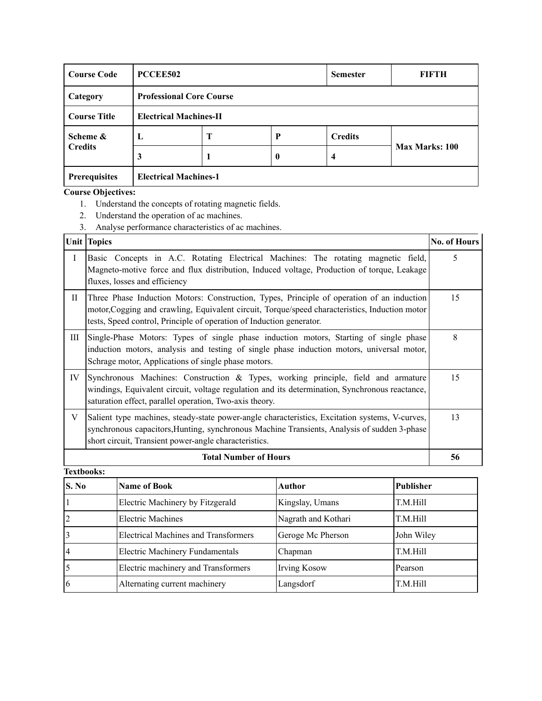| <b>Course Code</b>   | PCCEE502                      |                                 |                  | <b>Semester</b> | FIFTH                 |  |  |  |
|----------------------|-------------------------------|---------------------------------|------------------|-----------------|-----------------------|--|--|--|
| Category             |                               | <b>Professional Core Course</b> |                  |                 |                       |  |  |  |
| <b>Course Title</b>  | <b>Electrical Machines-II</b> |                                 |                  |                 |                       |  |  |  |
| Scheme &             | L                             | Т                               | P                | <b>Credits</b>  |                       |  |  |  |
| <b>Credits</b>       | 3                             |                                 | $\boldsymbol{0}$ | 4               | <b>Max Marks: 100</b> |  |  |  |
| <b>Prerequisites</b> | <b>Electrical Machines-1</b>  |                                 |                  |                 |                       |  |  |  |

- 1. Understand the concepts of rotating magnetic fields.
- 2. Understand the operation of ac machines.
- 3. Analyse performance characteristics of ac machines.

|              | <b>Unit Topics</b>                                                                                                                                                                                                                                                  | <b>No. of Hours</b> |
|--------------|---------------------------------------------------------------------------------------------------------------------------------------------------------------------------------------------------------------------------------------------------------------------|---------------------|
| Ι            | Basic Concepts in A.C. Rotating Electrical Machines: The rotating magnetic field,<br>Magneto-motive force and flux distribution, Induced voltage, Production of torque, Leakage<br>fluxes, losses and efficiency                                                    | 5                   |
| $\mathbf{I}$ | Three Phase Induction Motors: Construction, Types, Principle of operation of an induction<br>motor, Cogging and crawling, Equivalent circuit, Torque/speed characteristics, Induction motor<br>tests, Speed control, Principle of operation of Induction generator. | 15                  |
| Ш            | Single-Phase Motors: Types of single phase induction motors, Starting of single phase<br>induction motors, analysis and testing of single phase induction motors, universal motor,<br>Schrage motor, Applications of single phase motors.                           | 8                   |
| IV           | Synchronous Machines: Construction & Types, working principle, field and armature<br>windings, Equivalent circuit, voltage regulation and its determination, Synchronous reactance,<br>saturation effect, parallel operation, Two-axis theory.                      | 15                  |
| V            | Salient type machines, steady-state power-angle characteristics, Excitation systems, V-curves,<br>synchronous capacitors, Hunting, synchronous Machine Transients, Analysis of sudden 3-phase<br>short circuit, Transient power-angle characteristics.              | 13                  |
|              | <b>Total Number of Hours</b>                                                                                                                                                                                                                                        | 56                  |

| S. No         | <b>Name of Book</b>                         | Author              | Publisher  |
|---------------|---------------------------------------------|---------------------|------------|
|               | Electric Machinery by Fitzgerald            | Kingslay, Umans     | T.M.Hill   |
|               | Electric Machines                           | Nagrath and Kothari | T.M.Hill   |
|               | <b>Electrical Machines and Transformers</b> | Geroge Mc Pherson   | John Wiley |
|               | Electric Machinery Fundamentals             | Chapman             | T.M.Hill   |
|               | Electric machinery and Transformers         | <b>Irving Kosow</b> | Pearson    |
| $\mathfrak b$ | Alternating current machinery               | Langsdorf           | T.M.Hill   |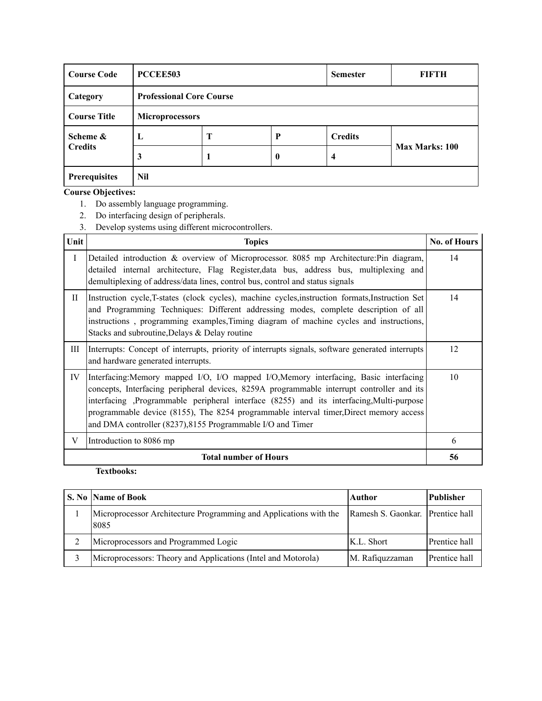| <b>Course Code</b>  | PCCEE503               |                                 | <b>Semester</b> | FIFTH          |                       |  |  |  |
|---------------------|------------------------|---------------------------------|-----------------|----------------|-----------------------|--|--|--|
| Category            |                        | <b>Professional Core Course</b> |                 |                |                       |  |  |  |
| <b>Course Title</b> | <b>Microprocessors</b> |                                 |                 |                |                       |  |  |  |
| Scheme &            | L                      | Т                               | P               | <b>Credits</b> |                       |  |  |  |
| <b>Credits</b>      | 3                      |                                 | $\bf{0}$        | 4              | <b>Max Marks: 100</b> |  |  |  |
| Prerequisites       | Nil                    |                                 |                 |                |                       |  |  |  |

- 1. Do assembly language programming.
- 2. Do interfacing design of peripherals.
- 3. Develop systems using different microcontrollers.

| Unit         | <b>Topics</b>                                                                                                                                                                                                                                                                                                                                                                                                                         | <b>No. of Hours</b> |
|--------------|---------------------------------------------------------------------------------------------------------------------------------------------------------------------------------------------------------------------------------------------------------------------------------------------------------------------------------------------------------------------------------------------------------------------------------------|---------------------|
| $\mathbf{I}$ | Detailed introduction & overview of Microprocessor. 8085 mp Architecture: Pin diagram,<br>detailed internal architecture, Flag Register, data bus, address bus, multiplexing and<br>demultiplexing of address/data lines, control bus, control and status signals                                                                                                                                                                     | 14                  |
| H            | Instruction cycle, T-states (clock cycles), machine cycles, instruction formats, Instruction Set<br>and Programming Techniques: Different addressing modes, complete description of all<br>instructions, programming examples, Timing diagram of machine cycles and instructions,<br>Stacks and subroutine, Delays & Delay routine                                                                                                    | 14                  |
| Ш            | Interrupts: Concept of interrupts, priority of interrupts signals, software generated interrupts<br>and hardware generated interrupts.                                                                                                                                                                                                                                                                                                | 12                  |
| IV           | Interfacing: Memory mapped I/O, I/O mapped I/O, Memory interfacing, Basic interfacing<br>concepts, Interfacing peripheral devices, 8259A programmable interrupt controller and its<br>interfacing ,Programmable peripheral interface (8255) and its interfacing,Multi-purpose<br>programmable device (8155), The 8254 programmable interval timer, Direct memory access<br>and DMA controller (8237), 8155 Programmable I/O and Timer | 10                  |
| V            | Introduction to 8086 mp                                                                                                                                                                                                                                                                                                                                                                                                               | 6                   |
|              | <b>Total number of Hours</b>                                                                                                                                                                                                                                                                                                                                                                                                          | 56                  |

| S. No Name of Book                                                        | Author                           | <b>Publisher</b> |
|---------------------------------------------------------------------------|----------------------------------|------------------|
| Microprocessor Architecture Programming and Applications with the<br>8085 | Ramesh S. Gaonkar. Prentice hall |                  |
| Microprocessors and Programmed Logic                                      | K.L. Short                       | Prentice hall    |
| Microprocessors: Theory and Applications (Intel and Motorola)             | M. Rafiquzzaman                  | Prentice hall    |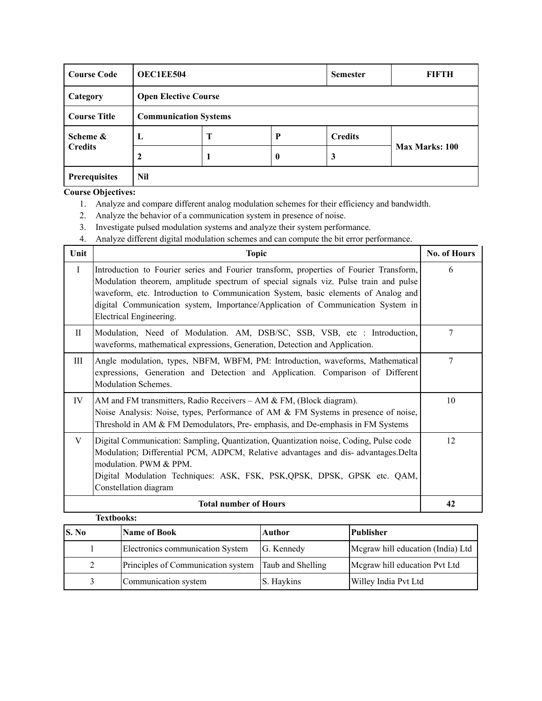| <b>Course Code</b>   | <b>OEC1EE504</b>             |   | <b>Semester</b> | FIFTH          |                       |
|----------------------|------------------------------|---|-----------------|----------------|-----------------------|
| Category             | <b>Open Elective Course</b>  |   |                 |                |                       |
| <b>Course Title</b>  | <b>Communication Systems</b> |   |                 |                |                       |
| Scheme &             | L                            | Т | P               | <b>Credits</b> |                       |
| <b>Credits</b>       |                              |   | $\bf{0}$        | 3              | <b>Max Marks: 100</b> |
| Nil<br>Prerequisites |                              |   |                 |                |                       |

- 1. Analyze and compare different analog modulation schemes for their efficiency and bandwidth.
- 2. Analyze the behavior of a communication system in presence of noise.
- 3. Investigate pulsed modulation systems and analyze their system performance.
- 4. Analyze different digital modulation schemes and can compute the bit error performance.

| Unit        | <b>Topic</b>                                                                                                                                                                                                                                                                                                                                                                      | No. of Hours |
|-------------|-----------------------------------------------------------------------------------------------------------------------------------------------------------------------------------------------------------------------------------------------------------------------------------------------------------------------------------------------------------------------------------|--------------|
| $\mathbf I$ | Introduction to Fourier series and Fourier transform, properties of Fourier Transform,<br>Modulation theorem, amplitude spectrum of special signals viz. Pulse train and pulse<br>waveform, etc. Introduction to Communication System, basic elements of Analog and<br>digital Communication system, Importance/Application of Communication System in<br>Electrical Engineering. | 6            |
| $\rm II$    | Modulation, Need of Modulation. AM, DSB/SC, SSB, VSB, etc : Introduction,<br>waveforms, mathematical expressions, Generation, Detection and Application.                                                                                                                                                                                                                          | 7            |
| Ш           | Angle modulation, types, NBFM, WBFM, PM: Introduction, waveforms, Mathematical<br>expressions, Generation and Detection and Application. Comparison of Different<br>Modulation Schemes.                                                                                                                                                                                           | 7            |
| IV          | AM and FM transmitters, Radio Receivers $-$ AM & FM, (Block diagram).<br>Noise Analysis: Noise, types, Performance of AM & FM Systems in presence of noise,<br>Threshold in AM & FM Demodulators, Pre-emphasis, and De-emphasis in FM Systems                                                                                                                                     | 10           |
| V           | Digital Communication: Sampling, Quantization, Quantization noise, Coding, Pulse code<br>Modulation; Differential PCM, ADPCM, Relative advantages and dis-advantages.Delta<br>modulation. PWM & PPM.<br>Digital Modulation Techniques: ASK, FSK, PSK, QPSK, DPSK, GPSK etc. QAM,<br>Constellation diagram                                                                         | 12           |
|             | <b>Total number of Hours</b>                                                                                                                                                                                                                                                                                                                                                      | 42           |

| <b>Textbooks:</b> |                                    |                   |                                   |
|-------------------|------------------------------------|-------------------|-----------------------------------|
| S. No             | <b>Name of Book</b>                | <b>Author</b>     | Publisher                         |
|                   | Electronics communication System   | G. Kennedy        | Megraw hill education (India) Ltd |
| $\mathcal{L}$     | Principles of Communication system | Taub and Shelling | Megraw hill education Pvt Ltd     |
|                   | Communication system               | S. Haykins        | Willey India Pvt Ltd              |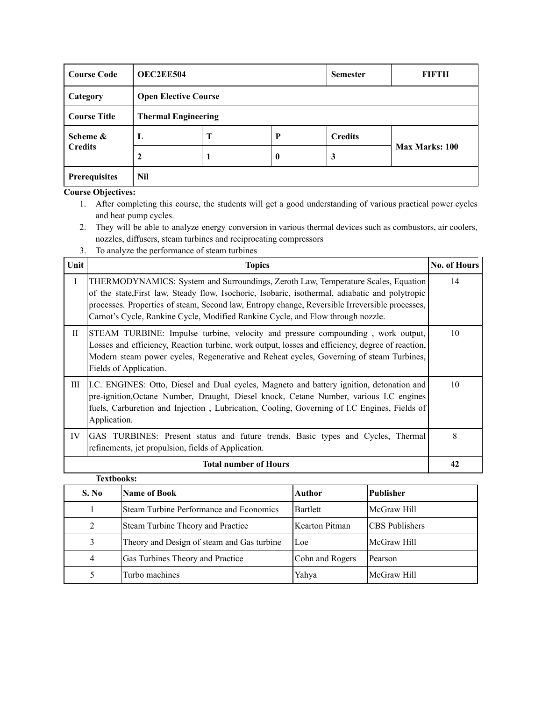| <b>Course Code</b>   |                             | <b>OEC2EE504</b>           |          |                | FIFTH          |  |
|----------------------|-----------------------------|----------------------------|----------|----------------|----------------|--|
| Category             | <b>Open Elective Course</b> |                            |          |                |                |  |
| <b>Course Title</b>  |                             | <b>Thermal Engineering</b> |          |                |                |  |
| Scheme &             | $\mathbf{L}$                | Т                          | P        | <b>Credits</b> |                |  |
| <b>Credits</b>       | 2                           |                            | $\bf{0}$ | 3              | Max Marks: 100 |  |
| <b>Prerequisites</b> | Nil                         |                            |          |                |                |  |

- 1. After completing this course, the students will get a good understanding of various practical power cycles and heat pump cycles.
- 2. They will be able to analyze energy conversion in various thermal devices such as combustors, air coolers, nozzles, diffusers, steam turbines and reciprocating compressors
- 3. To analyze the performance of steam turbines

| Unit        | <b>Topics</b>                                                                                                                                                                                                                                                                                                                                                             | <b>No. of Hours</b> |
|-------------|---------------------------------------------------------------------------------------------------------------------------------------------------------------------------------------------------------------------------------------------------------------------------------------------------------------------------------------------------------------------------|---------------------|
| $\mathbf I$ | THERMODYNAMICS: System and Surroundings, Zeroth Law, Temperature Scales, Equation<br>of the state, First law, Steady flow, Isochoric, Isobaric, isothermal, adiabatic and polytropic<br>processes. Properties of steam, Second law, Entropy change, Reversible Irreversible processes,<br>Carnot's Cycle, Rankine Cycle, Modified Rankine Cycle, and Flow through nozzle. | 14                  |
| $_{\rm II}$ | STEAM TURBINE: Impulse turbine, velocity and pressure compounding, work output,<br>Losses and efficiency, Reaction turbine, work output, losses and efficiency, degree of reaction,<br>Modern steam power cycles, Regenerative and Reheat cycles, Governing of steam Turbines,<br>Fields of Application.                                                                  | 10                  |
| Ш           | L.C. ENGINES: Otto, Diesel and Dual cycles, Magneto and battery ignition, detonation and<br>pre-ignition, Octane Number, Draught, Diesel knock, Cetane Number, various I.C engines<br>fuels, Carburetion and Injection, Lubrication, Cooling, Governing of I.C Engines, Fields of<br>Application.                                                                         | 10                  |
| IV          | GAS TURBINES: Present status and future trends, Basic types and Cycles, Thermal<br>refinements, jet propulsion, fields of Application.                                                                                                                                                                                                                                    | 8                   |
|             | <b>Total number of Hours</b>                                                                                                                                                                                                                                                                                                                                              | 42                  |

| <b>Textbooks:</b> |                                            |                 |                       |  |  |  |
|-------------------|--------------------------------------------|-----------------|-----------------------|--|--|--|
| S. No             | <b>Name of Book</b>                        | <b>Author</b>   | <b>Publisher</b>      |  |  |  |
|                   | Steam Turbine Performance and Economics    | <b>Bartlett</b> | McGraw Hill           |  |  |  |
| 2                 | Steam Turbine Theory and Practice          | Kearton Pitman  | <b>CBS</b> Publishers |  |  |  |
| 3                 | Theory and Design of steam and Gas turbine | Loe             | McGraw Hill           |  |  |  |
| 4                 | Gas Turbines Theory and Practice           | Cohn and Rogers | Pearson               |  |  |  |
|                   | Turbo machines                             | Yahya           | McGraw Hill           |  |  |  |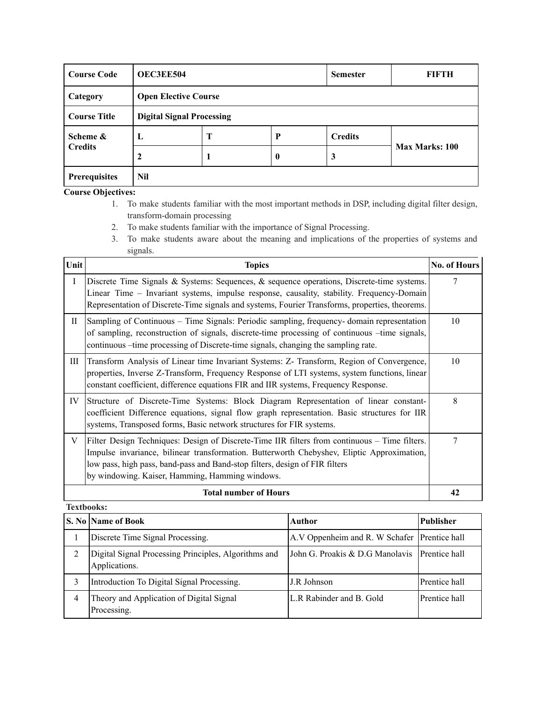| <b>Course Code</b>          | <b>OEC3EE504</b>                 |   | <b>Semester</b>  | FIFTH          |                       |  |
|-----------------------------|----------------------------------|---|------------------|----------------|-----------------------|--|
| Category                    | <b>Open Elective Course</b>      |   |                  |                |                       |  |
| <b>Course Title</b>         | <b>Digital Signal Processing</b> |   |                  |                |                       |  |
| Scheme &                    | L                                | Т | P                | <b>Credits</b> |                       |  |
| <b>Credits</b>              |                                  |   | $\boldsymbol{0}$ | 3              | <b>Max Marks: 100</b> |  |
| <b>Nil</b><br>Prerequisites |                                  |   |                  |                |                       |  |

- 1. To make students familiar with the most important methods in DSP, including digital filter design, transform-domain processing
- 2. To make students familiar with the importance of Signal Processing.
- 3. To make students aware about the meaning and implications of the properties of systems and signals.

| Unit      | <b>Topics</b>                                                                                                                                                                                                                                                                                                                 | <b>No. of Hours</b> |  |  |  |
|-----------|-------------------------------------------------------------------------------------------------------------------------------------------------------------------------------------------------------------------------------------------------------------------------------------------------------------------------------|---------------------|--|--|--|
| $\bf{I}$  | Discrete Time Signals & Systems: Sequences, & sequence operations, Discrete-time systems.<br>Linear Time - Invariant systems, impulse response, causality, stability. Frequency-Domain<br>Representation of Discrete-Time signals and systems, Fourier Transforms, properties, theorems.                                      | 7                   |  |  |  |
| $\rm{II}$ | Sampling of Continuous – Time Signals: Periodic sampling, frequency-domain representation<br>of sampling, reconstruction of signals, discrete-time processing of continuous -time signals,<br>continuous – time processing of Discrete-time signals, changing the sampling rate.                                              |                     |  |  |  |
| Ш         | Transform Analysis of Linear time Invariant Systems: Z- Transform, Region of Convergence,<br>properties, Inverse Z-Transform, Frequency Response of LTI systems, system functions, linear<br>constant coefficient, difference equations FIR and IIR systems, Frequency Response.                                              | 10                  |  |  |  |
| IV        | Structure of Discrete-Time Systems: Block Diagram Representation of linear constant-<br>coefficient Difference equations, signal flow graph representation. Basic structures for IIR<br>systems, Transposed forms, Basic network structures for FIR systems.                                                                  | 8                   |  |  |  |
| V         | Filter Design Techniques: Design of Discrete-Time IIR filters from continuous – Time filters.<br>Impulse invariance, bilinear transformation. Butterworth Chebyshev, Eliptic Approximation,<br>low pass, high pass, band-pass and Band-stop filters, design of FIR filters<br>by windowing. Kaiser, Hamming, Hamming windows. | 7                   |  |  |  |
|           | <b>Total number of Hours</b>                                                                                                                                                                                                                                                                                                  | 42                  |  |  |  |

|   | <b>S. No  Name of Book</b>                                            | Author                                        | <b>Publisher</b> |
|---|-----------------------------------------------------------------------|-----------------------------------------------|------------------|
|   | Discrete Time Signal Processing.                                      | A.V Oppenheim and R. W Schafer Prentice hall  |                  |
| 2 | Digital Signal Processing Principles, Algorithms and<br>Applications. | John G. Proakis & D.G Manolavis Prentice hall |                  |
|   | Introduction To Digital Signal Processing.                            | J.R Johnson                                   | Prentice hall    |
| 4 | Theory and Application of Digital Signal<br>Processing.               | L.R Rabinder and B. Gold                      | Prentice hall    |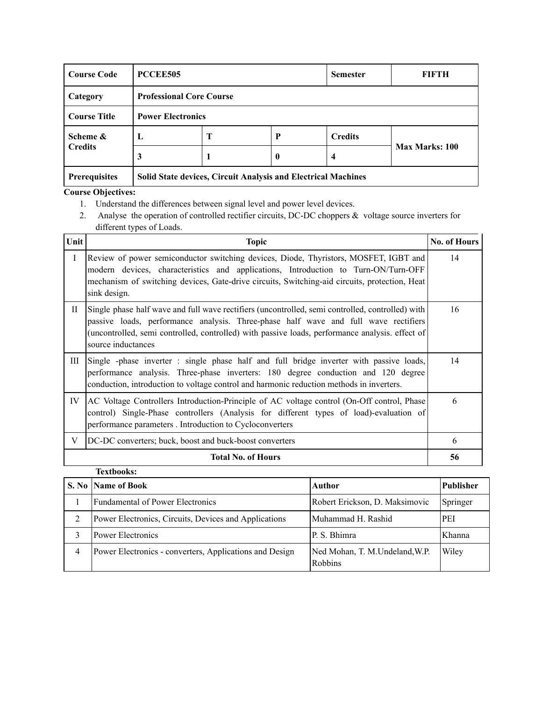| <b>Course Code</b>                                                                    | PCCEE505                        |   | <b>Semester</b> | FIFTH          |                |  |
|---------------------------------------------------------------------------------------|---------------------------------|---|-----------------|----------------|----------------|--|
| Category                                                                              | <b>Professional Core Course</b> |   |                 |                |                |  |
| <b>Course Title</b>                                                                   | <b>Power Electronics</b>        |   |                 |                |                |  |
| Scheme &                                                                              | L                               | T | P               | <b>Credits</b> |                |  |
| <b>Credits</b>                                                                        | 3                               |   | $\mathbf{0}$    | 4              | Max Marks: 100 |  |
| <b>Prerequisites</b><br>Solid State devices, Circuit Analysis and Electrical Machines |                                 |   |                 |                |                |  |

- 1. Understand the differences between signal level and power level devices.
- 2. Analyse the operation of controlled rectifier circuits, DC-DC choppers & voltage source inverters for different types of Loads.

| Unit    | <b>Topic</b>                                                                                                                                                                                                                                                                                                     | No. of Hours |
|---------|------------------------------------------------------------------------------------------------------------------------------------------------------------------------------------------------------------------------------------------------------------------------------------------------------------------|--------------|
| $\bf I$ | Review of power semiconductor switching devices, Diode, Thyristors, MOSFET, IGBT and<br>modern devices, characteristics and applications, Introduction to Turn-ON/Turn-OFF<br>mechanism of switching devices, Gate-drive circuits, Switching-aid circuits, protection, Heat<br>sink design.                      | 14           |
| П       | Single phase half wave and full wave rectifiers (uncontrolled, semi controlled, controlled) with<br>passive loads, performance analysis. Three-phase half wave and full wave rectifiers<br>(uncontrolled, semi controlled, controlled) with passive loads, performance analysis. effect of<br>source inductances | 16           |
| Ш       | Single -phase inverter : single phase half and full bridge inverter with passive loads,<br>performance analysis. Three-phase inverters: 180 degree conduction and 120 degree<br>conduction, introduction to voltage control and harmonic reduction methods in inverters.                                         | 14           |
| IV      | AC Voltage Controllers Introduction-Principle of AC voltage control (On-Off control, Phase<br>control) Single-Phase controllers (Analysis for different types of load)-evaluation of<br>performance parameters . Introduction to Cycloconverters                                                                 | 6            |
| V       | DC-DC converters; buck, boost and buck-boost converters                                                                                                                                                                                                                                                          | 6            |
|         | <b>Total No. of Hours</b>                                                                                                                                                                                                                                                                                        | 56           |
|         | <b>Textbooks:</b>                                                                                                                                                                                                                                                                                                |              |

|   | S. No Name of Book                                      | Author                                           | Publisher |
|---|---------------------------------------------------------|--------------------------------------------------|-----------|
|   | <b>Fundamental of Power Electronics</b>                 | Robert Erickson, D. Maksimovic                   | Springer  |
|   | Power Electronics, Circuits, Devices and Applications   | Muhammad H. Rashid                               | PEI       |
|   | <b>Power Electronics</b>                                | P. S. Bhimra                                     | Khanna    |
| 4 | Power Electronics - converters, Applications and Design | Ned Mohan, T. M.Undeland, W.P.<br><b>Robbins</b> | Wiley     |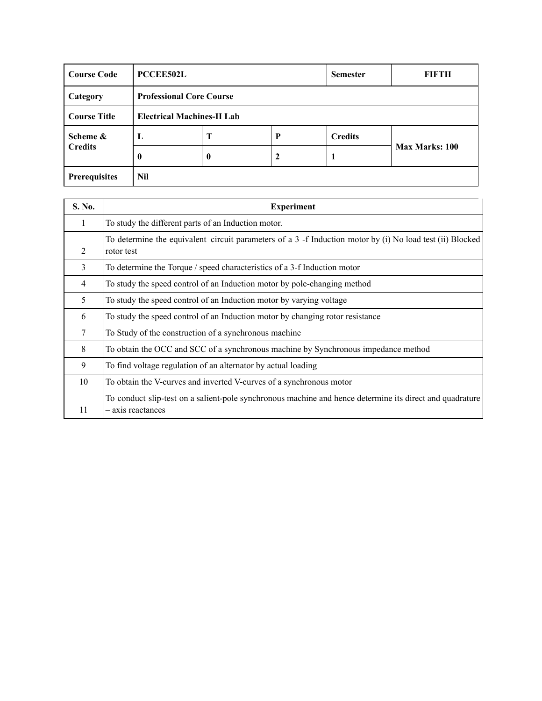| <b>Course Code</b>  | <b>PCCEE502L</b>                  |   |   | <b>Semester</b> | FIFTH                 |
|---------------------|-----------------------------------|---|---|-----------------|-----------------------|
| Category            | <b>Professional Core Course</b>   |   |   |                 |                       |
| <b>Course Title</b> | <b>Electrical Machines-II Lab</b> |   |   |                 |                       |
| Scheme &            | L                                 | Т | P | <b>Credits</b>  | <b>Max Marks: 100</b> |
| <b>Credits</b>      | 0                                 | 0 | 2 | п               |                       |
| Prerequisites       | Nil                               |   |   |                 |                       |

| S. No.         | <b>Experiment</b>                                                                                                           |
|----------------|-----------------------------------------------------------------------------------------------------------------------------|
| 1              | To study the different parts of an Induction motor.                                                                         |
| 2              | To determine the equivalent–circuit parameters of a 3 -f Induction motor by (i) No load test (ii) Blocked<br>rotor test     |
| 3              | To determine the Torque / speed characteristics of a 3-f Induction motor                                                    |
| $\overline{4}$ | To study the speed control of an Induction motor by pole-changing method                                                    |
| 5              | To study the speed control of an Induction motor by varying voltage                                                         |
| 6              | To study the speed control of an Induction motor by changing rotor resistance                                               |
| 7              | To Study of the construction of a synchronous machine                                                                       |
| 8              | To obtain the OCC and SCC of a synchronous machine by Synchronous impedance method                                          |
| 9              | To find voltage regulation of an alternator by actual loading                                                               |
| 10             | To obtain the V-curves and inverted V-curves of a synchronous motor                                                         |
| 11             | To conduct slip-test on a salient-pole synchronous machine and hence determine its direct and quadrature<br>axis reactances |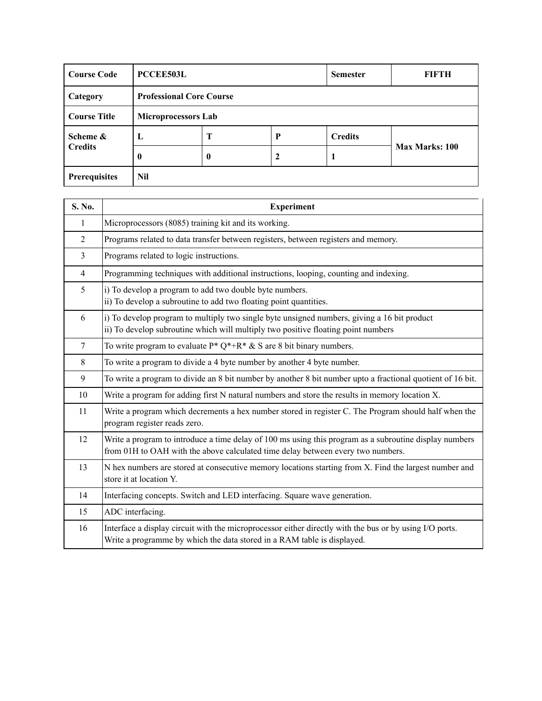| <b>Course Code</b>  | <b>PCCEE503L</b> |                                 |   | <b>Semester</b> | FIFTH          |
|---------------------|------------------|---------------------------------|---|-----------------|----------------|
| Category            |                  | <b>Professional Core Course</b> |   |                 |                |
| <b>Course Title</b> |                  | <b>Microprocessors Lab</b>      |   |                 |                |
| Scheme &            | L                | Т                               | P | <b>Credits</b>  | Max Marks: 100 |
| <b>Credits</b>      | 0                | 0                               | 2 |                 |                |
| Prerequisites       | Nil              |                                 |   |                 |                |

| S. No.         | <b>Experiment</b>                                                                                                                                                                         |
|----------------|-------------------------------------------------------------------------------------------------------------------------------------------------------------------------------------------|
| 1              | Microprocessors (8085) training kit and its working.                                                                                                                                      |
| $\overline{2}$ | Programs related to data transfer between registers, between registers and memory.                                                                                                        |
| $\overline{3}$ | Programs related to logic instructions.                                                                                                                                                   |
| $\overline{4}$ | Programming techniques with additional instructions, looping, counting and indexing.                                                                                                      |
| 5              | i) To develop a program to add two double byte numbers.<br>ii) To develop a subroutine to add two floating point quantities.                                                              |
| 6              | i) To develop program to multiply two single byte unsigned numbers, giving a 16 bit product<br>ii) To develop subroutine which will multiply two positive floating point numbers          |
| $\tau$         | To write program to evaluate $P^* Q^{*+} R^{*} \& S$ are 8 bit binary numbers.                                                                                                            |
| 8              | To write a program to divide a 4 byte number by another 4 byte number.                                                                                                                    |
| 9              | To write a program to divide an 8 bit number by another 8 bit number upto a fractional quotient of 16 bit.                                                                                |
| 10             | Write a program for adding first N natural numbers and store the results in memory location X.                                                                                            |
| 11             | Write a program which decrements a hex number stored in register C. The Program should half when the<br>program register reads zero.                                                      |
| 12             | Write a program to introduce a time delay of 100 ms using this program as a subroutine display numbers<br>from 01H to OAH with the above calculated time delay between every two numbers. |
| 13             | N hex numbers are stored at consecutive memory locations starting from X. Find the largest number and<br>store it at location Y.                                                          |
| 14             | Interfacing concepts. Switch and LED interfacing. Square wave generation.                                                                                                                 |
| 15             | ADC interfacing.                                                                                                                                                                          |
| 16             | Interface a display circuit with the microprocessor either directly with the bus or by using I/O ports.<br>Write a programme by which the data stored in a RAM table is displayed.        |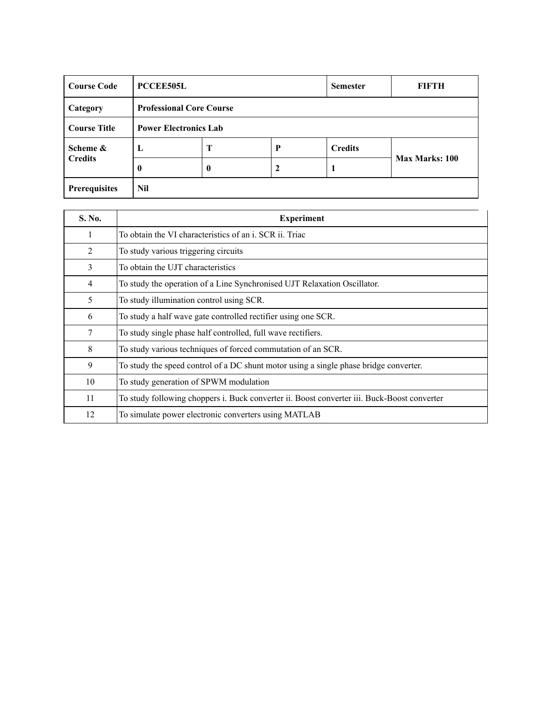| <b>Course Code</b>  | <b>PCCEE505L</b>                |                  |   | <b>Semester</b> | FIFTH                 |
|---------------------|---------------------------------|------------------|---|-----------------|-----------------------|
| Category            | <b>Professional Core Course</b> |                  |   |                 |                       |
| <b>Course Title</b> | <b>Power Electronics Lab</b>    |                  |   |                 |                       |
| Scheme &            | L                               | T                | P | <b>Credits</b>  | <b>Max Marks: 100</b> |
| <b>Credits</b>      | $\bf{0}$                        | $\boldsymbol{0}$ | 2 | 1               |                       |
| Prerequisites       | Nil                             |                  |   |                 |                       |

| S. No.         | <b>Experiment</b>                                                                           |
|----------------|---------------------------------------------------------------------------------------------|
| 1              | To obtain the VI characteristics of an i. SCR ii. Triac                                     |
| 2              | To study various triggering circuits                                                        |
| 3              | To obtain the UJT characteristics                                                           |
| $\overline{4}$ | To study the operation of a Line Synchronised UJT Relaxation Oscillator.                    |
| 5              | To study illumination control using SCR.                                                    |
| 6              | To study a half wave gate controlled rectifier using one SCR.                               |
| 7              | To study single phase half controlled, full wave rectifiers.                                |
| 8              | To study various techniques of forced commutation of an SCR.                                |
| 9              | To study the speed control of a DC shunt motor using a single phase bridge converter.       |
| 10             | To study generation of SPWM modulation                                                      |
| 11             | To study following choppers i. Buck converter ii. Boost converter iii. Buck-Boost converter |
| 12             | To simulate power electronic converters using MATLAB                                        |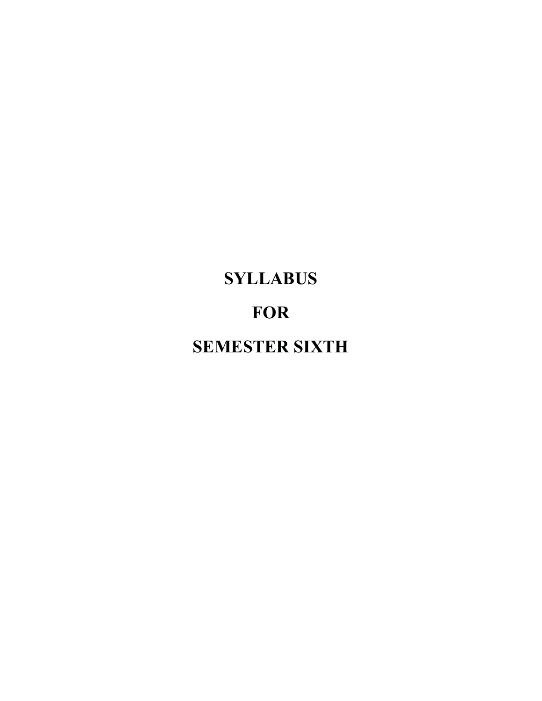# **SYLLABUS FOR SEMESTER SIXTH**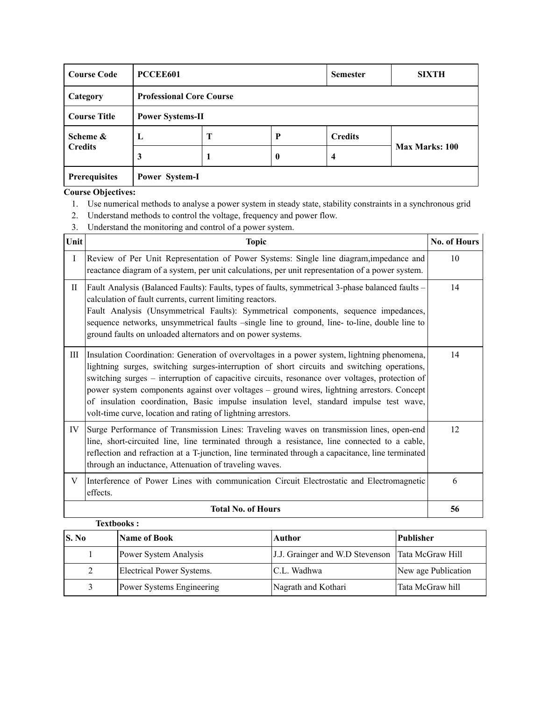| <b>Course Code</b>   | PCCEE601                |                                 |          | <b>Semester</b> | <b>SIXTH</b>   |  |
|----------------------|-------------------------|---------------------------------|----------|-----------------|----------------|--|
| Category             |                         | <b>Professional Core Course</b> |          |                 |                |  |
| <b>Course Title</b>  | <b>Power Systems-II</b> |                                 |          |                 |                |  |
| Scheme &             | L                       | Т                               | P        | <b>Credits</b>  |                |  |
| <b>Credits</b>       | 3                       |                                 | $\bf{0}$ | 4               | Max Marks: 100 |  |
| <b>Prerequisites</b> | Power System-I          |                                 |          |                 |                |  |

- 1. Use numerical methods to analyse a power system in steady state, stability constraints in a synchronous grid
- 2. Understand methods to control the voltage, frequency and power flow.
- 3. Understand the monitoring and control of a power system.

| Unit         | <b>Topic</b>                                                                                                                                                                                                                                                                                                                                                                                                                                                                                                                                          | No. of Hours |
|--------------|-------------------------------------------------------------------------------------------------------------------------------------------------------------------------------------------------------------------------------------------------------------------------------------------------------------------------------------------------------------------------------------------------------------------------------------------------------------------------------------------------------------------------------------------------------|--------------|
| $\mathbf{I}$ | Review of Per Unit Representation of Power Systems: Single line diagram, impedance and<br>reactance diagram of a system, per unit calculations, per unit representation of a power system.                                                                                                                                                                                                                                                                                                                                                            | 10           |
| $\rm{II}$    | Fault Analysis (Balanced Faults): Faults, types of faults, symmetrical 3-phase balanced faults -<br>calculation of fault currents, current limiting reactors.<br>Fault Analysis (Unsymmetrical Faults): Symmetrical components, sequence impedances,<br>sequence networks, unsymmetrical faults -single line to ground, line- to-line, double line to<br>ground faults on unloaded alternators and on power systems.                                                                                                                                  | 14           |
| Ш            | Insulation Coordination: Generation of overvoltages in a power system, lightning phenomena,<br>lightning surges, switching surges-interruption of short circuits and switching operations,<br>switching surges – interruption of capacitive circuits, resonance over voltages, protection of<br>power system components against over voltages – ground wires, lightning arrestors. Concept<br>of insulation coordination, Basic impulse insulation level, standard impulse test wave,<br>volt-time curve, location and rating of lightning arrestors. | 14           |
| IV           | Surge Performance of Transmission Lines: Traveling waves on transmission lines, open-end<br>line, short-circuited line, line terminated through a resistance, line connected to a cable,<br>reflection and refraction at a T-junction, line terminated through a capacitance, line terminated<br>through an inductance, Attenuation of traveling waves.                                                                                                                                                                                               | 12           |
| V            | Interference of Power Lines with communication Circuit Electrostatic and Electromagnetic<br>effects.                                                                                                                                                                                                                                                                                                                                                                                                                                                  | 6            |
|              | <b>Total No. of Hours</b>                                                                                                                                                                                                                                                                                                                                                                                                                                                                                                                             | 56           |

| <b>Textbooks:</b> |                           |                                 |                     |  |  |
|-------------------|---------------------------|---------------------------------|---------------------|--|--|
| S. No             | <b>Name of Book</b>       | Author                          | Publisher           |  |  |
|                   | Power System Analysis     | J.J. Grainger and W.D Stevenson | Tata McGraw Hill    |  |  |
|                   | Electrical Power Systems. | C.L. Wadhwa                     | New age Publication |  |  |
|                   | Power Systems Engineering | Nagrath and Kothari             | Tata McGraw hill    |  |  |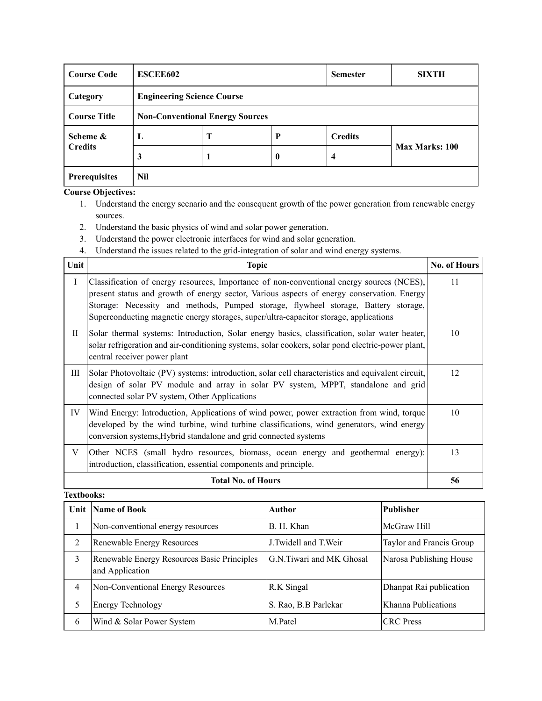| <b>Course Code</b>   | <b>ESCEE602</b>                        |                                   |          | <b>Semester</b> | <b>SIXTH</b>   |  |  |
|----------------------|----------------------------------------|-----------------------------------|----------|-----------------|----------------|--|--|
| Category             |                                        | <b>Engineering Science Course</b> |          |                 |                |  |  |
| <b>Course Title</b>  | <b>Non-Conventional Energy Sources</b> |                                   |          |                 |                |  |  |
| Scheme &             | ┻                                      | Т                                 | P        | <b>Credits</b>  |                |  |  |
| <b>Credits</b>       | 3                                      |                                   | $\bf{0}$ | 4               | Max Marks: 100 |  |  |
| <b>Prerequisites</b> | Nil                                    |                                   |          |                 |                |  |  |

- 1. Understand the energy scenario and the consequent growth of the power generation from renewable energy sources.
- 2. Understand the basic physics of wind and solar power generation.
- 3. Understand the power electronic interfaces for wind and solar generation.
- 4. Understand the issues related to the grid-integration of solar and wind energy systems.

| Unit        | <b>Topic</b>                                                                                                                                                                                                                                                                                                                                                           | <b>No. of Hours</b> |  |  |  |
|-------------|------------------------------------------------------------------------------------------------------------------------------------------------------------------------------------------------------------------------------------------------------------------------------------------------------------------------------------------------------------------------|---------------------|--|--|--|
| $\mathbf I$ | Classification of energy resources, Importance of non-conventional energy sources (NCES),<br>present status and growth of energy sector, Various aspects of energy conservation. Energy<br>Storage: Necessity and methods, Pumped storage, flywheel storage, Battery storage,<br>Superconducting magnetic energy storages, super/ultra-capacitor storage, applications |                     |  |  |  |
| $\rm{II}$   | Solar thermal systems: Introduction, Solar energy basics, classification, solar water heater,<br>solar refrigeration and air-conditioning systems, solar cookers, solar pond electric-power plant,<br>central receiver power plant                                                                                                                                     | 10                  |  |  |  |
| Ш           | Solar Photovoltaic (PV) systems: introduction, solar cell characteristics and equivalent circuit,<br>design of solar PV module and array in solar PV system, MPPT, standalone and grid<br>connected solar PV system, Other Applications                                                                                                                                | 12                  |  |  |  |
| IV          | Wind Energy: Introduction, Applications of wind power, power extraction from wind, torque<br>developed by the wind turbine, wind turbine classifications, wind generators, wind energy<br>conversion systems, Hybrid standalone and grid connected systems                                                                                                             | 10                  |  |  |  |
| V           | Other NCES (small hydro resources, biomass, ocean energy and geothermal energy):<br>introduction, classification, essential components and principle.                                                                                                                                                                                                                  | 13                  |  |  |  |
|             | <b>Total No. of Hours</b>                                                                                                                                                                                                                                                                                                                                              | 56                  |  |  |  |

|   | Unit Name of Book                                              | Author                   | <b>Publisher</b>         |
|---|----------------------------------------------------------------|--------------------------|--------------------------|
|   | Non-conventional energy resources                              | B. H. Khan               | McGraw Hill              |
| 2 | Renewable Energy Resources                                     | J. Twidell and T. Weir   | Taylor and Francis Group |
| 3 | Renewable Energy Resources Basic Principles<br>and Application | G.N.Tiwari and MK Ghosal | Narosa Publishing House  |
| 4 | Non-Conventional Energy Resources                              | R.K Singal               | Dhanpat Rai publication  |
| 5 | Energy Technology                                              | S. Rao, B.B Parlekar     | Khanna Publications      |
| 6 | Wind & Solar Power System                                      | M.Patel                  | <b>CRC</b> Press         |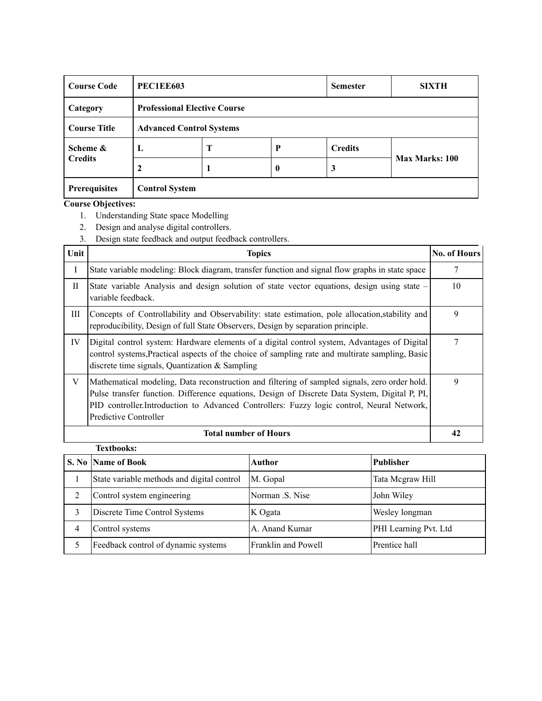| <b>Course Code</b>  | <b>PEC1EE603</b>                |                                     |                  | <b>Semester</b> | <b>SIXTH</b>          |  |
|---------------------|---------------------------------|-------------------------------------|------------------|-----------------|-----------------------|--|
| Category            |                                 | <b>Professional Elective Course</b> |                  |                 |                       |  |
| <b>Course Title</b> | <b>Advanced Control Systems</b> |                                     |                  |                 |                       |  |
| Scheme &            | L                               | Т                                   | P                | <b>Credits</b>  |                       |  |
| <b>Credits</b>      |                                 |                                     | $\boldsymbol{0}$ | 3               | <b>Max Marks: 100</b> |  |
| Prerequisites       | <b>Control System</b>           |                                     |                  |                 |                       |  |

- 1. Understanding State space Modelling
- 2. Design and analyse digital controllers.
- 3. Design state feedback and output feedback controllers.

| Unit        | Topics                                                                                                                                                                                                                                                                                                               | No. of Hours |
|-------------|----------------------------------------------------------------------------------------------------------------------------------------------------------------------------------------------------------------------------------------------------------------------------------------------------------------------|--------------|
| I           | State variable modeling: Block diagram, transfer function and signal flow graphs in state space                                                                                                                                                                                                                      | 7            |
| $_{\rm II}$ | State variable Analysis and design solution of state vector equations, design using state –<br>variable feedback.                                                                                                                                                                                                    | 10           |
| Ш           | Concepts of Controllability and Observability: state estimation, pole allocation, stability and<br>reproducibility, Design of full State Observers, Design by separation principle.                                                                                                                                  | 9            |
| IV          | Digital control system: Hardware elements of a digital control system, Advantages of Digital<br>control systems, Practical aspects of the choice of sampling rate and multirate sampling, Basic<br>discrete time signals, Quantization $&$ Sampling                                                                  | 7            |
| V           | Mathematical modeling, Data reconstruction and filtering of sampled signals, zero order hold.<br>Pulse transfer function. Difference equations, Design of Discrete Data System, Digital P, PI,<br>PID controller.Introduction to Advanced Controllers: Fuzzy logic control, Neural Network,<br>Predictive Controller | 9            |
|             | <b>Total number of Hours</b>                                                                                                                                                                                                                                                                                         | 42           |

|   | <b>Textbooks:</b>                          |                     |                       |
|---|--------------------------------------------|---------------------|-----------------------|
|   | S. No Name of Book                         | Author              | Publisher             |
|   | State variable methods and digital control | M. Gopal            | Tata Megraw Hill      |
| 2 | Control system engineering                 | Norman .S. Nise     | John Wiley            |
| 3 | Discrete Time Control Systems              | K Ogata             | Wesley longman        |
| 4 | Control systems                            | A. Anand Kumar      | PHI Learning Pvt. Ltd |
|   | Feedback control of dynamic systems        | Franklin and Powell | Prentice hall         |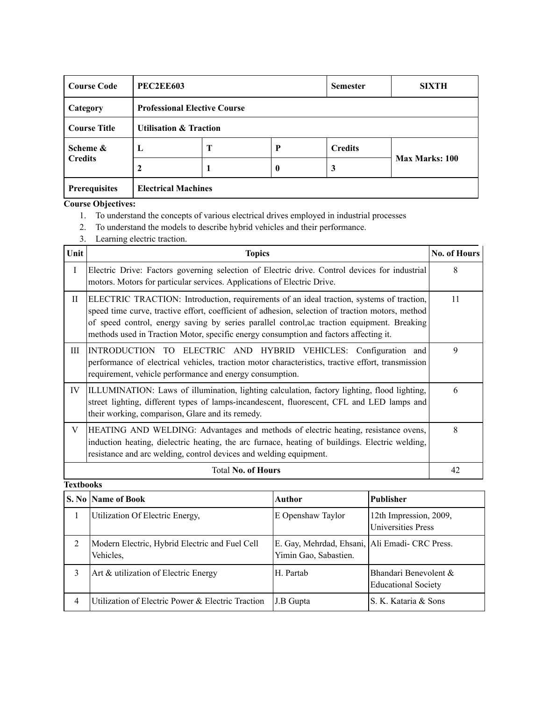| <b>Course Code</b>   | <b>PEC2EE603</b>                  |                                     |                  | <b>Semester</b> | <b>SIXTH</b>   |  |
|----------------------|-----------------------------------|-------------------------------------|------------------|-----------------|----------------|--|
| Category             |                                   | <b>Professional Elective Course</b> |                  |                 |                |  |
| <b>Course Title</b>  | <b>Utilisation &amp; Traction</b> |                                     |                  |                 |                |  |
| Scheme &             | L                                 | T                                   | P                | <b>Credits</b>  |                |  |
| <b>Credits</b>       |                                   |                                     | $\boldsymbol{0}$ | 3               | Max Marks: 100 |  |
| <b>Prerequisites</b> | <b>Electrical Machines</b>        |                                     |                  |                 |                |  |

- 1. To understand the concepts of various electrical drives employed in industrial processes
- 2. To understand the models to describe hybrid vehicles and their performance.
- 3. Learning electric traction.

| Unit         | <b>Topics</b>                                                                                                                                                                                                                                                                                                                                                                        | <b>No. of Hours</b> |
|--------------|--------------------------------------------------------------------------------------------------------------------------------------------------------------------------------------------------------------------------------------------------------------------------------------------------------------------------------------------------------------------------------------|---------------------|
| $\mathbf{I}$ | Electric Drive: Factors governing selection of Electric drive. Control devices for industrial<br>motors. Motors for particular services. Applications of Electric Drive.                                                                                                                                                                                                             | 8                   |
| П            | ELECTRIC TRACTION: Introduction, requirements of an ideal traction, systems of traction,<br>speed time curve, tractive effort, coefficient of adhesion, selection of traction motors, method<br>of speed control, energy saving by series parallel control, ac traction equipment. Breaking<br>methods used in Traction Motor, specific energy consumption and factors affecting it. | 11                  |
| Ш            | INTRODUCTION TO ELECTRIC AND HYBRID VEHICLES: Configuration and<br>performance of electrical vehicles, traction motor characteristics, tractive effort, transmission<br>requirement, vehicle performance and energy consumption.                                                                                                                                                     | 9                   |
| IV           | ILLUMINATION: Laws of illumination, lighting calculation, factory lighting, flood lighting,<br>street lighting, different types of lamps-incandescent, fluorescent, CFL and LED lamps and<br>their working, comparison, Glare and its remedy.                                                                                                                                        | 6                   |
| V            | HEATING AND WELDING: Advantages and methods of electric heating, resistance ovens,<br>induction heating, dielectric heating, the arc furnace, heating of buildings. Electric welding,<br>resistance and arc welding, control devices and welding equipment.                                                                                                                          | 8                   |
|              | <b>Total No. of Hours</b>                                                                                                                                                                                                                                                                                                                                                            | 42                  |

|   | S. No Name of Book                                          | Author                                                                  | <b>Publisher</b>                                    |
|---|-------------------------------------------------------------|-------------------------------------------------------------------------|-----------------------------------------------------|
|   | Utilization Of Electric Energy,                             | E Openshaw Taylor                                                       | 12th Impression, 2009,<br>Universities Press        |
|   | Modern Electric, Hybrid Electric and Fuel Cell<br>Vehicles, | E. Gay, Mehrdad, Ehsani, Ali Emadi- CRC Press.<br>Yimin Gao, Sabastien. |                                                     |
| 3 | Art & utilization of Electric Energy                        | H. Partab                                                               | Bhandari Benevolent &<br><b>Educational Society</b> |
| 4 | Utilization of Electric Power & Electric Traction           | J.B Gupta                                                               | S. K. Kataria & Sons                                |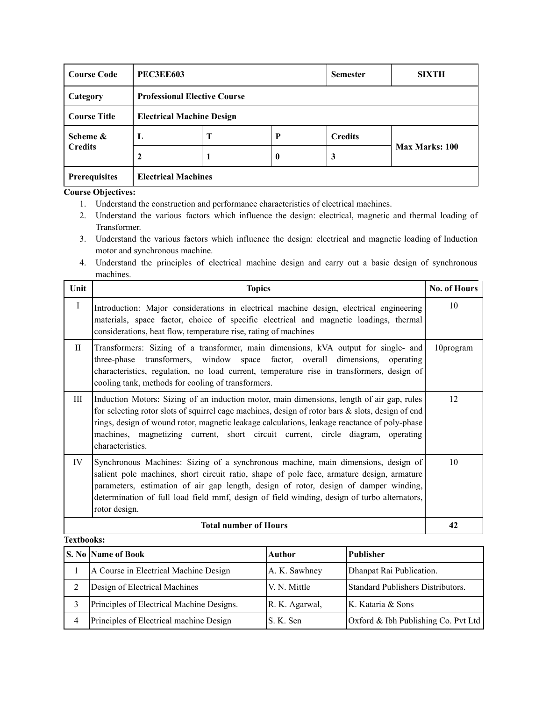| <b>Course Code</b>         |                            | <b>PEC3EE603</b><br><b>Semester</b> |          |                | <b>SIXTH</b>   |  |
|----------------------------|----------------------------|-------------------------------------|----------|----------------|----------------|--|
| Category                   |                            | <b>Professional Elective Course</b> |          |                |                |  |
| <b>Course Title</b>        |                            | <b>Electrical Machine Design</b>    |          |                |                |  |
| Scheme &<br><b>Credits</b> | ┻                          | Т                                   | P        | <b>Credits</b> |                |  |
|                            |                            |                                     | $\bf{0}$ | 3              | Max Marks: 100 |  |
| <b>Prerequisites</b>       | <b>Electrical Machines</b> |                                     |          |                |                |  |

- 1. Understand the construction and performance characteristics of electrical machines.
- 2. Understand the various factors which influence the design: electrical, magnetic and thermal loading of Transformer.
- 3. Understand the various factors which influence the design: electrical and magnetic loading of Induction motor and synchronous machine.
- 4. Understand the principles of electrical machine design and carry out a basic design of synchronous machines.

| Unit              | <b>Topics</b>                                                                                                                                                                                                                                                                                                                                                                                           | <b>No. of Hours</b> |
|-------------------|---------------------------------------------------------------------------------------------------------------------------------------------------------------------------------------------------------------------------------------------------------------------------------------------------------------------------------------------------------------------------------------------------------|---------------------|
| $\bf{I}$          | Introduction: Major considerations in electrical machine design, electrical engineering<br>materials, space factor, choice of specific electrical and magnetic loadings, thermal<br>considerations, heat flow, temperature rise, rating of machines                                                                                                                                                     | 10                  |
| $\mathbf{H}$      | Transformers: Sizing of a transformer, main dimensions, kVA output for single- and<br>transformers, window space factor, overall dimensions,<br>three-phase<br>operating<br>characteristics, regulation, no load current, temperature rise in transformers, design of<br>cooling tank, methods for cooling of transformers.                                                                             | 10program           |
| Ш                 | Induction Motors: Sizing of an induction motor, main dimensions, length of air gap, rules<br>for selecting rotor slots of squirrel cage machines, design of rotor bars $\&$ slots, design of end<br>rings, design of wound rotor, magnetic leakage calculations, leakage reactance of poly-phase<br>machines, magnetizing current, short circuit current, circle diagram, operating<br>characteristics. | 12                  |
| IV                | Synchronous Machines: Sizing of a synchronous machine, main dimensions, design of<br>salient pole machines, short circuit ratio, shape of pole face, armature design, armature<br>parameters, estimation of air gap length, design of rotor, design of damper winding,<br>determination of full load field mmf, design of field winding, design of turbo alternators,<br>rotor design.                  | 10                  |
|                   | <b>Total number of Hours</b>                                                                                                                                                                                                                                                                                                                                                                            | 42                  |
| <b>Textbooks:</b> |                                                                                                                                                                                                                                                                                                                                                                                                         |                     |

| <b>S. No Name of Book</b>                 | Author         | <b>Publisher</b>                    |
|-------------------------------------------|----------------|-------------------------------------|
| A Course in Electrical Machine Design     | A. K. Sawhney  | Dhanpat Rai Publication.            |
| Design of Electrical Machines             | V. N. Mittle   | Standard Publishers Distributors.   |
| Principles of Electrical Machine Designs. | R. K. Agarwal, | K. Kataria & Sons                   |
| Principles of Electrical machine Design   | S. K. Sen      | Oxford & Ibh Publishing Co. Pvt Ltd |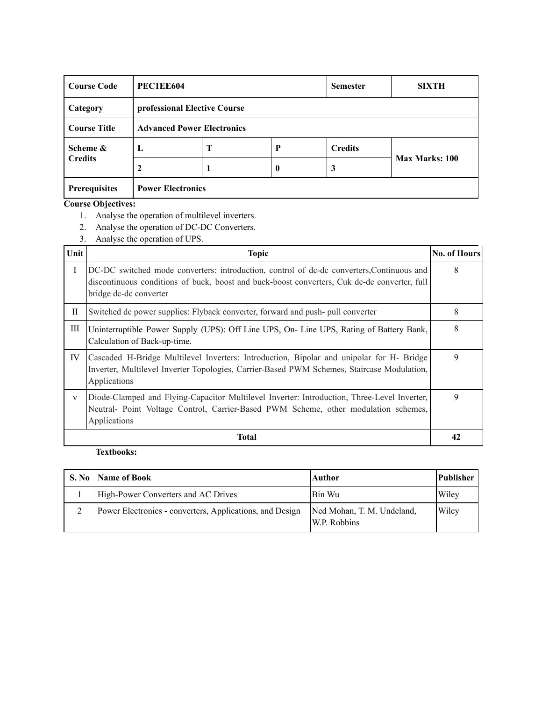| <b>Course Code</b>   |                          | <b>PEC1EE604</b><br><b>Semester</b> |          |                | <b>SIXTH</b>          |  |
|----------------------|--------------------------|-------------------------------------|----------|----------------|-----------------------|--|
| Category             |                          | professional Elective Course        |          |                |                       |  |
| <b>Course Title</b>  |                          | <b>Advanced Power Electronics</b>   |          |                |                       |  |
| Scheme &             | L                        | Т                                   | P        | <b>Credits</b> |                       |  |
| <b>Credits</b>       |                          |                                     | $\bf{0}$ | 3              | <b>Max Marks: 100</b> |  |
| <b>Prerequisites</b> | <b>Power Electronics</b> |                                     |          |                |                       |  |

- 1. Analyse the operation of multilevel inverters.
- 2. Analyse the operation of DC-DC Converters.
- 3. Analyse the operation of UPS.

| Unit         | <b>Topic</b>                                                                                                                                                                                                        | <b>No. of Hours</b> |
|--------------|---------------------------------------------------------------------------------------------------------------------------------------------------------------------------------------------------------------------|---------------------|
| $\mathbf{I}$ | DC-DC switched mode converters: introduction, control of dc-dc converters, Continuous and<br>discontinuous conditions of buck, boost and buck-boost converters, Cuk dc-dc converter, full<br>bridge dc-dc converter | 8                   |
| $_{\rm II}$  | Switched dc power supplies: Flyback converter, forward and push- pull converter                                                                                                                                     | 8                   |
| Ш            | Uninterruptible Power Supply (UPS): Off Line UPS, On- Line UPS, Rating of Battery Bank,<br>Calculation of Back-up-time.                                                                                             | 8                   |
| IV           | Cascaded H-Bridge Multilevel Inverters: Introduction, Bipolar and unipolar for H- Bridge<br>Inverter, Multilevel Inverter Topologies, Carrier-Based PWM Schemes, Staircase Modulation,<br>Applications              | 9                   |
| $\mathbf{V}$ | Diode-Clamped and Flying-Capacitor Multilevel Inverter: Introduction, Three-Level Inverter,<br>Neutral- Point Voltage Control, Carrier-Based PWM Scheme, other modulation schemes,<br>Applications                  | 9                   |
|              | Total                                                                                                                                                                                                               | 42                  |

| <b>S. No</b> | Name of Book                                             | <b>Author</b>                              | Publisher |
|--------------|----------------------------------------------------------|--------------------------------------------|-----------|
|              | High-Power Converters and AC Drives                      | Bin Wu                                     | Wiley     |
|              | Power Electronics - converters, Applications, and Design | Ned Mohan, T. M. Undeland,<br>W.P. Robbins | Wiley     |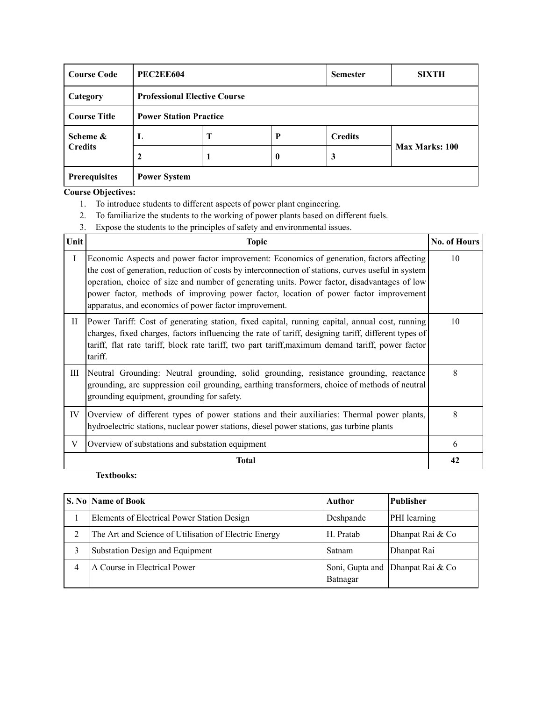| <b>Course Code</b>         |                     | <b>PEC2EE604</b><br><b>Semester</b> |          |                | <b>SIXTH</b>   |  |
|----------------------------|---------------------|-------------------------------------|----------|----------------|----------------|--|
| Category                   |                     | <b>Professional Elective Course</b> |          |                |                |  |
| <b>Course Title</b>        |                     | <b>Power Station Practice</b>       |          |                |                |  |
| Scheme &<br><b>Credits</b> | L                   | Т                                   | P        | <b>Credits</b> |                |  |
|                            |                     |                                     | $\bf{0}$ | 3              | Max Marks: 100 |  |
| <b>Prerequisites</b>       | <b>Power System</b> |                                     |          |                |                |  |

- 1. To introduce students to different aspects of power plant engineering.
- 2. To familiarize the students to the working of power plants based on different fuels.
- 3. Expose the students to the principles of safety and environmental issues.

| Unit         | <b>Topic</b>                                                                                                                                                                                                                                                                                                                                                                                                                                      | <b>No. of Hours</b> |
|--------------|---------------------------------------------------------------------------------------------------------------------------------------------------------------------------------------------------------------------------------------------------------------------------------------------------------------------------------------------------------------------------------------------------------------------------------------------------|---------------------|
| $\mathbf{I}$ | Economic Aspects and power factor improvement: Economics of generation, factors affecting<br>the cost of generation, reduction of costs by interconnection of stations, curves useful in system<br>operation, choice of size and number of generating units. Power factor, disadvantages of low<br>power factor, methods of improving power factor, location of power factor improvement<br>apparatus, and economics of power factor improvement. | 10                  |
| $_{\rm II}$  | Power Tariff: Cost of generating station, fixed capital, running capital, annual cost, running<br>charges, fixed charges, factors influencing the rate of tariff, designing tariff, different types of<br>tariff, flat rate tariff, block rate tariff, two part tariff, maximum demand tariff, power factor<br>tariff.                                                                                                                            | 10                  |
| Ш            | Neutral Grounding: Neutral grounding, solid grounding, resistance grounding, reactance<br>grounding, arc suppression coil grounding, earthing transformers, choice of methods of neutral<br>grounding equipment, grounding for safety.                                                                                                                                                                                                            | 8                   |
| IV           | Overview of different types of power stations and their auxiliaries: Thermal power plants,<br>hydroelectric stations, nuclear power stations, diesel power stations, gas turbine plants                                                                                                                                                                                                                                                           | 8                   |
| V            | Overview of substations and substation equipment                                                                                                                                                                                                                                                                                                                                                                                                  | 6                   |
|              | <b>Total</b>                                                                                                                                                                                                                                                                                                                                                                                                                                      | 42                  |

|   | <b>S. No  Name of Book</b>                            | Author    | <b>Publisher</b>                 |
|---|-------------------------------------------------------|-----------|----------------------------------|
|   | Elements of Electrical Power Station Design           | Deshpande | PHI learning                     |
|   | The Art and Science of Utilisation of Electric Energy | H. Pratab | Dhanpat Rai & Co                 |
|   | Substation Design and Equipment                       | Satnam    | Dhanpat Rai                      |
| 4 | A Course in Electrical Power                          | Batnagar  | Soni, Gupta and Dhanpat Rai & Co |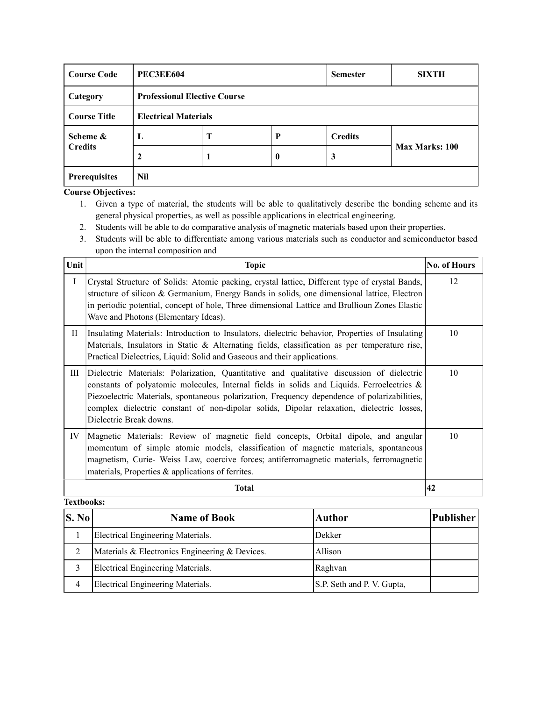| <b>Course Code</b>  | <b>PEC3EE604</b> |                                     |          | <b>Semester</b> | <b>SIXTH</b>   |  |
|---------------------|------------------|-------------------------------------|----------|-----------------|----------------|--|
| Category            |                  | <b>Professional Elective Course</b> |          |                 |                |  |
| <b>Course Title</b> |                  | <b>Electrical Materials</b>         |          |                 |                |  |
| Scheme &            | L                | Т                                   | P        | <b>Credits</b>  |                |  |
| <b>Credits</b>      |                  |                                     | $\bf{0}$ | 3               | Max Marks: 100 |  |
| Prerequisites       | Nil              |                                     |          |                 |                |  |

- 1. Given a type of material, the students will be able to qualitatively describe the bonding scheme and its general physical properties, as well as possible applications in electrical engineering.
- 2. Students will be able to do comparative analysis of magnetic materials based upon their properties.
- 3. Students will be able to differentiate among various materials such as conductor and semiconductor based upon the internal composition and

| Unit     | <b>Topic</b>                                                                                                                                                                                                                                                                                                                                                                                                       | <b>No. of Hours</b> |
|----------|--------------------------------------------------------------------------------------------------------------------------------------------------------------------------------------------------------------------------------------------------------------------------------------------------------------------------------------------------------------------------------------------------------------------|---------------------|
| $\bf{I}$ | Crystal Structure of Solids: Atomic packing, crystal lattice, Different type of crystal Bands,<br>structure of silicon & Germanium, Energy Bands in solids, one dimensional lattice, Electron<br>in periodic potential, concept of hole, Three dimensional Lattice and Brullioun Zones Elastic<br>Wave and Photons (Elementary Ideas).                                                                             | 12                  |
| П        | Insulating Materials: Introduction to Insulators, dielectric behavior, Properties of Insulating<br>Materials, Insulators in Static & Alternating fields, classification as per temperature rise,<br>Practical Dielectrics, Liquid: Solid and Gaseous and their applications.                                                                                                                                       | 10                  |
| Ш        | Dielectric Materials: Polarization, Quantitative and qualitative discussion of dielectric<br>constants of polyatomic molecules, Internal fields in solids and Liquids. Ferroelectrics $\&$<br>Piezoelectric Materials, spontaneous polarization, Frequency dependence of polarizabilities,<br>complex dielectric constant of non-dipolar solids, Dipolar relaxation, dielectric losses,<br>Dielectric Break downs. | 10                  |
| IV       | Magnetic Materials: Review of magnetic field concepts, Orbital dipole, and angular<br>momentum of simple atomic models, classification of magnetic materials, spontaneous<br>magnetism, Curie- Weiss Law, coercive forces; antiferromagnetic materials, ferromagnetic<br>materials, Properties $\&$ applications of ferrites.                                                                                      | 10                  |
|          | <b>Total</b>                                                                                                                                                                                                                                                                                                                                                                                                       | 42                  |

| S. No | <b>Name of Book</b>                            | <b>Author</b>              | <b>Publisher</b> |
|-------|------------------------------------------------|----------------------------|------------------|
|       | Electrical Engineering Materials.              | Dekker                     |                  |
| 2     | Materials & Electronics Engineering & Devices. | Allison                    |                  |
|       | Electrical Engineering Materials.              | Raghvan                    |                  |
| 4     | Electrical Engineering Materials.              | S.P. Seth and P. V. Gupta, |                  |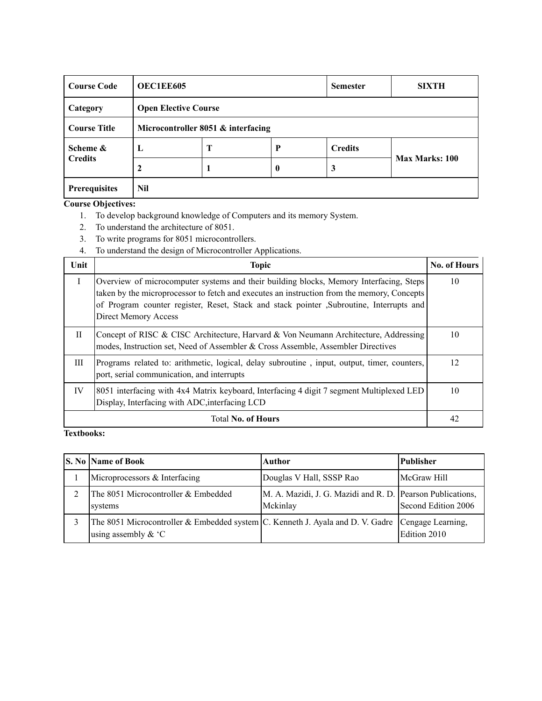| <b>Course Code</b>         |     | <b>OEC1EE605</b><br><b>Semester</b> |          |                | <b>SIXTH</b>          |
|----------------------------|-----|-------------------------------------|----------|----------------|-----------------------|
| Category                   |     | <b>Open Elective Course</b>         |          |                |                       |
| <b>Course Title</b>        |     | Microcontroller 8051 & interfacing  |          |                |                       |
| Scheme &<br><b>Credits</b> | L   | Т                                   | P        | <b>Credits</b> |                       |
|                            |     |                                     | $\bf{0}$ | 3              | <b>Max Marks: 100</b> |
| Prerequisites              | Nil |                                     |          |                |                       |

- 1. To develop background knowledge of Computers and its memory System.
- 2. To understand the architecture of 8051.
- 3. To write programs for 8051 microcontrollers.
- 4. To understand the design of Microcontroller Applications.

| Unit         | <b>Topic</b>                                                                                                                                                                                                                                                                                             | <b>No. of Hours</b> |
|--------------|----------------------------------------------------------------------------------------------------------------------------------------------------------------------------------------------------------------------------------------------------------------------------------------------------------|---------------------|
| $\mathbf{I}$ | Overview of microcomputer systems and their building blocks, Memory Interfacing, Steps<br>taken by the microprocessor to fetch and executes an instruction from the memory, Concepts<br>of Program counter register, Reset, Stack and stack pointer , Subroutine, Interrupts and<br>Direct Memory Access | 10                  |
| $_{\rm II}$  | Concept of RISC & CISC Architecture, Harvard & Von Neumann Architecture, Addressing<br>modes, Instruction set, Need of Assembler & Cross Assemble, Assembler Directives                                                                                                                                  | 10                  |
| III          | Programs related to: arithmetic, logical, delay subroutine, input, output, timer, counters,<br>port, serial communication, and interrupts                                                                                                                                                                | 12                  |
| IV           | 8051 interfacing with 4x4 Matrix keyboard, Interfacing 4 digit 7 segment Multiplexed LED<br>Display, Interfacing with ADC, interfacing LCD                                                                                                                                                               | 10                  |
|              | <b>Total No. of Hours</b>                                                                                                                                                                                                                                                                                | 42                  |

| <b>S. No Name of Book</b>                                                                                                    | Author                                                                 | Publisher           |
|------------------------------------------------------------------------------------------------------------------------------|------------------------------------------------------------------------|---------------------|
| Microprocessors & Interfacing                                                                                                | Douglas V Hall, SSSP Rao                                               | McGraw Hill         |
| The 8051 Microcontroller & Embedded<br>systems                                                                               | M. A. Mazidi, J. G. Mazidi and R. D. Pearson Publications,<br>Mckinlay | Second Edition 2006 |
| The 8051 Microcontroller & Embedded system $ C$ . Kenneth J. Ayala and D. V. Gadre Cengage Learning,<br>using assembly $& C$ |                                                                        | Edition 2010        |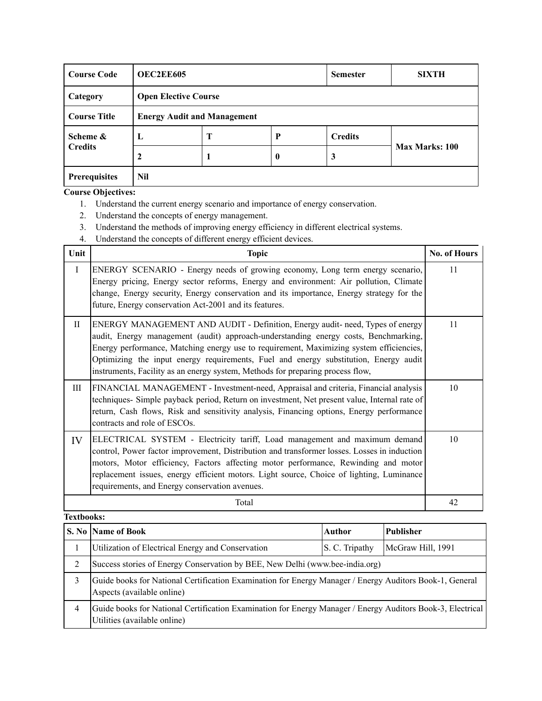| <b>Course Code</b>         |     | <b>OEC2EE605</b><br><b>Semester</b> |                  |                | <b>SIXTH</b>   |
|----------------------------|-----|-------------------------------------|------------------|----------------|----------------|
| Category                   |     | <b>Open Elective Course</b>         |                  |                |                |
| <b>Course Title</b>        |     | <b>Energy Audit and Management</b>  |                  |                |                |
| Scheme &<br><b>Credits</b> | L   | Т                                   | P                | <b>Credits</b> |                |
|                            | 2   |                                     | $\boldsymbol{0}$ | 3              | Max Marks: 100 |
| <b>Prerequisites</b>       | Nil |                                     |                  |                |                |

- 1. Understand the current energy scenario and importance of energy conservation.
- 2. Understand the concepts of energy management.
- 3. Understand the methods of improving energy efficiency in different electrical systems.
- 4. Understand the concepts of different energy efficient devices.

| Unit        | <b>Topic</b>                                                                                                                                                                                                                                                                                                                                                                                                                              | <b>No. of Hours</b> |
|-------------|-------------------------------------------------------------------------------------------------------------------------------------------------------------------------------------------------------------------------------------------------------------------------------------------------------------------------------------------------------------------------------------------------------------------------------------------|---------------------|
| $\mathbf I$ | ENERGY SCENARIO - Energy needs of growing economy, Long term energy scenario,<br>Energy pricing, Energy sector reforms, Energy and environment: Air pollution, Climate<br>change, Energy security, Energy conservation and its importance, Energy strategy for the<br>future, Energy conservation Act-2001 and its features.                                                                                                              | 11                  |
| $\rm{II}$   | ENERGY MANAGEMENT AND AUDIT - Definition, Energy audit- need, Types of energy<br>audit, Energy management (audit) approach-understanding energy costs, Benchmarking,<br>Energy performance, Matching energy use to requirement, Maximizing system efficiencies,<br>Optimizing the input energy requirements, Fuel and energy substitution, Energy audit<br>instruments, Facility as an energy system, Methods for preparing process flow, | 11                  |
| Ш           | FINANCIAL MANAGEMENT - Investment-need, Appraisal and criteria, Financial analysis<br>techniques- Simple payback period, Return on investment, Net present value, Internal rate of<br>return, Cash flows, Risk and sensitivity analysis, Financing options, Energy performance<br>contracts and role of ESCOs.                                                                                                                            | 10                  |
| IV          | ELECTRICAL SYSTEM - Electricity tariff, Load management and maximum demand<br>control, Power factor improvement, Distribution and transformer losses. Losses in induction<br>motors, Motor efficiency, Factors affecting motor performance, Rewinding and motor<br>replacement issues, energy efficient motors. Light source, Choice of lighting, Luminance<br>requirements, and Energy conservation avenues.                             | 10                  |
|             | Total                                                                                                                                                                                                                                                                                                                                                                                                                                     | 42                  |

|   | <b>S. No Name of Book</b>                                                                                                                  | Author         | Publisher         |  |
|---|--------------------------------------------------------------------------------------------------------------------------------------------|----------------|-------------------|--|
|   | Utilization of Electrical Energy and Conservation                                                                                          | S. C. Tripathy | McGraw Hill, 1991 |  |
| 2 | Success stories of Energy Conservation by BEE, New Delhi (www.bee-india.org)                                                               |                |                   |  |
|   | Guide books for National Certification Examination for Energy Manager / Energy Auditors Book-1, General<br>Aspects (available online)      |                |                   |  |
| 4 | Guide books for National Certification Examination for Energy Manager / Energy Auditors Book-3, Electrical<br>Utilities (available online) |                |                   |  |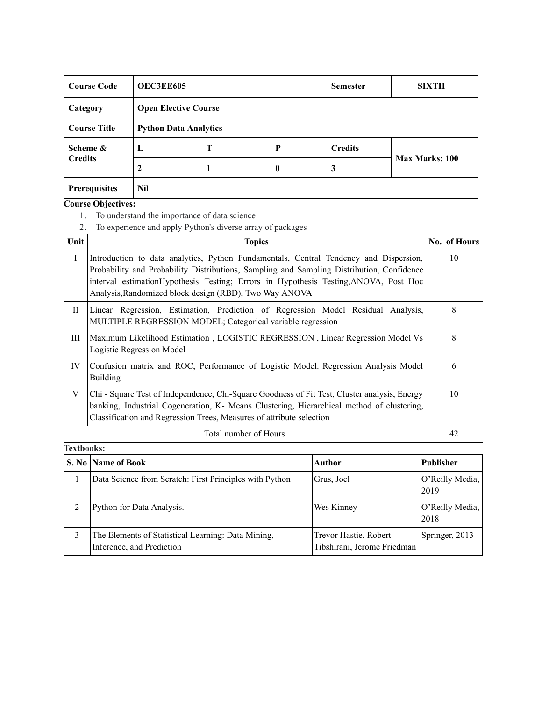| <b>Course Code</b>  | <b>OEC3EE605</b> |                              |   | <b>Semester</b> | <b>SIXTH</b>          |  |
|---------------------|------------------|------------------------------|---|-----------------|-----------------------|--|
| Category            |                  | <b>Open Elective Course</b>  |   |                 |                       |  |
| <b>Course Title</b> |                  | <b>Python Data Analytics</b> |   |                 |                       |  |
| Scheme &            | L                | Т                            | P | <b>Credits</b>  |                       |  |
| <b>Credits</b>      | 2                |                              | 0 | 3               | <b>Max Marks: 100</b> |  |
| Prerequisites       | Nil              |                              |   |                 |                       |  |

- 1. To understand the importance of data science
- 2. To experience and apply Python's diverse array of packages

| Unit | <b>Topics</b>                                                                                                                                                                                                                                                                                                                         | No. of Hours |
|------|---------------------------------------------------------------------------------------------------------------------------------------------------------------------------------------------------------------------------------------------------------------------------------------------------------------------------------------|--------------|
| I    | Introduction to data analytics, Python Fundamentals, Central Tendency and Dispersion,<br>Probability and Probability Distributions, Sampling and Sampling Distribution, Confidence<br>interval estimation Hypothesis Testing; Errors in Hypothesis Testing, ANOVA, Post Hoc<br>Analysis, Randomized block design (RBD), Two Way ANOVA | 10           |
| П    | Linear Regression, Estimation, Prediction of Regression Model Residual Analysis,<br>MULTIPLE REGRESSION MODEL; Categorical variable regression                                                                                                                                                                                        | 8            |
| Ш    | Maximum Likelihood Estimation, LOGISTIC REGRESSION, Linear Regression Model Vs<br>Logistic Regression Model                                                                                                                                                                                                                           | 8            |
| IV   | Confusion matrix and ROC, Performance of Logistic Model. Regression Analysis Model<br><b>Building</b>                                                                                                                                                                                                                                 | 6            |
| V    | Chi - Square Test of Independence, Chi-Square Goodness of Fit Test, Cluster analysis, Energy<br>banking, Industrial Cogeneration, K- Means Clustering, Hierarchical method of clustering,<br>Classification and Regression Trees, Measures of attribute selection                                                                     | 10           |
|      | Total number of Hours                                                                                                                                                                                                                                                                                                                 | 42           |

| S. No Name of Book                                                              | Author                                               | <b>Publisher</b>        |
|---------------------------------------------------------------------------------|------------------------------------------------------|-------------------------|
| Data Science from Scratch: First Principles with Python                         | Grus, Joel                                           | O'Reilly Media,<br>2019 |
| Python for Data Analysis.                                                       | Wes Kinney                                           | O'Reilly Media,<br>2018 |
| The Elements of Statistical Learning: Data Mining,<br>Inference, and Prediction | Trevor Hastie, Robert<br>Tibshirani, Jerome Friedman | Springer, 2013          |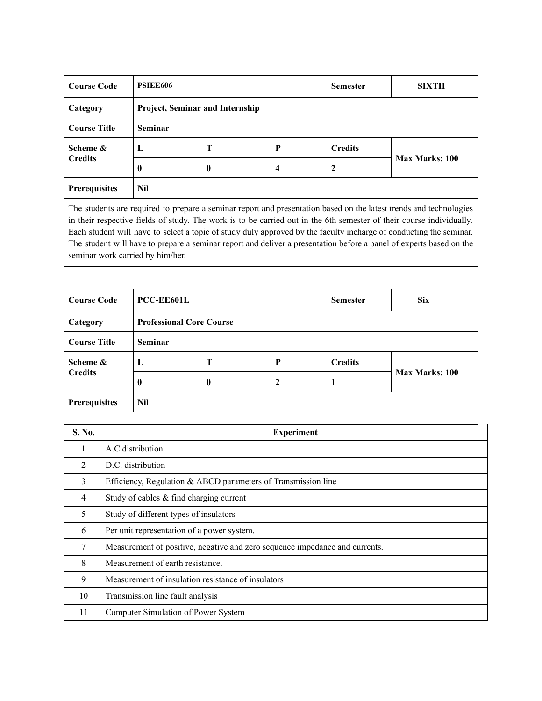| <b>Course Code</b>         | <b>PSIEE606</b> |                                 |                         |                | <b>SIXTH</b>   |  |
|----------------------------|-----------------|---------------------------------|-------------------------|----------------|----------------|--|
| Category                   |                 | Project, Seminar and Internship |                         |                |                |  |
| <b>Course Title</b>        | <b>Seminar</b>  |                                 |                         |                |                |  |
| Scheme &<br><b>Credits</b> | $\mathbf{L}$    | Т                               | P                       | <b>Credits</b> |                |  |
|                            | $\mathbf{0}$    | 0                               | $\overline{\mathbf{4}}$ | 2              | Max Marks: 100 |  |
| <b>Prerequisites</b>       | Nil             |                                 |                         |                |                |  |

The students are required to prepare a seminar report and presentation based on the latest trends and technologies in their respective fields of study. The work is to be carried out in the 6th semester of their course individually. Each student will have to select a topic of study duly approved by the faculty incharge of conducting the seminar. The student will have to prepare a seminar report and deliver a presentation before a panel of experts based on the seminar work carried by him/her.

| <b>Course Code</b>  | PCC-EE601L     |                                 |                  | <b>Semester</b> | <b>Six</b>            |
|---------------------|----------------|---------------------------------|------------------|-----------------|-----------------------|
| Category            |                | <b>Professional Core Course</b> |                  |                 |                       |
| <b>Course Title</b> | <b>Seminar</b> |                                 |                  |                 |                       |
| Scheme &            | L              | T                               | P                | <b>Credits</b>  |                       |
| <b>Credits</b>      | $\mathbf{0}$   | $\boldsymbol{0}$                | $\boldsymbol{2}$ |                 | <b>Max Marks: 100</b> |
| Prerequisites       | Nil            |                                 |                  |                 |                       |

| S. No.         | <b>Experiment</b>                                                           |
|----------------|-----------------------------------------------------------------------------|
| 1              | A.C distribution                                                            |
| 2              | D.C. distribution                                                           |
| 3              | Efficiency, Regulation & ABCD parameters of Transmission line               |
| $\overline{4}$ | Study of cables & find charging current                                     |
| 5              | Study of different types of insulators                                      |
| 6              | Per unit representation of a power system.                                  |
| 7              | Measurement of positive, negative and zero sequence impedance and currents. |
| 8              | Measurement of earth resistance.                                            |
| 9              | Measurement of insulation resistance of insulators                          |
| 10             | Transmission line fault analysis                                            |
| 11             | Computer Simulation of Power System                                         |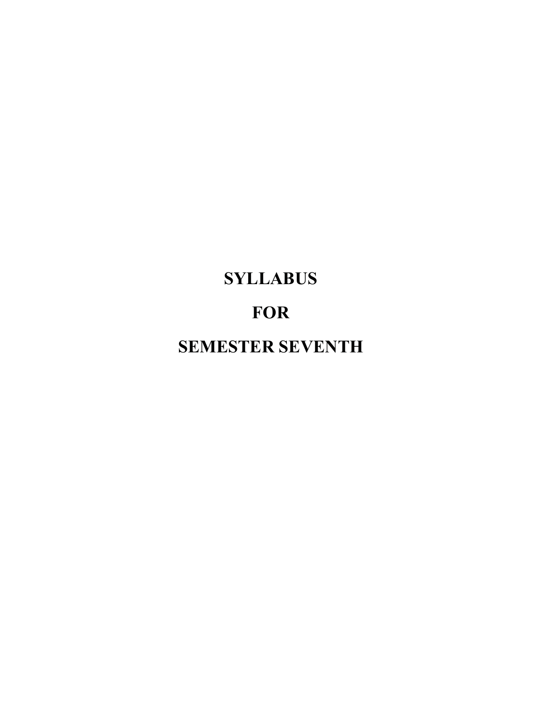# **SYLLABUS**

# **FOR**

**SEMESTER SEVENTH**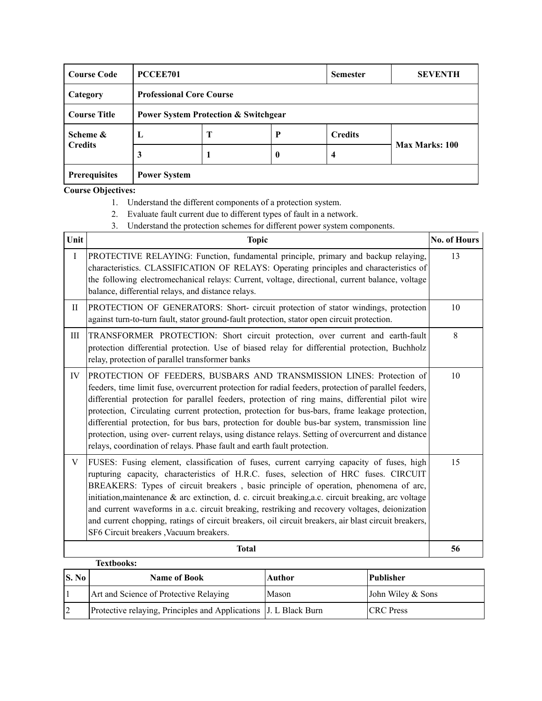| <b>Course Code</b>   | PCCEE701                                        |   |              | <b>Semester</b> | <b>SEVENTH</b> |
|----------------------|-------------------------------------------------|---|--------------|-----------------|----------------|
| Category             | <b>Professional Core Course</b>                 |   |              |                 |                |
| <b>Course Title</b>  | <b>Power System Protection &amp; Switchgear</b> |   |              |                 |                |
| Scheme &             | L                                               | Т | P            | <b>Credits</b>  |                |
| <b>Credits</b>       | 3                                               |   | $\mathbf{0}$ | 4               | Max Marks: 100 |
| <b>Prerequisites</b> | <b>Power System</b>                             |   |              |                 |                |

- 1. Understand the different components of a protection system.
- 2. Evaluate fault current due to different types of fault in a network.
- 3. Understand the protection schemes for different power system components.

| Unit      | <b>Topic</b>                                                                                                                                                                                                                                                                                                                                                                                                                                                                                                                                                                                                                                                         | <b>No. of Hours</b> |
|-----------|----------------------------------------------------------------------------------------------------------------------------------------------------------------------------------------------------------------------------------------------------------------------------------------------------------------------------------------------------------------------------------------------------------------------------------------------------------------------------------------------------------------------------------------------------------------------------------------------------------------------------------------------------------------------|---------------------|
| $\rm I$   | PROTECTIVE RELAYING: Function, fundamental principle, primary and backup relaying,<br>characteristics. CLASSIFICATION OF RELAYS: Operating principles and characteristics of<br>the following electromechanical relays: Current, voltage, directional, current balance, voltage<br>balance, differential relays, and distance relays.                                                                                                                                                                                                                                                                                                                                | 13                  |
| $\rm{II}$ | PROTECTION OF GENERATORS: Short- circuit protection of stator windings, protection<br>against turn-to-turn fault, stator ground-fault protection, stator open circuit protection.                                                                                                                                                                                                                                                                                                                                                                                                                                                                                    | 10                  |
| Ш         | TRANSFORMER PROTECTION: Short circuit protection, over current and earth-fault<br>protection differential protection. Use of biased relay for differential protection, Buchholz<br>relay, protection of parallel transformer banks                                                                                                                                                                                                                                                                                                                                                                                                                                   | 8                   |
| IV        | PROTECTION OF FEEDERS, BUSBARS AND TRANSMISSION LINES: Protection of<br>feeders, time limit fuse, overcurrent protection for radial feeders, protection of parallel feeders,<br>differential protection for parallel feeders, protection of ring mains, differential pilot wire<br>protection, Circulating current protection, protection for bus-bars, frame leakage protection,<br>differential protection, for bus bars, protection for double bus-bar system, transmission line<br>protection, using over- current relays, using distance relays. Setting of overcurrent and distance<br>relays, coordination of relays. Phase fault and earth fault protection. | 10                  |
| V         | FUSES: Fusing element, classification of fuses, current carrying capacity of fuses, high<br>rupturing capacity, characteristics of H.R.C. fuses, selection of HRC fuses. CIRCUIT<br>BREAKERS: Types of circuit breakers, basic principle of operation, phenomena of arc,<br>initiation, maintenance & arc extinction, d. c. circuit breaking, a.c. circuit breaking, arc voltage<br>and current waveforms in a.c. circuit breaking, restriking and recovery voltages, deionization<br>and current chopping, ratings of circuit breakers, oil circuit breakers, air blast circuit breakers,<br>SF6 Circuit breakers, Vacuum breakers.                                 | 15                  |
|           | <b>Total</b>                                                                                                                                                                                                                                                                                                                                                                                                                                                                                                                                                                                                                                                         | 56                  |
|           | <b>Textbooks:</b>                                                                                                                                                                                                                                                                                                                                                                                                                                                                                                                                                                                                                                                    |                     |

| S. No | <b>Name of Book</b>                                              | <b>Author</b> | Publisher         |
|-------|------------------------------------------------------------------|---------------|-------------------|
|       | Art and Science of Protective Relaying                           | Mason         | John Wiley & Sons |
|       | Protective relaying, Principles and Applications J. L Black Burn |               | <b>CRC</b> Press  |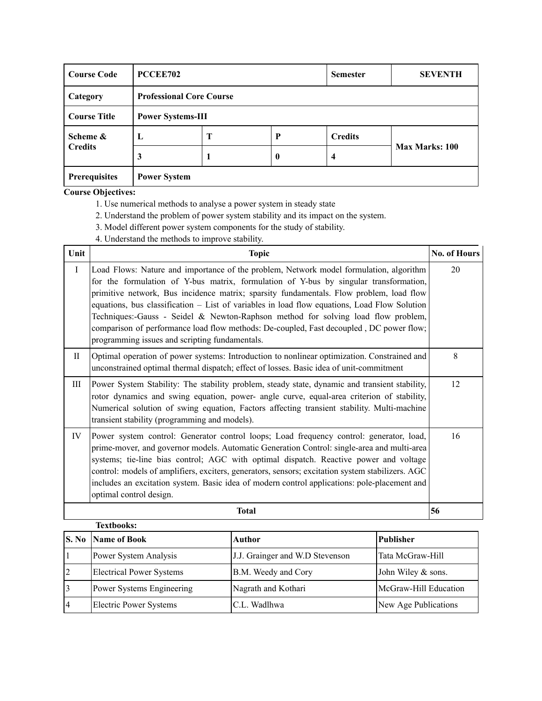| <b>Course Code</b>   | PCCEE702                 |                                 |          | <b>Semester</b> | <b>SEVENTH</b>        |  |
|----------------------|--------------------------|---------------------------------|----------|-----------------|-----------------------|--|
| Category             |                          | <b>Professional Core Course</b> |          |                 |                       |  |
| <b>Course Title</b>  | <b>Power Systems-III</b> |                                 |          |                 |                       |  |
| Scheme &             | L                        | Т                               | P        | <b>Credits</b>  |                       |  |
| <b>Credits</b>       | 3                        |                                 | $\bf{0}$ | 4               | <b>Max Marks: 100</b> |  |
| <b>Prerequisites</b> | <b>Power System</b>      |                                 |          |                 |                       |  |

- 1. Use numerical methods to analyse a power system in steady state
- 2. Understand the problem of power system stability and its impact on the system.
- 3. Model different power system components for the study of stability.
- 4. Understand the methods to improve stability.

| Unit         | <b>Topic</b><br><b>No. of Hours</b>                                                                                                                                                                                                                                                                                                                                                                                                                                                                                                                                                                          |    |  |  |
|--------------|--------------------------------------------------------------------------------------------------------------------------------------------------------------------------------------------------------------------------------------------------------------------------------------------------------------------------------------------------------------------------------------------------------------------------------------------------------------------------------------------------------------------------------------------------------------------------------------------------------------|----|--|--|
| $\rm I$      | Load Flows: Nature and importance of the problem, Network model formulation, algorithm<br>for the formulation of Y-bus matrix, formulation of Y-bus by singular transformation,<br>primitive network, Bus incidence matrix; sparsity fundamentals. Flow problem, load flow<br>equations, bus classification – List of variables in load flow equations, Load Flow Solution<br>Techniques:-Gauss - Seidel & Newton-Raphson method for solving load flow problem,<br>comparison of performance load flow methods: De-coupled, Fast decoupled, DC power flow;<br>programming issues and scripting fundamentals. | 20 |  |  |
| $\mathbf{H}$ | Optimal operation of power systems: Introduction to nonlinear optimization. Constrained and<br>unconstrained optimal thermal dispatch; effect of losses. Basic idea of unit-commitment                                                                                                                                                                                                                                                                                                                                                                                                                       | 8  |  |  |
| Ш            | Power System Stability: The stability problem, steady state, dynamic and transient stability,<br>rotor dynamics and swing equation, power- angle curve, equal-area criterion of stability,<br>Numerical solution of swing equation, Factors affecting transient stability. Multi-machine<br>transient stability (programming and models).                                                                                                                                                                                                                                                                    | 12 |  |  |
| IV           | Power system control: Generator control loops; Load frequency control: generator, load,<br>prime-mover, and governor models. Automatic Generation Control: single-area and multi-area<br>systems; tie-line bias control; AGC with optimal dispatch. Reactive power and voltage<br>control: models of amplifiers, exciters, generators, sensors; excitation system stabilizers. AGC<br>includes an excitation system. Basic idea of modern control applications: pole-placement and<br>optimal control design.                                                                                                | 16 |  |  |
|              | <b>Total</b>                                                                                                                                                                                                                                                                                                                                                                                                                                                                                                                                                                                                 | 56 |  |  |

|                | <b>Textbooks:</b>               |                                 |                       |
|----------------|---------------------------------|---------------------------------|-----------------------|
| S. No          | Name of Book                    | Author                          | <b>Publisher</b>      |
|                | Power System Analysis           | J.J. Grainger and W.D Stevenson | Tata McGraw-Hill      |
| $\overline{2}$ | <b>Electrical Power Systems</b> | B.M. Weedy and Cory             | John Wiley & sons.    |
| 13             | Power Systems Engineering       | Nagrath and Kothari             | McGraw-Hill Education |
| 4              | <b>Electric Power Systems</b>   | C.L. Wadlhwa                    | New Age Publications  |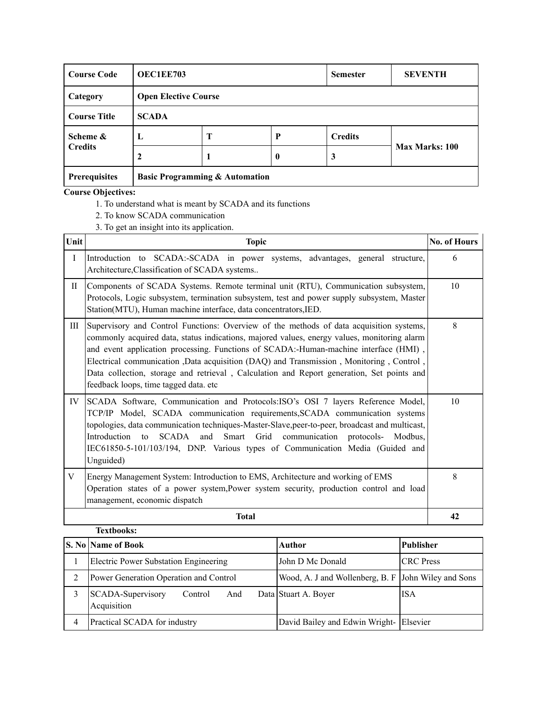| <b>Course Code</b>   | <b>OEC1EE703</b>                          |                             |                  | <b>Semester</b> | <b>SEVENTH</b> |  |
|----------------------|-------------------------------------------|-----------------------------|------------------|-----------------|----------------|--|
| Category             |                                           | <b>Open Elective Course</b> |                  |                 |                |  |
| <b>Course Title</b>  | <b>SCADA</b>                              |                             |                  |                 |                |  |
| Scheme &             | L                                         | T                           | P                | <b>Credits</b>  |                |  |
| <b>Credits</b>       | 2                                         |                             | $\boldsymbol{0}$ | 3               | Max Marks: 100 |  |
| <b>Prerequisites</b> | <b>Basic Programming &amp; Automation</b> |                             |                  |                 |                |  |

- 1. To understand what is meant by SCADA and its functions
- 2. To know SCADA communication
- 3. To get an insight into its application.

| Unit        | <b>Topic</b>                                                                                                                                                                                                                                                                                                                                                                                                                                                                                                    | No. of Hours |
|-------------|-----------------------------------------------------------------------------------------------------------------------------------------------------------------------------------------------------------------------------------------------------------------------------------------------------------------------------------------------------------------------------------------------------------------------------------------------------------------------------------------------------------------|--------------|
| $\bf{I}$    | Introduction to SCADA:-SCADA in power systems, advantages, general structure,<br>Architecture, Classification of SCADA systems                                                                                                                                                                                                                                                                                                                                                                                  | 6            |
| $_{\rm II}$ | Components of SCADA Systems. Remote terminal unit (RTU), Communication subsystem,<br>Protocols, Logic subsystem, termination subsystem, test and power supply subsystem, Master<br>Station(MTU), Human machine interface, data concentrators, IED.                                                                                                                                                                                                                                                              | 10           |
| Ш           | Supervisory and Control Functions: Overview of the methods of data acquisition systems,<br>commonly acquired data, status indications, majored values, energy values, monitoring alarm<br>and event application processing. Functions of SCADA:-Human-machine interface (HMI),<br>Electrical communication ,Data acquisition (DAQ) and Transmission, Monitoring, Control,<br>Data collection, storage and retrieval, Calculation and Report generation, Set points and<br>feedback loops, time tagged data. etc | 8            |
| IV          | SCADA Software, Communication and Protocols: ISO's OSI 7 layers Reference Model,<br>TCP/IP Model, SCADA communication requirements, SCADA communication systems<br>topologies, data communication techniques-Master-Slave, peer-to-peer, broadcast and multicast,<br>Introduction to<br>SCADA and Smart Grid communication protocols- Modbus,<br>IEC61850-5-101/103/194, DNP. Various types of Communication Media (Guided and<br>Unguided)                                                                     | 10           |
| V           | Energy Management System: Introduction to EMS, Architecture and working of EMS<br>Operation states of a power system, Power system security, production control and load<br>management, economic dispatch                                                                                                                                                                                                                                                                                                       | 8            |
|             | <b>Total</b>                                                                                                                                                                                                                                                                                                                                                                                                                                                                                                    | 42           |

| <b>Textbooks:</b>                                  |                                                     |                  |
|----------------------------------------------------|-----------------------------------------------------|------------------|
| <b>S. No  Name of Book</b>                         | Author                                              | Publisher        |
| <b>Electric Power Substation Engineering</b>       | John D Mc Donald                                    | <b>CRC</b> Press |
| Power Generation Operation and Control             | Wood, A. J and Wollenberg, B. F John Wiley and Sons |                  |
| SCADA-Supervisory<br>And<br>Control<br>Acquisition | Data Stuart A. Boyer                                | ISA              |
| Practical SCADA for industry                       | David Bailey and Edwin Wright- Elsevier             |                  |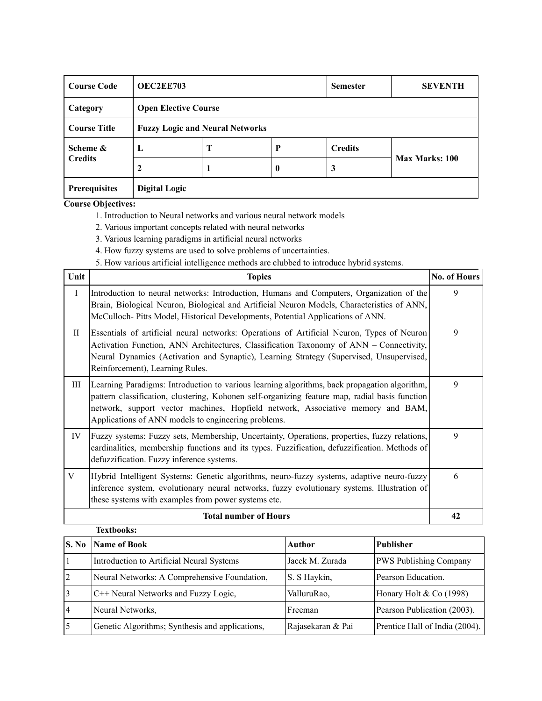| <b>Course Code</b>   |                                        | <b>OEC2EE703</b>            |                  |                | <b>SEVENTH</b> |  |
|----------------------|----------------------------------------|-----------------------------|------------------|----------------|----------------|--|
| Category             |                                        | <b>Open Elective Course</b> |                  |                |                |  |
| <b>Course Title</b>  | <b>Fuzzy Logic and Neural Networks</b> |                             |                  |                |                |  |
| Scheme &             | L                                      | Т                           | P                | <b>Credits</b> |                |  |
| <b>Credits</b>       |                                        |                             | $\boldsymbol{0}$ | 3              | Max Marks: 100 |  |
| <b>Prerequisites</b> | <b>Digital Logic</b>                   |                             |                  |                |                |  |

1. Introduction to Neural networks and various neural network models

- 2. Various important concepts related with neural networks
- 3. Various learning paradigms in artificial neural networks
- 4. How fuzzy systems are used to solve problems of uncertainties.
- 5. How various artificial intelligence methods are clubbed to introduce hybrid systems.

| Unit         | <b>Topics</b>                                                                                                                                                                                                                                                                                                                            | <b>No. of Hours</b> |
|--------------|------------------------------------------------------------------------------------------------------------------------------------------------------------------------------------------------------------------------------------------------------------------------------------------------------------------------------------------|---------------------|
| $\bf{I}$     | Introduction to neural networks: Introduction, Humans and Computers, Organization of the<br>Brain, Biological Neuron, Biological and Artificial Neuron Models, Characteristics of ANN,<br>McCulloch-Pitts Model, Historical Developments, Potential Applications of ANN.                                                                 | 9                   |
| $\mathbf{I}$ | Essentials of artificial neural networks: Operations of Artificial Neuron, Types of Neuron<br>Activation Function, ANN Architectures, Classification Taxonomy of ANN – Connectivity,<br>Neural Dynamics (Activation and Synaptic), Learning Strategy (Supervised, Unsupervised,<br>Reinforcement), Learning Rules.                       | 9                   |
| Ш            | Learning Paradigms: Introduction to various learning algorithms, back propagation algorithm,<br>pattern classification, clustering, Kohonen self-organizing feature map, radial basis function<br>network, support vector machines, Hopfield network, Associative memory and BAM,<br>Applications of ANN models to engineering problems. | 9                   |
| IV           | Fuzzy systems: Fuzzy sets, Membership, Uncertainty, Operations, properties, fuzzy relations,<br>cardinalities, membership functions and its types. Fuzzification, defuzzification. Methods of<br>defuzzification. Fuzzy inference systems.                                                                                               | 9                   |
| V            | Hybrid Intelligent Systems: Genetic algorithms, neuro-fuzzy systems, adaptive neuro-fuzzy<br>inference system, evolutionary neural networks, fuzzy evolutionary systems. Illustration of<br>these systems with examples from power systems etc.                                                                                          | 6                   |
|              | <b>Total number of Hours</b>                                                                                                                                                                                                                                                                                                             | 42                  |

|                | <b>Textbooks:</b>                               |                   |                                |
|----------------|-------------------------------------------------|-------------------|--------------------------------|
| S. No          | <b>Name of Book</b>                             | Author            | <b>Publisher</b>               |
| 1              | Introduction to Artificial Neural Systems       | Jacek M. Zurada   | PWS Publishing Company         |
| $\overline{2}$ | Neural Networks: A Comprehensive Foundation,    | S. S Haykin,      | Pearson Education.             |
| $\overline{3}$ | C++ Neural Networks and Fuzzy Logic,            | ValluruRao,       | Honary Holt & Co (1998)        |
| $\overline{4}$ | Neural Networks,                                | Freeman           | Pearson Publication (2003).    |
| 5              | Genetic Algorithms; Synthesis and applications, | Rajasekaran & Pai | Prentice Hall of India (2004). |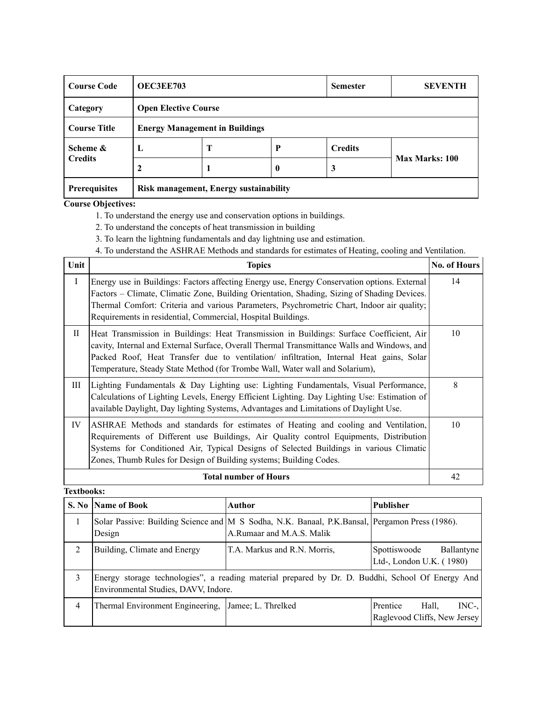| <b>Course Code</b>   | <b>OEC3EE703</b>                       |                                       |                  | <b>Semester</b> | <b>SEVENTH</b> |  |
|----------------------|----------------------------------------|---------------------------------------|------------------|-----------------|----------------|--|
| Category             |                                        | <b>Open Elective Course</b>           |                  |                 |                |  |
| <b>Course Title</b>  |                                        | <b>Energy Management in Buildings</b> |                  |                 |                |  |
| Scheme &             | L                                      | Т                                     | P                | <b>Credits</b>  |                |  |
| <b>Credits</b>       |                                        |                                       | $\boldsymbol{0}$ | 3               | Max Marks: 100 |  |
| <b>Prerequisites</b> | Risk management, Energy sustainability |                                       |                  |                 |                |  |

1. To understand the energy use and conservation options in buildings.

2. To understand the concepts of heat transmission in building

3. To learn the lightning fundamentals and day lightning use and estimation.

4. To understand the ASHRAE Methods and standards for estimates of Heating, cooling and Ventilation.

| Unit         | <b>Topics</b>                                                                                                                                                                                                                                                                                                                                                      | <b>No. of Hours</b> |
|--------------|--------------------------------------------------------------------------------------------------------------------------------------------------------------------------------------------------------------------------------------------------------------------------------------------------------------------------------------------------------------------|---------------------|
| $\mathbf I$  | Energy use in Buildings: Factors affecting Energy use, Energy Conservation options. External<br>Factors – Climate, Climatic Zone, Building Orientation, Shading, Sizing of Shading Devices.<br>Thermal Comfort: Criteria and various Parameters, Psychrometric Chart, Indoor air quality;<br>Requirements in residential, Commercial, Hospital Buildings.          | 14                  |
| $\mathbf{I}$ | Heat Transmission in Buildings: Heat Transmission in Buildings: Surface Coefficient, Air<br>cavity, Internal and External Surface, Overall Thermal Transmittance Walls and Windows, and<br>Packed Roof, Heat Transfer due to ventilation/ infiltration, Internal Heat gains, Solar<br>Temperature, Steady State Method (for Trombe Wall, Water wall and Solarium), | 10                  |
| Ш            | Lighting Fundamentals & Day Lighting use: Lighting Fundamentals, Visual Performance,<br>Calculations of Lighting Levels, Energy Efficient Lighting. Day Lighting Use: Estimation of<br>available Daylight, Day lighting Systems, Advantages and Limitations of Daylight Use.                                                                                       | 8                   |
| IV           | ASHRAE Methods and standards for estimates of Heating and cooling and Ventilation,<br>Requirements of Different use Buildings, Air Quality control Equipments, Distribution<br>Systems for Conditioned Air, Typical Designs of Selected Buildings in various Climatic<br>Zones, Thumb Rules for Design of Building systems; Building Codes.                        | 10                  |
|              | <b>Total number of Hours</b>                                                                                                                                                                                                                                                                                                                                       | 42                  |

|                | S. No Name of Book                   | Author                                                                                                                      | <b>Publisher</b>                                             |
|----------------|--------------------------------------|-----------------------------------------------------------------------------------------------------------------------------|--------------------------------------------------------------|
| 1              | Design                               | Solar Passive: Building Science and M S Sodha, N.K. Banaal, P.K.Bansal, Pergamon Press (1986).<br>A.Rumaar and M.A.S. Malik |                                                              |
| 2              | Building, Climate and Energy         | T.A. Markus and R.N. Morris,                                                                                                | Ballantyne<br>Spottiswoode<br>Ltd-, London U.K. (1980)       |
| 3              | Environmental Studies, DAVV, Indore. | Energy storage technologies", a reading material prepared by Dr. D. Buddhi, School Of Energy And                            |                                                              |
| $\overline{4}$ | Thermal Environment Engineering,     | Jamee; L. Threlked                                                                                                          | $INC-,$<br>Prentice<br>Hall,<br>Raglevood Cliffs, New Jersey |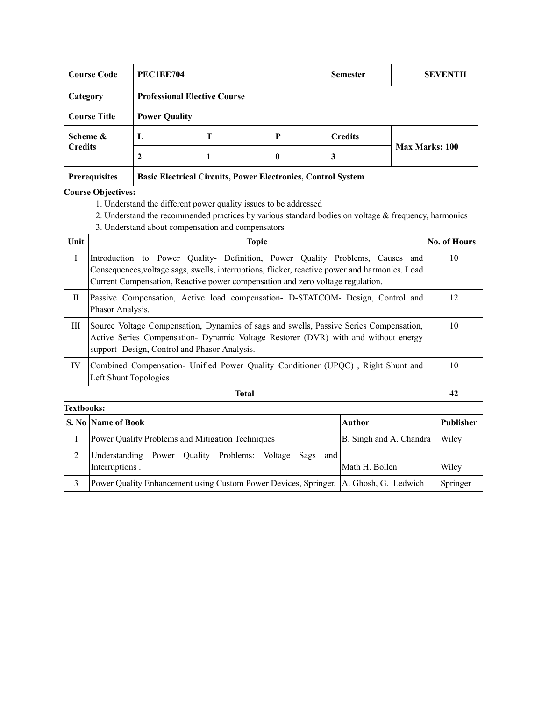| <b>Course Code</b>   | PEC1EE704                                                           |                                     | <b>Semester</b>  | <b>SEVENTH</b> |                |  |  |
|----------------------|---------------------------------------------------------------------|-------------------------------------|------------------|----------------|----------------|--|--|
| Category             |                                                                     | <b>Professional Elective Course</b> |                  |                |                |  |  |
| <b>Course Title</b>  | <b>Power Quality</b>                                                |                                     |                  |                |                |  |  |
| Scheme &             | L                                                                   | Т                                   | P                | <b>Credits</b> |                |  |  |
| <b>Credits</b>       | 2                                                                   |                                     | $\boldsymbol{0}$ | 3              | Max Marks: 100 |  |  |
| <b>Prerequisites</b> | <b>Basic Electrical Circuits, Power Electronics, Control System</b> |                                     |                  |                |                |  |  |

- 1. Understand the different power quality issues to be addressed
- 2. Understand the recommended practices by various standard bodies on voltage & frequency, harmonics
- 3. Understand about compensation and compensators

| Unit | <b>Topic</b>                                                                                                                                                                                                                                                      | <b>No. of Hours</b> |
|------|-------------------------------------------------------------------------------------------------------------------------------------------------------------------------------------------------------------------------------------------------------------------|---------------------|
| Ι    | Introduction to Power Quality- Definition, Power Quality Problems, Causes and<br>Consequences, voltage sags, swells, interruptions, flicker, reactive power and harmonics. Load<br>Current Compensation, Reactive power compensation and zero voltage regulation. | 10                  |
| П    | Passive Compensation, Active load compensation- D-STATCOM- Design, Control and<br>Phasor Analysis.                                                                                                                                                                | 12                  |
| Ш    | Source Voltage Compensation, Dynamics of sags and swells, Passive Series Compensation,<br>Active Series Compensation- Dynamic Voltage Restorer (DVR) with and without energy<br>support- Design, Control and Phasor Analysis.                                     | 10                  |
| IV   | Combined Compensation- Unified Power Quality Conditioner (UPQC), Right Shunt and<br>Left Shunt Topologies                                                                                                                                                         | 10                  |
|      | <b>Total</b>                                                                                                                                                                                                                                                      | 42                  |

| <b>S. No Name of Book</b>                                                              | Author                  | Publisher |
|----------------------------------------------------------------------------------------|-------------------------|-----------|
| Power Quality Problems and Mitigation Techniques                                       | B. Singh and A. Chandra | Wiley     |
| Understanding Power Quality Problems: Voltage Sags<br>and<br>Interruptions.            | Math H. Bollen          | Wiley     |
| Power Quality Enhancement using Custom Power Devices, Springer.   A. Ghosh, G. Ledwich |                         | Springer  |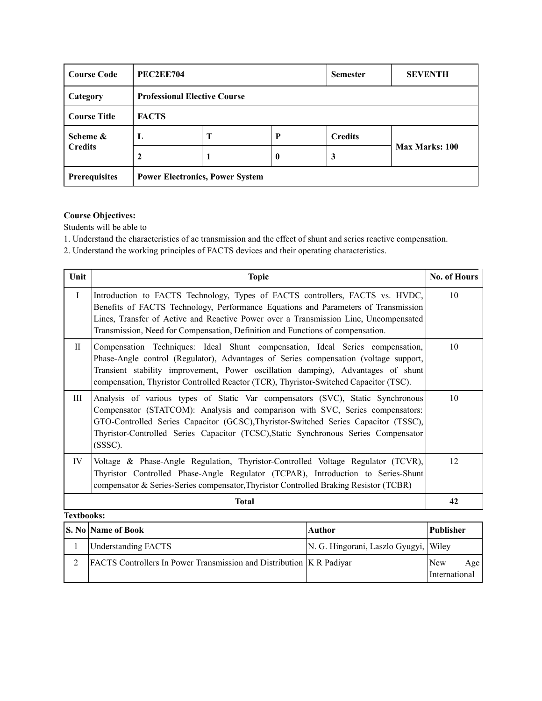| <b>Course Code</b>   |                                        | <b>PEC2EE704</b>                    |                  |                | <b>SEVENTH</b> |  |  |
|----------------------|----------------------------------------|-------------------------------------|------------------|----------------|----------------|--|--|
| Category             |                                        | <b>Professional Elective Course</b> |                  |                |                |  |  |
| <b>Course Title</b>  | <b>FACTS</b>                           |                                     |                  |                |                |  |  |
| Scheme &             | L                                      | T                                   | $\mathbf{P}$     | <b>Credits</b> |                |  |  |
| <b>Credits</b>       | 2                                      |                                     | $\boldsymbol{0}$ | 3              | Max Marks: 100 |  |  |
| <b>Prerequisites</b> | <b>Power Electronics, Power System</b> |                                     |                  |                |                |  |  |

Students will be able to

1. Understand the characteristics of ac transmission and the effect of shunt and series reactive compensation.

2. Understand the working principles of FACTS devices and their operating characteristics.

| Unit              | <b>Topic</b>                                                                                                                                                                                                                                                                                                                                                | <b>No. of Hours</b> |
|-------------------|-------------------------------------------------------------------------------------------------------------------------------------------------------------------------------------------------------------------------------------------------------------------------------------------------------------------------------------------------------------|---------------------|
| $\mathbf{I}$      | Introduction to FACTS Technology, Types of FACTS controllers, FACTS vs. HVDC,<br>Benefits of FACTS Technology, Performance Equations and Parameters of Transmission<br>Lines, Transfer of Active and Reactive Power over a Transmission Line, Uncompensated<br>Transmission, Need for Compensation, Definition and Functions of compensation.               | 10                  |
| $\rm{II}$         | Compensation Techniques: Ideal Shunt compensation, Ideal Series compensation,<br>Phase-Angle control (Regulator), Advantages of Series compensation (voltage support,<br>Transient stability improvement, Power oscillation damping), Advantages of shunt<br>compensation, Thyristor Controlled Reactor (TCR), Thyristor-Switched Capacitor (TSC).          | 10                  |
| Ш                 | Analysis of various types of Static Var compensators (SVC), Static Synchronous<br>Compensator (STATCOM): Analysis and comparison with SVC, Series compensators:<br>GTO-Controlled Series Capacitor (GCSC), Thyristor-Switched Series Capacitor (TSSC),<br>Thyristor-Controlled Series Capacitor (TCSC), Static Synchronous Series Compensator<br>$(SSSC)$ . | 10                  |
| IV                | Voltage & Phase-Angle Regulation, Thyristor-Controlled Voltage Regulator (TCVR),<br>Thyristor Controlled Phase-Angle Regulator (TCPAR), Introduction to Series-Shunt<br>compensator & Series-Series compensator, Thyristor Controlled Braking Resistor (TCBR)                                                                                               | 12                  |
|                   | <b>Total</b>                                                                                                                                                                                                                                                                                                                                                | 42                  |
| <b>Textbooks:</b> |                                                                                                                                                                                                                                                                                                                                                             |                     |

| <b>S. No Name of Book</b>                                                   | <b>Author</b>                         | <b>Publisher</b>                   |
|-----------------------------------------------------------------------------|---------------------------------------|------------------------------------|
| <b>Understanding FACTS</b>                                                  | N. G. Hingorani, Laszlo Gyugyi, Wiley |                                    |
| <b>FACTS</b> Controllers In Power Transmission and Distribution K R Padiyar |                                       | New<br>Age<br><i>International</i> |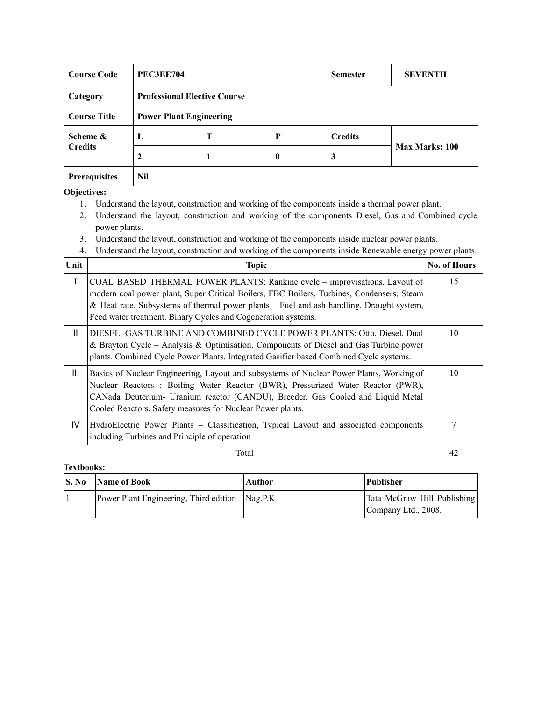| <b>Course Code</b>   | <b>PEC3EE704</b>               |                                     |          | <b>Semester</b> | <b>SEVENTH</b> |  |  |
|----------------------|--------------------------------|-------------------------------------|----------|-----------------|----------------|--|--|
| Category             |                                | <b>Professional Elective Course</b> |          |                 |                |  |  |
| <b>Course Title</b>  | <b>Power Plant Engineering</b> |                                     |          |                 |                |  |  |
| Scheme &             | L                              | Т                                   | P        | <b>Credits</b>  |                |  |  |
| <b>Credits</b>       |                                |                                     | $\bf{0}$ | 3               | Max Marks: 100 |  |  |
| <b>Prerequisites</b> | Nil                            |                                     |          |                 |                |  |  |

**Objectives:**

- 1. Understand the layout, construction and working of the components inside a thermal power plant.
- 2. Understand the layout, construction and working of the components Diesel, Gas and Combined cycle power plants.
- 3. Understand the layout, construction and working of the components inside nuclear power plants.
- 4. Understand the layout, construction and working of the components inside Renewable energy power plants.

| Unit         | Topic                                                                                                                                                                                                                                                                                                                                | <b>No. of Hours</b> |
|--------------|--------------------------------------------------------------------------------------------------------------------------------------------------------------------------------------------------------------------------------------------------------------------------------------------------------------------------------------|---------------------|
| I            | COAL BASED THERMAL POWER PLANTS: Rankine cycle - improvisations, Layout of<br>modern coal power plant, Super Critical Boilers, FBC Boilers, Turbines, Condensers, Steam<br>& Heat rate, Subsystems of thermal power plants – Fuel and ash handling, Draught system,<br>Feed water treatment. Binary Cycles and Cogeneration systems. | 15                  |
| $\mathbf{H}$ | DIESEL, GAS TURBINE AND COMBINED CYCLE POWER PLANTS: Otto, Diesel, Dual<br>& Brayton Cycle – Analysis & Optimisation. Components of Diesel and Gas Turbine power<br>plants. Combined Cycle Power Plants. Integrated Gasifier based Combined Cycle systems.                                                                           | 10                  |
| Ш            | Basics of Nuclear Engineering, Layout and subsystems of Nuclear Power Plants, Working of<br>Nuclear Reactors : Boiling Water Reactor (BWR), Pressurized Water Reactor (PWR),<br>CANada Deuterium- Uranium reactor (CANDU), Breeder, Gas Cooled and Liquid Metal<br>Cooled Reactors. Safety measures for Nuclear Power plants.        | 10                  |
| IV           | HydroElectric Power Plants – Classification, Typical Layout and associated components<br>including Turbines and Principle of operation                                                                                                                                                                                               | 7                   |
|              | Total                                                                                                                                                                                                                                                                                                                                | 42                  |

| S. No | <b>Name of Book</b>                            | Author | <b>Publisher</b>            |
|-------|------------------------------------------------|--------|-----------------------------|
|       | Power Plant Engineering, Third edition Nag.P.K |        | Tata McGraw Hill Publishing |
|       |                                                |        | Company Ltd., 2008.         |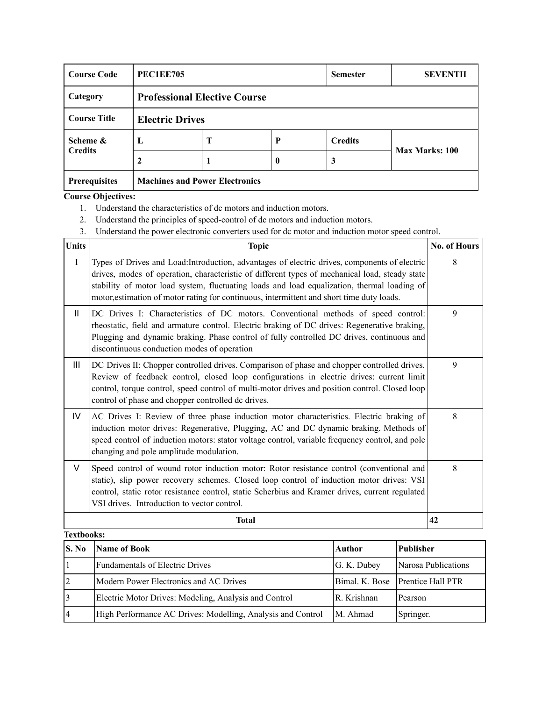| <b>Course Code</b>   | <b>PEC1EE705</b> |                                       |          | <b>Semester</b> | <b>SEVENTH</b>        |  |
|----------------------|------------------|---------------------------------------|----------|-----------------|-----------------------|--|
| Category             |                  | <b>Professional Elective Course</b>   |          |                 |                       |  |
| <b>Course Title</b>  |                  | <b>Electric Drives</b>                |          |                 |                       |  |
| Scheme &             | L                | T                                     | P        | <b>Credits</b>  |                       |  |
| <b>Credits</b>       |                  |                                       | $\bf{0}$ | 3               | <b>Max Marks: 100</b> |  |
| <b>Prerequisites</b> |                  | <b>Machines and Power Electronics</b> |          |                 |                       |  |

- 1. Understand the characteristics of dc motors and induction motors.
- 2. Understand the principles of speed-control of dc motors and induction motors.
- 3. Understand the power electronic converters used for dc motor and induction motor speed control.

| <b>Units</b>      | <b>Topic</b>                                                                                                                                                                                                                                                                                                                                                                                | No. of Hours |
|-------------------|---------------------------------------------------------------------------------------------------------------------------------------------------------------------------------------------------------------------------------------------------------------------------------------------------------------------------------------------------------------------------------------------|--------------|
| $\mathbf I$       | Types of Drives and Load: Introduction, advantages of electric drives, components of electric<br>drives, modes of operation, characteristic of different types of mechanical load, steady state<br>stability of motor load system, fluctuating loads and load equalization, thermal loading of<br>motor, estimation of motor rating for continuous, intermittent and short time duty loads. | 8            |
| $\mathbf{H}$      | DC Drives I: Characteristics of DC motors. Conventional methods of speed control:<br>rheostatic, field and armature control. Electric braking of DC drives: Regenerative braking,<br>Plugging and dynamic braking. Phase control of fully controlled DC drives, continuous and<br>discontinuous conduction modes of operation                                                               | 9            |
| Ш                 | DC Drives II: Chopper controlled drives. Comparison of phase and chopper controlled drives.<br>Review of feedback control, closed loop configurations in electric drives: current limit<br>control, torque control, speed control of multi-motor drives and position control. Closed loop<br>control of phase and chopper controlled dc drives.                                             | 9            |
| IV                | AC Drives I: Review of three phase induction motor characteristics. Electric braking of<br>induction motor drives: Regenerative, Plugging, AC and DC dynamic braking. Methods of<br>speed control of induction motors: stator voltage control, variable frequency control, and pole<br>changing and pole amplitude modulation.                                                              | 8            |
| $\vee$            | Speed control of wound rotor induction motor: Rotor resistance control (conventional and<br>static), slip power recovery schemes. Closed loop control of induction motor drives: VSI<br>control, static rotor resistance control, static Scherbius and Kramer drives, current regulated<br>VSI drives. Introduction to vector control.                                                      | 8            |
|                   | <b>Total</b>                                                                                                                                                                                                                                                                                                                                                                                | 42           |
| <b>Textbooks:</b> |                                                                                                                                                                                                                                                                                                                                                                                             |              |

| S. No          | Name of Book                                                | Author      | <b>Publisher</b>                 |
|----------------|-------------------------------------------------------------|-------------|----------------------------------|
|                | <b>Fundamentals of Electric Drives</b>                      | G. K. Dubey | Narosa Publications              |
| $\overline{2}$ | Modern Power Electronics and AC Drives                      |             | Bimal. K. Bose Prentice Hall PTR |
|                | Electric Motor Drives: Modeling, Analysis and Control       | R. Krishnan | Pearson                          |
| <sup>4</sup>   | High Performance AC Drives: Modelling, Analysis and Control | M. Ahmad    | Springer.                        |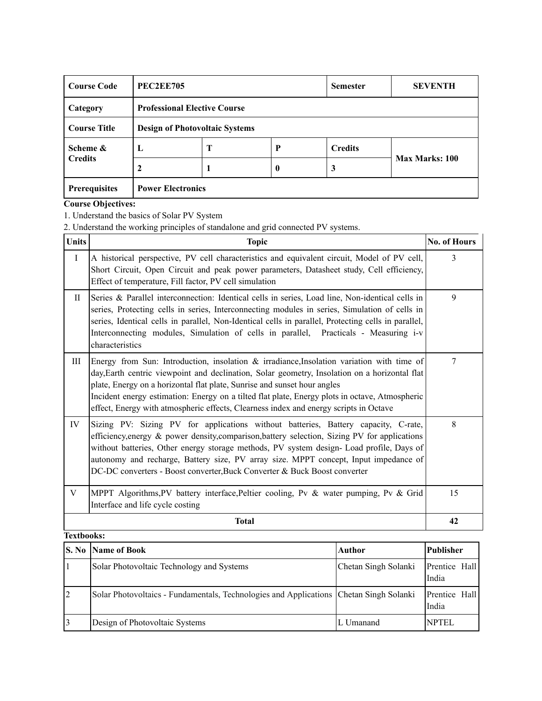| <b>Course Code</b>   | <b>PEC2EE705</b>                      |                                     |          | <b>Semester</b> | <b>SEVENTH</b> |  |
|----------------------|---------------------------------------|-------------------------------------|----------|-----------------|----------------|--|
| Category             |                                       | <b>Professional Elective Course</b> |          |                 |                |  |
| <b>Course Title</b>  | <b>Design of Photovoltaic Systems</b> |                                     |          |                 |                |  |
| Scheme &             | L                                     | Т                                   | P        | <b>Credits</b>  |                |  |
| <b>Credits</b>       |                                       |                                     | $\bf{0}$ | 3               | Max Marks: 100 |  |
| <b>Prerequisites</b> | <b>Power Electronics</b>              |                                     |          |                 |                |  |

1. Understand the basics of Solar PV System

2. Understand the working principles of standalone and grid connected PV systems.

| <b>Units</b> | <b>Topic</b>                                                                                                                                                                                                                                                                                                                                                                                                                                                         | No. of Hours |
|--------------|----------------------------------------------------------------------------------------------------------------------------------------------------------------------------------------------------------------------------------------------------------------------------------------------------------------------------------------------------------------------------------------------------------------------------------------------------------------------|--------------|
| $\rm I$      | A historical perspective, PV cell characteristics and equivalent circuit, Model of PV cell,<br>Short Circuit, Open Circuit and peak power parameters, Datasheet study, Cell efficiency,<br>Effect of temperature, Fill factor, PV cell simulation                                                                                                                                                                                                                    | 3            |
| $\Pi$        | Series & Parallel interconnection: Identical cells in series, Load line, Non-identical cells in<br>series, Protecting cells in series, Interconnecting modules in series, Simulation of cells in<br>series, Identical cells in parallel, Non-Identical cells in parallel, Protecting cells in parallel,<br>Interconnecting modules, Simulation of cells in parallel, Practicals - Measuring i-v<br>characteristics                                                   | 9            |
| Ш            | Energy from Sun: Introduction, insolation $\&$ irradiance, Insolation variation with time of<br>day, Earth centric viewpoint and declination, Solar geometry, Insolation on a horizontal flat<br>plate, Energy on a horizontal flat plate, Sunrise and sunset hour angles<br>Incident energy estimation: Energy on a tilted flat plate, Energy plots in octave, Atmospheric<br>effect, Energy with atmospheric effects, Clearness index and energy scripts in Octave | 7            |
| IV           | Sizing PV: Sizing PV for applications without batteries, Battery capacity, C-rate,<br>efficiency, energy & power density, comparison, battery selection, Sizing PV for applications<br>without batteries, Other energy storage methods, PV system design- Load profile, Days of<br>autonomy and recharge, Battery size, PV array size. MPPT concept, Input impedance of<br>DC-DC converters - Boost converter, Buck Converter & Buck Boost converter                 | 8            |
| V            | MPPT Algorithms, PV battery interface, Peltier cooling, Pv & water pumping, Pv & Grid<br>Interface and life cycle costing                                                                                                                                                                                                                                                                                                                                            | 15           |
|              | <b>Total</b>                                                                                                                                                                                                                                                                                                                                                                                                                                                         | 42           |
| Toythoolze:  |                                                                                                                                                                                                                                                                                                                                                                                                                                                                      |              |

|                | Textdooks:                                                                             |                      |                        |  |  |  |  |  |
|----------------|----------------------------------------------------------------------------------------|----------------------|------------------------|--|--|--|--|--|
|                | <b>S. No</b> Name of Book                                                              | <b>Author</b>        | <b>Publisher</b>       |  |  |  |  |  |
|                | Solar Photovoltaic Technology and Systems                                              | Chetan Singh Solanki | Prentice Hall<br>India |  |  |  |  |  |
| $\overline{2}$ | Solar Photovoltaics - Fundamentals, Technologies and Applications Chetan Singh Solanki |                      | Prentice Hall<br>India |  |  |  |  |  |
| $\overline{3}$ | Design of Photovoltaic Systems                                                         | L Umanand            | <b>NPTEL</b>           |  |  |  |  |  |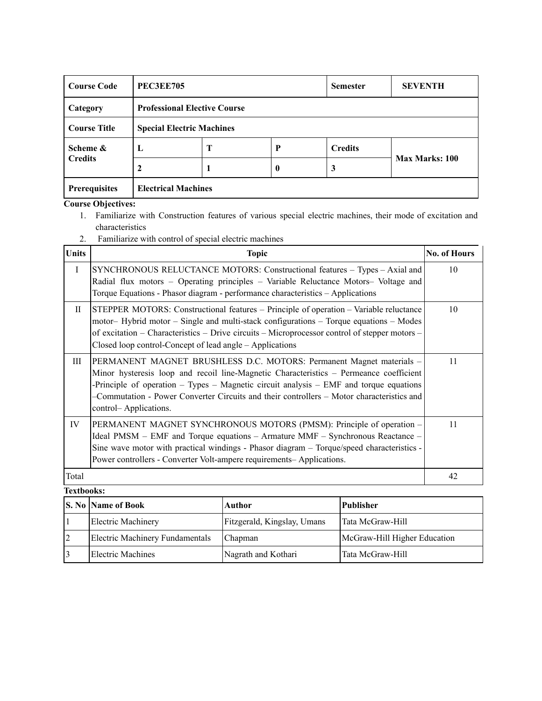| <b>Course Code</b>         | <b>PEC3EE705</b>                 |                                     |                  | <b>Semester</b> | <b>SEVENTH</b>        |  |
|----------------------------|----------------------------------|-------------------------------------|------------------|-----------------|-----------------------|--|
| Category                   |                                  | <b>Professional Elective Course</b> |                  |                 |                       |  |
| <b>Course Title</b>        | <b>Special Electric Machines</b> |                                     |                  |                 |                       |  |
| Scheme &<br><b>Credits</b> | L                                | T                                   | P                | <b>Credits</b>  |                       |  |
|                            | 2                                |                                     | $\boldsymbol{0}$ | 3               | <b>Max Marks: 100</b> |  |
| <b>Prerequisites</b>       | <b>Electrical Machines</b>       |                                     |                  |                 |                       |  |

- 1. Familiarize with Construction features of various special electric machines, their mode of excitation and characteristics
- 2. Familiarize with control of special electric machines

| <b>Units</b> | <b>Topic</b>                                                                                                                                                                                                                                                                                                                                                                         | <b>No. of Hours</b> |
|--------------|--------------------------------------------------------------------------------------------------------------------------------------------------------------------------------------------------------------------------------------------------------------------------------------------------------------------------------------------------------------------------------------|---------------------|
| $\mathbf{I}$ | SYNCHRONOUS RELUCTANCE MOTORS: Constructional features – Types – Axial and<br>Radial flux motors - Operating principles - Variable Reluctance Motors- Voltage and<br>Torque Equations - Phasor diagram - performance characteristics - Applications                                                                                                                                  | 10                  |
| $\mathbf{I}$ | STEPPER MOTORS: Constructional features – Principle of operation – Variable reluctance<br>motor – Hybrid motor – Single and multi-stack configurations – Torque equations – Modes<br>of excitation – Characteristics – Drive circuits – Microprocessor control of stepper motors –<br>Closed loop control-Concept of lead angle – Applications                                       | 10                  |
| Ш            | PERMANENT MAGNET BRUSHLESS D.C. MOTORS: Permanent Magnet materials -<br>Minor hysteresis loop and recoil line-Magnetic Characteristics – Permeance coefficient<br>-Principle of operation $-$ Types $-$ Magnetic circuit analysis $-$ EMF and torque equations<br>-Commutation - Power Converter Circuits and their controllers – Motor characteristics and<br>control-Applications. | 11                  |
| IV           | PERMANENT MAGNET SYNCHRONOUS MOTORS (PMSM): Principle of operation -<br>Ideal PMSM – EMF and Torque equations – Armature MMF – Synchronous Reactance –<br>Sine wave motor with practical windings - Phasor diagram – Torque/speed characteristics -<br>Power controllers - Converter Volt-ampere requirements- Applications.                                                         | 11                  |
| Total        |                                                                                                                                                                                                                                                                                                                                                                                      | 42                  |

| <b>Textbooks:</b> |                                 |                             |                              |  |  |  |  |
|-------------------|---------------------------------|-----------------------------|------------------------------|--|--|--|--|
|                   | <b>S. No Name of Book</b>       | Author                      | Publisher                    |  |  |  |  |
|                   | Electric Machinery              | Fitzgerald, Kingslay, Umans | Tata McGraw-Hill             |  |  |  |  |
|                   | Electric Machinery Fundamentals | Chapman                     | McGraw-Hill Higher Education |  |  |  |  |
|                   | Electric Machines               | Nagrath and Kothari         | Tata McGraw-Hill             |  |  |  |  |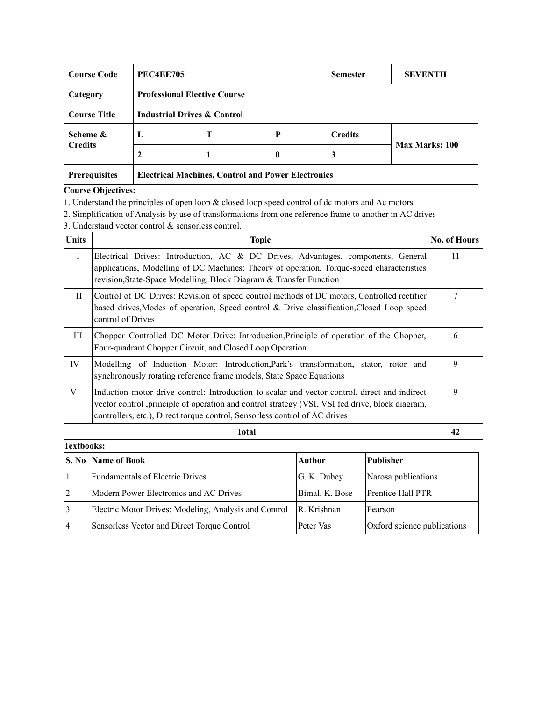| <b>Course Code</b>  | <b>PEC4EE705</b>                                          |                                     |   | <b>Semester</b> | <b>SEVENTH</b> |
|---------------------|-----------------------------------------------------------|-------------------------------------|---|-----------------|----------------|
| Category            |                                                           | <b>Professional Elective Course</b> |   |                 |                |
| <b>Course Title</b> | <b>Industrial Drives &amp; Control</b>                    |                                     |   |                 |                |
| Scheme &            | L                                                         | Т                                   | P | <b>Credits</b>  |                |
| <b>Credits</b>      |                                                           |                                     | 0 | 3               | Max Marks: 100 |
| Prerequisites       | <b>Electrical Machines, Control and Power Electronics</b> |                                     |   |                 |                |

- 1. Understand the principles of open loop & closed loop speed control of dc motors and Ac motors.
- 2. Simplification of Analysis by use of transformations from one reference frame to another in AC drives
- 3. Understand vector control & sensorless control.

| Units             | <b>Topic</b>                                                                                                                                                                                                                                                                    | <b>No. of Hours</b> |
|-------------------|---------------------------------------------------------------------------------------------------------------------------------------------------------------------------------------------------------------------------------------------------------------------------------|---------------------|
| $\mathbf{I}$      | Electrical Drives: Introduction, AC & DC Drives, Advantages, components, General<br>applications, Modelling of DC Machines: Theory of operation, Torque-speed characteristics<br>revision, State-Space Modelling, Block Diagram & Transfer Function                             | 11                  |
| $\mathbf{H}$      | Control of DC Drives: Revision of speed control methods of DC motors, Controlled rectifier<br>based drives, Modes of operation, Speed control & Drive classification, Closed Loop speed<br>control of Drives                                                                    | 7                   |
| Ш                 | Chopper Controlled DC Motor Drive: Introduction, Principle of operation of the Chopper,<br>Four-quadrant Chopper Circuit, and Closed Loop Operation.                                                                                                                            | 6                   |
| IV                | Modelling of Induction Motor: Introduction, Park's transformation, stator, rotor and<br>synchronously rotating reference frame models, State Space Equations                                                                                                                    | 9                   |
| V                 | Induction motor drive control: Introduction to scalar and vector control, direct and indirect<br>vector control , principle of operation and control strategy (VSI, VSI fed drive, block diagram,<br>controllers, etc.), Direct torque control, Sensorless control of AC drives | 9                   |
|                   | Total                                                                                                                                                                                                                                                                           | 42                  |
| <b>Textbooks:</b> |                                                                                                                                                                                                                                                                                 |                     |

|                | <b>S. No Name of Book</b>                             | Author         | <b>Publisher</b>            |
|----------------|-------------------------------------------------------|----------------|-----------------------------|
|                | Fundamentals of Electric Drives                       | G. K. Dubey    | Narosa publications         |
| 2              | Modern Power Electronics and AC Drives                | Bimal. K. Bose | Prentice Hall PTR           |
| 3              | Electric Motor Drives: Modeling, Analysis and Control | R. Krishnan    | Pearson                     |
| $\overline{4}$ | Sensorless Vector and Direct Torque Control           | Peter Vas      | Oxford science publications |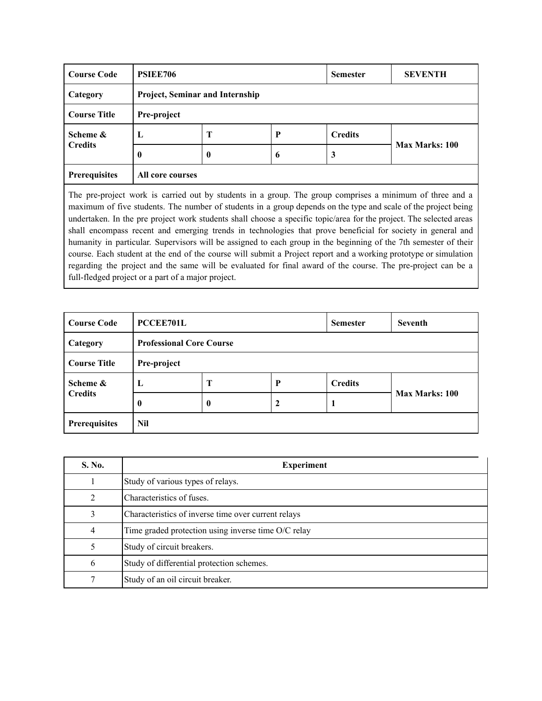| <b>Course Code</b>  | PSIEE706         |                                 |    |                | <b>SEVENTH</b> |  |  |
|---------------------|------------------|---------------------------------|----|----------------|----------------|--|--|
| Category            |                  | Project, Seminar and Internship |    |                |                |  |  |
| <b>Course Title</b> |                  | Pre-project                     |    |                |                |  |  |
| Scheme &            | L                | Т                               | P  | <b>Credits</b> |                |  |  |
| <b>Credits</b>      | 0                | 0                               | -6 | 3              | Max Marks: 100 |  |  |
| Prerequisites       | All core courses |                                 |    |                |                |  |  |

The pre-project work is carried out by students in a group. The group comprises a minimum of three and a maximum of five students. The number of students in a group depends on the type and scale of the project being undertaken. In the pre project work students shall choose a specific topic/area for the project. The selected areas shall encompass recent and emerging trends in technologies that prove beneficial for society in general and humanity in particular. Supervisors will be assigned to each group in the beginning of the 7th semester of their course. Each student at the end of the course will submit a Project report and a working prototype or simulation regarding the project and the same will be evaluated for final award of the course. The pre-project can be a full-fledged project or a part of a major project.

| <b>Course Code</b>  | <b>PCCEE701L</b> |                                 |             | <b>Semester</b> | <b>Seventh</b> |  |  |
|---------------------|------------------|---------------------------------|-------------|-----------------|----------------|--|--|
| Category            |                  | <b>Professional Core Course</b> |             |                 |                |  |  |
| <b>Course Title</b> | Pre-project      |                                 |             |                 |                |  |  |
| Scheme &            | L                | Т                               | P           | <b>Credits</b>  |                |  |  |
| <b>Credits</b>      | $\mathbf{0}$     | $\bf{0}$                        | $\mathbf 2$ | 1               | Max Marks: 100 |  |  |
| Prerequisites       | <b>Nil</b>       |                                 |             |                 |                |  |  |

| S. No.                      | <b>Experiment</b>                                   |
|-----------------------------|-----------------------------------------------------|
|                             | Study of various types of relays.                   |
| $\mathcal{D}_{\mathcal{L}}$ | Characteristics of fuses.                           |
| 3                           | Characteristics of inverse time over current relays |
| 4                           | Time graded protection using inverse time O/C relay |
|                             | Study of circuit breakers.                          |
| 6                           | Study of differential protection schemes.           |
|                             | Study of an oil circuit breaker.                    |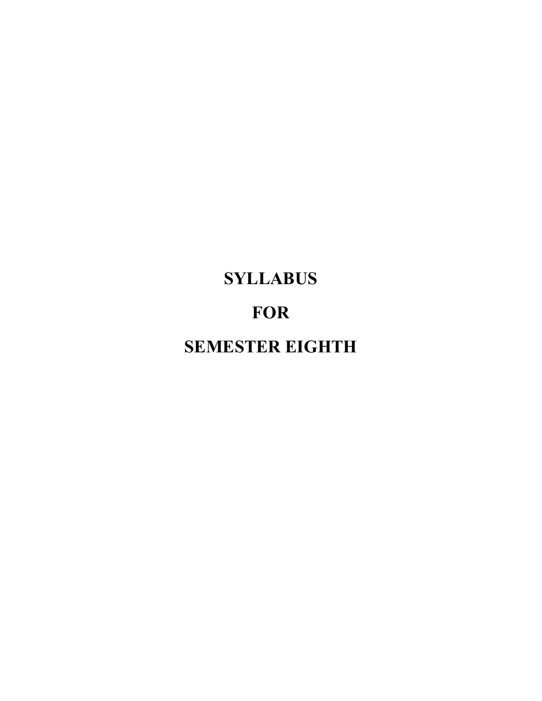# **SYLLABUS FOR SEMESTER EIGHTH**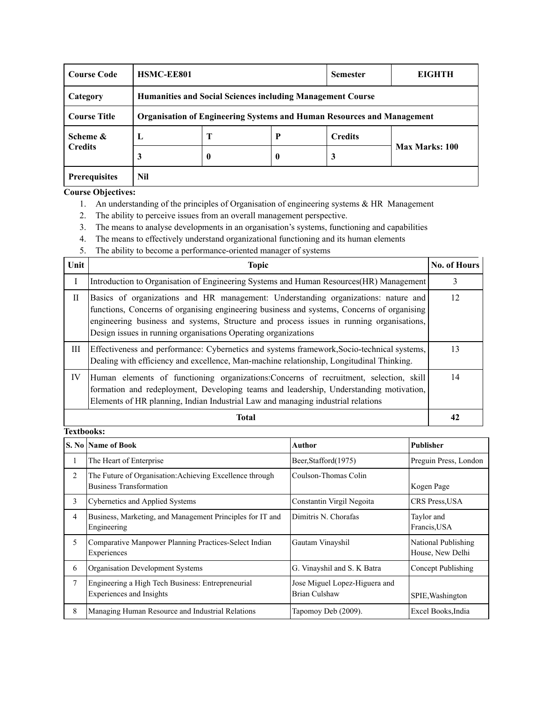| <b>Course Code</b>   | HSMC-EE801                                                                    |                                                                   |                  | <b>Semester</b> | <b>EIGHTH</b>  |  |  |  |
|----------------------|-------------------------------------------------------------------------------|-------------------------------------------------------------------|------------------|-----------------|----------------|--|--|--|
| Category             |                                                                               | <b>Humanities and Social Sciences including Management Course</b> |                  |                 |                |  |  |  |
| <b>Course Title</b>  | <b>Organisation of Engineering Systems and Human Resources and Management</b> |                                                                   |                  |                 |                |  |  |  |
| Scheme &             | Ъ.                                                                            | Т                                                                 | P                | <b>Credits</b>  |                |  |  |  |
| <b>Credits</b>       | 3                                                                             | 0                                                                 | $\boldsymbol{0}$ | 3               | Max Marks: 100 |  |  |  |
| <b>Prerequisites</b> | Nil                                                                           |                                                                   |                  |                 |                |  |  |  |

- 1. An understanding of the principles of Organisation of engineering systems & HR Management
- 2. The ability to perceive issues from an overall management perspective.
- 3. The means to analyse developments in an organisation's systems, functioning and capabilities
- 4. The means to effectively understand organizational functioning and its human elements
- 5. The ability to become a performance-oriented manager of systems

| Unit        | <b>Topic</b>                                                                                                                                                                                                                                                                                                                                   | No. of Hours |
|-------------|------------------------------------------------------------------------------------------------------------------------------------------------------------------------------------------------------------------------------------------------------------------------------------------------------------------------------------------------|--------------|
|             | Introduction to Organisation of Engineering Systems and Human Resources(HR) Management                                                                                                                                                                                                                                                         | 3            |
| $_{\rm II}$ | Basics of organizations and HR management: Understanding organizations: nature and<br>functions, Concerns of organising engineering business and systems, Concerns of organising<br>engineering business and systems, Structure and process issues in running organisations,<br>Design issues in running organisations Operating organizations | 12           |
| Ш           | Effectiveness and performance: Cybernetics and systems framework, Socio-technical systems,<br>Dealing with efficiency and excellence, Man-machine relationship, Longitudinal Thinking.                                                                                                                                                         | 13           |
| IV          | Human elements of functioning organizations: Concerns of recruitment, selection, skill<br>formation and redeployment, Developing teams and leadership, Understanding motivation,<br>Elements of HR planning, Indian Industrial Law and managing industrial relations                                                                           | 14           |
|             | Total                                                                                                                                                                                                                                                                                                                                          |              |

|                | S. No   Name of Book                                                                       | Author                                         | Publisher                               |
|----------------|--------------------------------------------------------------------------------------------|------------------------------------------------|-----------------------------------------|
| $\perp$        | The Heart of Enterprise                                                                    | Beer, Stafford (1975)                          | Preguin Press, London                   |
| 2              | The Future of Organisation: Achieving Excellence through<br><b>Business Transformation</b> | Coulson-Thomas Colin                           | Kogen Page                              |
| 3              | Cybernetics and Applied Systems                                                            | Constantin Virgil Negoita                      | CRS Press, USA                          |
| 4              | Business, Marketing, and Management Principles for IT and<br>Engineering                   | Dimitris N. Chorafas                           | Taylor and<br>Francis, USA              |
| 5              | Comparative Manpower Planning Practices-Select Indian<br>Experiences                       | Gautam Vinayshil                               | National Publishing<br>House, New Delhi |
| 6              | Organisation Development Systems                                                           | G. Vinayshil and S. K Batra                    | Concept Publishing                      |
| $\overline{7}$ | Engineering a High Tech Business: Entrepreneurial<br>Experiences and Insights              | Jose Miguel Lopez-Higuera and<br>Brian Culshaw | SPIE, Washington                        |
| 8              | Managing Human Resource and Industrial Relations                                           | Tapomoy Deb (2009).                            | Excel Books, India                      |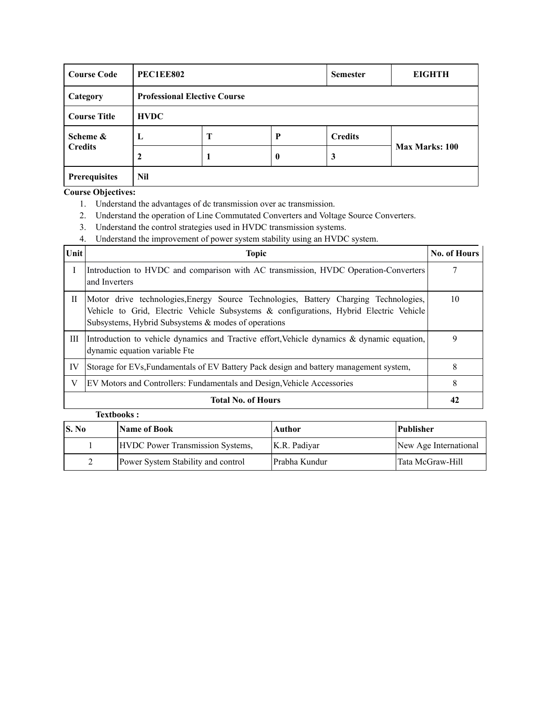| <b>Course Code</b>         | <b>PEC1EE802</b> |                                     |          |                | <b>EIGHTH</b>         |  |  |
|----------------------------|------------------|-------------------------------------|----------|----------------|-----------------------|--|--|
| Category                   |                  | <b>Professional Elective Course</b> |          |                |                       |  |  |
| <b>Course Title</b>        | <b>HVDC</b>      |                                     |          |                |                       |  |  |
| Scheme &<br><b>Credits</b> | L                | Т                                   | P        | <b>Credits</b> |                       |  |  |
|                            |                  |                                     | $\bf{0}$ | 3              | <b>Max Marks: 100</b> |  |  |
| <b>Prerequisites</b>       | Nil              |                                     |          |                |                       |  |  |

- 1. Understand the advantages of dc transmission over ac transmission.
- 2. Understand the operation of Line Commutated Converters and Voltage Source Converters.
- 3. Understand the control strategies used in HVDC transmission systems.
- 4. Understand the improvement of power system stability using an HVDC system.

| Unit         | <b>Topic</b>                                                                                                                                                                                                                          | <b>No. of Hours</b> |
|--------------|---------------------------------------------------------------------------------------------------------------------------------------------------------------------------------------------------------------------------------------|---------------------|
|              | Introduction to HVDC and comparison with AC transmission, HVDC Operation-Converters<br>and Inverters                                                                                                                                  |                     |
| $\mathbf{H}$ | Motor drive technologies, Energy Source Technologies, Battery Charging Technologies,<br>Vehicle to Grid, Electric Vehicle Subsystems & configurations, Hybrid Electric Vehicle<br>Subsystems, Hybrid Subsystems & modes of operations | 10                  |
| Ш            | Introduction to vehicle dynamics and Tractive effort, Vehicle dynamics & dynamic equation,<br>dynamic equation variable Fte                                                                                                           | 9                   |
| IV           | Storage for EVs, Fundamentals of EV Battery Pack design and battery management system,                                                                                                                                                | 8                   |
| V            | EV Motors and Controllers: Fundamentals and Design, Vehicle Accessories                                                                                                                                                               | 8                   |
|              | <b>Total No. of Hours</b>                                                                                                                                                                                                             | 42                  |

| <b>S.</b> No | <b>Name of Book</b>                     | Author        | Publisher             |
|--------------|-----------------------------------------|---------------|-----------------------|
|              | <b>HVDC</b> Power Transmission Systems, | K.R. Padiyar  | New Age International |
|              | Power System Stability and control      | Prabha Kundur | Tata McGraw-Hill      |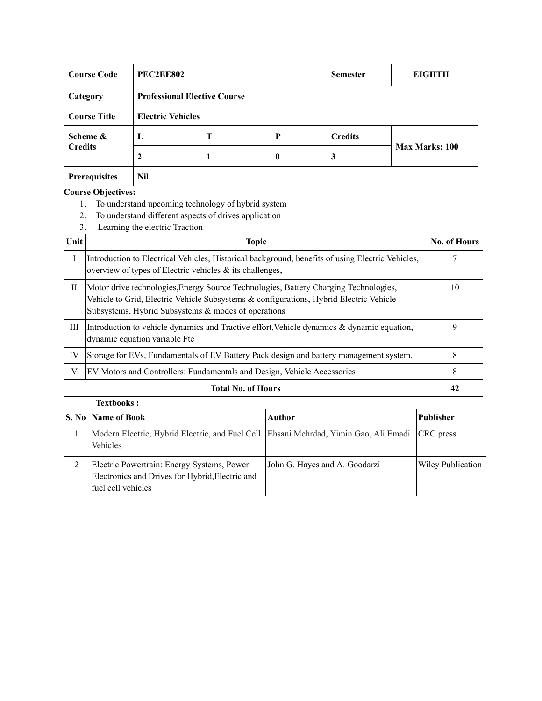| <b>Course Code</b>  | <b>PEC2EE802</b> |                                     |                  | <b>Semester</b> | <b>EIGHTH</b>         |  |  |
|---------------------|------------------|-------------------------------------|------------------|-----------------|-----------------------|--|--|
| Category            |                  | <b>Professional Elective Course</b> |                  |                 |                       |  |  |
| <b>Course Title</b> |                  | <b>Electric Vehicles</b>            |                  |                 |                       |  |  |
| Scheme &            | L                | Т                                   | P                | <b>Credits</b>  |                       |  |  |
| <b>Credits</b>      |                  |                                     | $\boldsymbol{0}$ | 3               | <b>Max Marks: 100</b> |  |  |
| Prerequisites       | Nil              |                                     |                  |                 |                       |  |  |

- 1. To understand upcoming technology of hybrid system
- 2. To understand different aspects of drives application
- 3. Learning the electric Traction

| Unit         | <b>Topic</b>                                                                                                                                                                                                                             | No. of Hours |
|--------------|------------------------------------------------------------------------------------------------------------------------------------------------------------------------------------------------------------------------------------------|--------------|
| $\mathbf{I}$ | Introduction to Electrical Vehicles, Historical background, benefits of using Electric Vehicles,<br>overview of types of Electric vehicles & its challenges,                                                                             |              |
| П            | Motor drive technologies, Energy Source Technologies, Battery Charging Technologies,<br>Vehicle to Grid, Electric Vehicle Subsystems $\&$ configurations, Hybrid Electric Vehicle<br>Subsystems, Hybrid Subsystems & modes of operations | 10           |
| Ш            | Introduction to vehicle dynamics and Tractive effort, Vehicle dynamics & dynamic equation,<br>dynamic equation variable Fte                                                                                                              | 9            |
| IV           | Storage for EVs, Fundamentals of EV Battery Pack design and battery management system,                                                                                                                                                   | 8            |
| V            | EV Motors and Controllers: Fundamentals and Design, Vehicle Accessories                                                                                                                                                                  | 8            |
|              | <b>Total No. of Hours</b>                                                                                                                                                                                                                | 42           |

| <b>S. No Name of Book</b>                                                                                           | Author                        | <b>Publisher</b>  |
|---------------------------------------------------------------------------------------------------------------------|-------------------------------|-------------------|
| Modern Electric, Hybrid Electric, and Fuel Cell Ehsani Mehrdad, Yimin Gao, Ali Emadi CRC press<br>Vehicles          |                               |                   |
| Electric Powertrain: Energy Systems, Power<br>Electronics and Drives for Hybrid, Electric and<br>fuel cell vehicles | John G. Hayes and A. Goodarzi | Wiley Publication |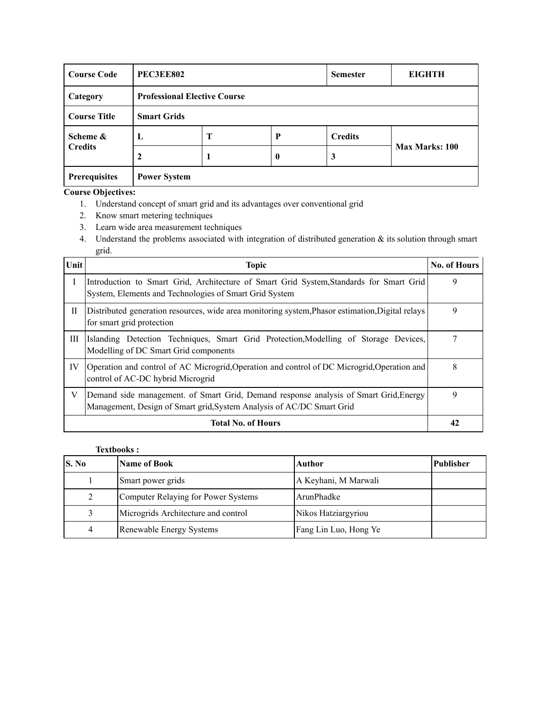| <b>Course Code</b>   | <b>PEC3EE802</b>    |                                     |          | <b>Semester</b> | <b>EIGHTH</b>         |  |  |
|----------------------|---------------------|-------------------------------------|----------|-----------------|-----------------------|--|--|
| Category             |                     | <b>Professional Elective Course</b> |          |                 |                       |  |  |
| <b>Course Title</b>  | <b>Smart Grids</b>  |                                     |          |                 |                       |  |  |
| Scheme &             | $\mathbf{L}$        | Т                                   | P        | <b>Credits</b>  |                       |  |  |
| <b>Credits</b>       |                     |                                     | $\bf{0}$ | 3               | <b>Max Marks: 100</b> |  |  |
| <b>Prerequisites</b> | <b>Power System</b> |                                     |          |                 |                       |  |  |

- 1. Understand concept of smart grid and its advantages over conventional grid
- 2. Know smart metering techniques
- 3. Learn wide area measurement techniques
- 4. Understand the problems associated with integration of distributed generation & its solution through smart grid.

| Unit         | <b>Topic</b>                                                                                                                                                   | <b>No. of Hours</b> |
|--------------|----------------------------------------------------------------------------------------------------------------------------------------------------------------|---------------------|
|              | Introduction to Smart Grid, Architecture of Smart Grid System, Standards for Smart Grid<br>System, Elements and Technologies of Smart Grid System              | 9                   |
| $\mathbf{H}$ | Distributed generation resources, wide area monitoring system, Phasor estimation, Digital relays<br>for smart grid protection                                  | 9                   |
| Ш            | Islanding Detection Techniques, Smart Grid Protection, Modelling of Storage Devices,<br>Modelling of DC Smart Grid components                                  |                     |
| IV           | Operation and control of AC Microgrid, Operation and control of DC Microgrid, Operation and<br>control of AC-DC hybrid Microgrid                               | 8                   |
| V            | Demand side management. of Smart Grid, Demand response analysis of Smart Grid, Energy<br>Management, Design of Smart grid, System Analysis of AC/DC Smart Grid | 9                   |
|              | <b>Total No. of Hours</b>                                                                                                                                      | 42                  |

| S. No          | <b>Name of Book</b>                 | Author                | Publisher |
|----------------|-------------------------------------|-----------------------|-----------|
|                | Smart power grids                   | A Keyhani, M Marwali  |           |
| 2              | Computer Relaying for Power Systems | ArunPhadke            |           |
|                | Microgrids Architecture and control | Nikos Hatziargyriou   |           |
| $\overline{4}$ | Renewable Energy Systems            | Fang Lin Luo, Hong Ye |           |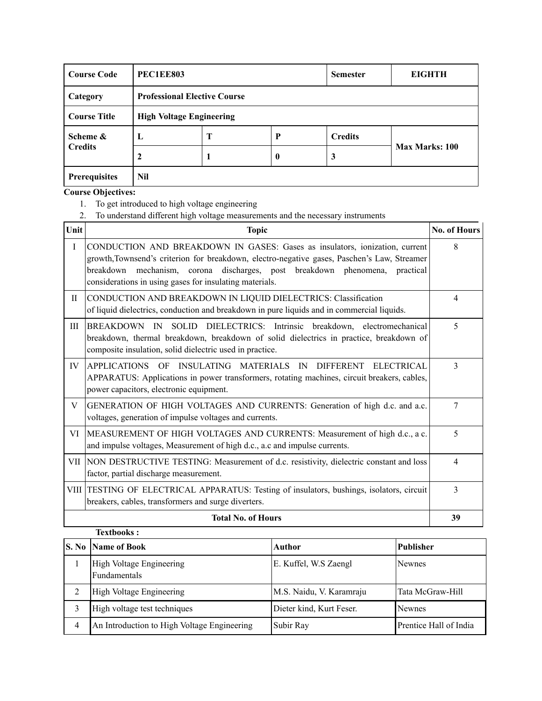| <b>Course Code</b>  | <b>PEC1EE803</b> |                                     |          | <b>Semester</b> | <b>EIGHTH</b>  |  |  |
|---------------------|------------------|-------------------------------------|----------|-----------------|----------------|--|--|
| Category            |                  | <b>Professional Elective Course</b> |          |                 |                |  |  |
| <b>Course Title</b> |                  | <b>High Voltage Engineering</b>     |          |                 |                |  |  |
| Scheme &            | Ъ.               | Т                                   | P        | <b>Credits</b>  |                |  |  |
| <b>Credits</b>      |                  |                                     | $\bf{0}$ | 3               | Max Marks: 100 |  |  |
| Prerequisites       | Nil              |                                     |          |                 |                |  |  |

- 1. To get introduced to high voltage engineering
- 2. To understand different high voltage measurements and the necessary instruments

| Unit        | <b>Topic</b>                                                                                                                                                                                                                                                                                                         | No. of Hours             |
|-------------|----------------------------------------------------------------------------------------------------------------------------------------------------------------------------------------------------------------------------------------------------------------------------------------------------------------------|--------------------------|
| $\mathbf I$ | CONDUCTION AND BREAKDOWN IN GASES: Gases as insulators, ionization, current<br>growth, Townsend's criterion for breakdown, electro-negative gases, Paschen's Law, Streamer<br>breakdown mechanism, corona discharges, post breakdown phenomena, practical<br>considerations in using gases for insulating materials. | 8                        |
| П           | CONDUCTION AND BREAKDOWN IN LIQUID DIELECTRICS: Classification<br>of liquid dielectrics, conduction and breakdown in pure liquids and in commercial liquids.                                                                                                                                                         | $\overline{4}$           |
| Ш           | BREAKDOWN IN SOLID DIELECTRICS: Intrinsic breakdown, electromechanical<br>breakdown, thermal breakdown, breakdown of solid dielectrics in practice, breakdown of<br>composite insulation, solid dielectric used in practice.                                                                                         | 5                        |
| IV          | APPLICATIONS OF INSULATING MATERIALS IN DIFFERENT ELECTRICAL<br>APPARATUS: Applications in power transformers, rotating machines, circuit breakers, cables,<br>power capacitors, electronic equipment.                                                                                                               | 3                        |
| V           | GENERATION OF HIGH VOLTAGES AND CURRENTS: Generation of high d.c. and a.c.<br>voltages, generation of impulse voltages and currents.                                                                                                                                                                                 | 7                        |
| VI          | MEASUREMENT OF HIGH VOLTAGES AND CURRENTS: Measurement of high d.c., a c.<br>and impulse voltages, Measurement of high d.c., a.c and impulse currents.                                                                                                                                                               | $\overline{5}$           |
|             | VII NON DESTRUCTIVE TESTING: Measurement of d.c. resistivity, dielectric constant and loss<br>factor, partial discharge measurement.                                                                                                                                                                                 | $\overline{\mathcal{A}}$ |
|             | VIII TESTING OF ELECTRICAL APPARATUS: Testing of insulators, bushings, isolators, circuit<br>breakers, cables, transformers and surge diverters.                                                                                                                                                                     | 3                        |
|             | <b>Total No. of Hours</b>                                                                                                                                                                                                                                                                                            | 39                       |

|   | <b>Textbooks:</b>                           |                          |                        |  |  |
|---|---------------------------------------------|--------------------------|------------------------|--|--|
|   | <b>S. No Name of Book</b>                   | Author                   | <b>Publisher</b>       |  |  |
|   | High Voltage Engineering<br>Fundamentals    | E. Kuffel, W.S Zaengl    | <b>Newnes</b>          |  |  |
|   | High Voltage Engineering                    | M.S. Naidu, V. Karamraju | Tata McGraw-Hill       |  |  |
| 3 | High voltage test techniques                | Dieter kind, Kurt Feser. | <b>Newnes</b>          |  |  |
| 4 | An Introduction to High Voltage Engineering | Subir Ray                | Prentice Hall of India |  |  |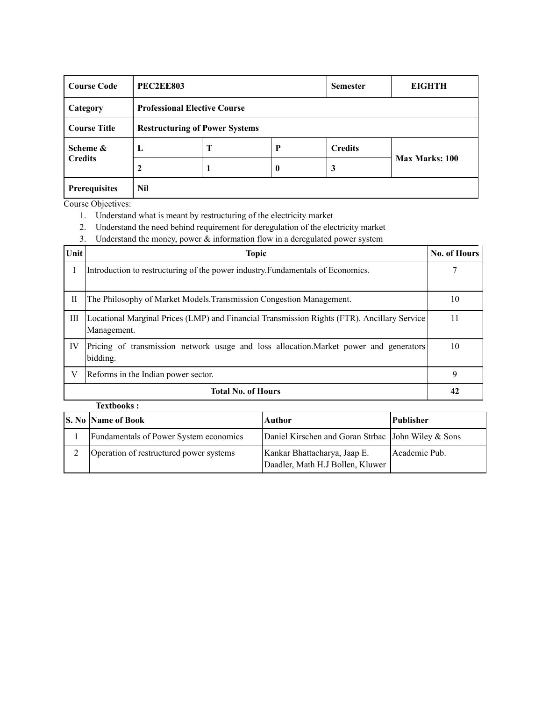| <b>Course Code</b>   | <b>PEC2EE803</b> |                                       |                  | <b>Semester</b> | <b>EIGHTH</b>         |  |  |
|----------------------|------------------|---------------------------------------|------------------|-----------------|-----------------------|--|--|
| Category             |                  | <b>Professional Elective Course</b>   |                  |                 |                       |  |  |
| <b>Course Title</b>  |                  | <b>Restructuring of Power Systems</b> |                  |                 |                       |  |  |
| Scheme &             | L                | T                                     | P                | <b>Credits</b>  |                       |  |  |
| <b>Credits</b>       | $\mathbf{2}$     |                                       | $\boldsymbol{0}$ | 3               | <b>Max Marks: 100</b> |  |  |
| <b>Prerequisites</b> | Nil              |                                       |                  |                 |                       |  |  |

- 1. Understand what is meant by restructuring of the electricity market
- 2. Understand the need behind requirement for deregulation of the electricity market
- 3. Understand the money, power & information flow in a deregulated power system

| Unit         | <b>Topic</b>                                                                                               | <b>No. of Hours</b> |
|--------------|------------------------------------------------------------------------------------------------------------|---------------------|
| I            | Introduction to restructuring of the power industry. Fundamentals of Economics.                            |                     |
| $\mathbf{I}$ | The Philosophy of Market Models. Transmission Congestion Management.                                       | 10                  |
| Ш            | Locational Marginal Prices (LMP) and Financial Transmission Rights (FTR). Ancillary Service<br>Management. | 11                  |
| IV           | Pricing of transmission network usage and loss allocation. Market power and generators<br>bidding.         | 10                  |
| V            | Reforms in the Indian power sector.                                                                        | 9                   |
|              | <b>Total No. of Hours</b>                                                                                  | 42                  |

| <b>Textbooks:</b> |  |
|-------------------|--|
|                   |  |

| S. No Name of Book                      | Author                                                           | Publisher     |
|-----------------------------------------|------------------------------------------------------------------|---------------|
| Fundamentals of Power System economics  | Daniel Kirschen and Goran Strbac John Wiley & Sons               |               |
| Operation of restructured power systems | Kankar Bhattacharya, Jaap E.<br>Daadler, Math H.J Bollen, Kluwer | Academic Pub. |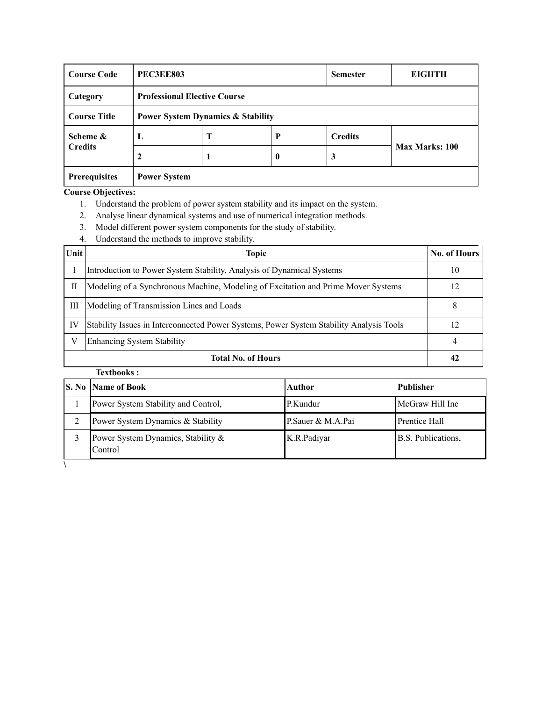| <b>Course Code</b>   | <b>PEC3EE803</b>    |                                              |          |                | <b>EIGHTH</b>  |  |  |
|----------------------|---------------------|----------------------------------------------|----------|----------------|----------------|--|--|
| Category             |                     | <b>Professional Elective Course</b>          |          |                |                |  |  |
| <b>Course Title</b>  |                     | <b>Power System Dynamics &amp; Stability</b> |          |                |                |  |  |
| Scheme &             | L                   | Т                                            | P        | <b>Credits</b> |                |  |  |
| <b>Credits</b>       |                     |                                              | $\bf{0}$ | 3              | Max Marks: 100 |  |  |
| <b>Prerequisites</b> | <b>Power System</b> |                                              |          |                |                |  |  |

- 1. Understand the problem of power system stability and its impact on the system.
- 2. Analyse linear dynamical systems and use of numerical integration methods.
- 3. Model different power system components for the study of stability.
- 4. Understand the methods to improve stability.

| Unit | <b>Topic</b>                                                                            | <b>No. of Hours</b> |
|------|-----------------------------------------------------------------------------------------|---------------------|
|      | Introduction to Power System Stability, Analysis of Dynamical Systems                   | 10                  |
| П    | Modeling of a Synchronous Machine, Modeling of Excitation and Prime Mover Systems       | 12                  |
| Ш    | Modeling of Transmission Lines and Loads                                                | x                   |
| IV   | Stability Issues in Interconnected Power Systems, Power System Stability Analysis Tools | 12                  |
| V    | Enhancing System Stability                                                              |                     |
|      | <b>Total No. of Hours</b>                                                               |                     |

| <b>S. No Name of Book</b>                     | Author            | <b>Publisher</b>     |
|-----------------------------------------------|-------------------|----------------------|
| Power System Stability and Control,           | P.Kundur          | McGraw Hill Inc      |
| Power System Dynamics & Stability             | P.Sauer & M.A.Pai | <b>Prentice Hall</b> |
| Power System Dynamics, Stability &<br>Control | K.R.Padiyar       | B.S. Publications,   |
|                                               |                   |                      |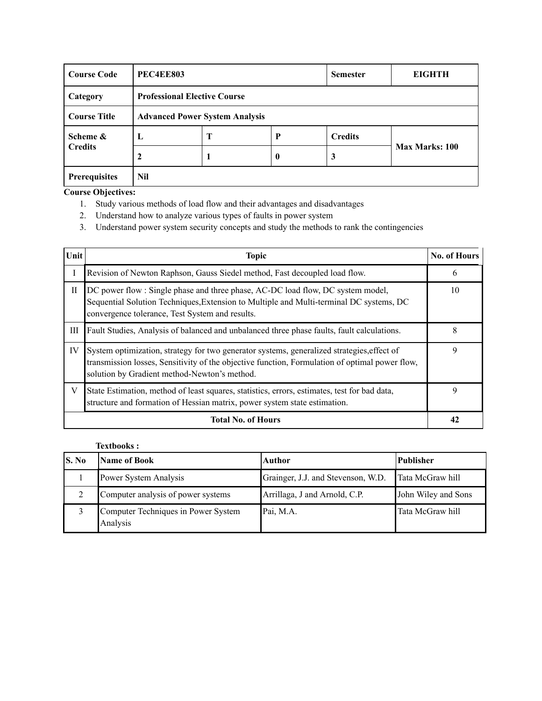| <b>Course Code</b>   | <b>PEC4EE803</b>                      |   |                  | <b>Semester</b> | <b>EIGHTH</b>  |
|----------------------|---------------------------------------|---|------------------|-----------------|----------------|
| Category             | <b>Professional Elective Course</b>   |   |                  |                 |                |
| <b>Course Title</b>  | <b>Advanced Power System Analysis</b> |   |                  |                 |                |
| Scheme &             | L                                     | Т | P                | <b>Credits</b>  | Max Marks: 100 |
| <b>Credits</b>       |                                       |   | $\boldsymbol{0}$ | 3               |                |
| <b>Prerequisites</b> | Nil                                   |   |                  |                 |                |

- 1. Study various methods of load flow and their advantages and disadvantages
- 2. Understand how to analyze various types of faults in power system
- 3. Understand power system security concepts and study the methods to rank the contingencies

| Unit      | <b>Topic</b>                                                                                                                                                                                                                                 |    |  |  |
|-----------|----------------------------------------------------------------------------------------------------------------------------------------------------------------------------------------------------------------------------------------------|----|--|--|
| Ι         | Revision of Newton Raphson, Gauss Siedel method, Fast decoupled load flow.                                                                                                                                                                   | 6  |  |  |
| $\rm{II}$ | DC power flow: Single phase and three phase, AC-DC load flow, DC system model,<br>Sequential Solution Techniques, Extension to Multiple and Multi-terminal DC systems, DC<br>convergence tolerance, Test System and results.                 | 10 |  |  |
| Ш         | Fault Studies, Analysis of balanced and unbalanced three phase faults, fault calculations.                                                                                                                                                   | 8  |  |  |
| IV        | System optimization, strategy for two generator systems, generalized strategies, effect of<br>transmission losses, Sensitivity of the objective function, Formulation of optimal power flow,<br>solution by Gradient method-Newton's method. | 9  |  |  |
| V         | State Estimation, method of least squares, statistics, errors, estimates, test for bad data,<br>structure and formation of Hessian matrix, power system state estimation.                                                                    | 9  |  |  |
|           | <b>Total No. of Hours</b>                                                                                                                                                                                                                    |    |  |  |

|       | <b>Textbooks:</b>                               |                                    |                     |  |
|-------|-------------------------------------------------|------------------------------------|---------------------|--|
| S. No | Name of Book                                    | Author                             | Publisher           |  |
|       | Power System Analysis                           | Grainger, J.J. and Stevenson, W.D. | Tata McGraw hill    |  |
|       | Computer analysis of power systems              | Arrillaga, J and Arnold, C.P.      | John Wiley and Sons |  |
|       | Computer Techniques in Power System<br>Analysis | Pai, M.A.                          | Tata McGraw hill    |  |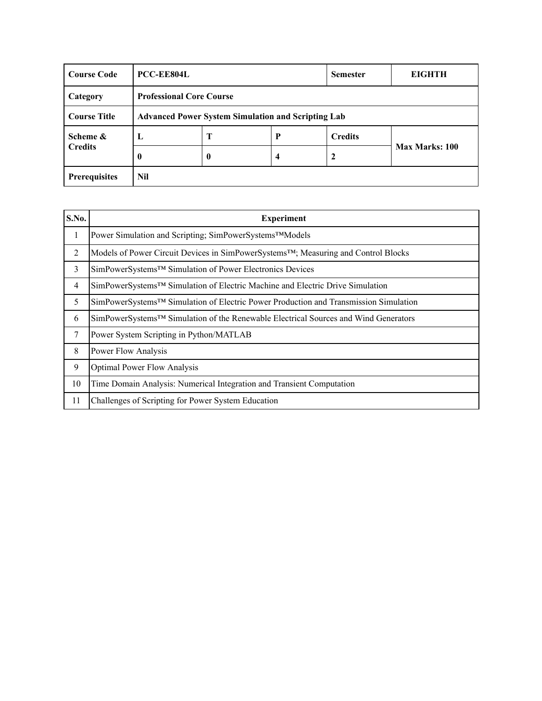| <b>Course Code</b>                                                               | PCC-EE804L                      |   |   | <b>Semester</b> | <b>EIGHTH</b>  |
|----------------------------------------------------------------------------------|---------------------------------|---|---|-----------------|----------------|
| Category                                                                         | <b>Professional Core Course</b> |   |   |                 |                |
| <b>Course Title</b><br><b>Advanced Power System Simulation and Scripting Lab</b> |                                 |   |   |                 |                |
| Scheme &                                                                         | ┺                               | Т | P | <b>Credits</b>  |                |
| <b>Credits</b>                                                                   | 0                               | 0 | 4 | 2               | Max Marks: 100 |
| <b>Prerequisites</b>                                                             | Nil                             |   |   |                 |                |

| S.No.          | <b>Experiment</b>                                                                               |
|----------------|-------------------------------------------------------------------------------------------------|
| 1              | Power Simulation and Scripting; SimPowerSystems™Models                                          |
| 2              | Models of Power Circuit Devices in SimPowerSystems <sup>TM</sup> ; Measuring and Control Blocks |
| 3              | SimPowerSystems <sup>TM</sup> Simulation of Power Electronics Devices                           |
| $\overline{4}$ | SimPowerSystems <sup>™</sup> Simulation of Electric Machine and Electric Drive Simulation       |
| 5              | SimPowerSystems™ Simulation of Electric Power Production and Transmission Simulation            |
| 6              | SimPowerSystems <sup>™</sup> Simulation of the Renewable Electrical Sources and Wind Generators |
| 7              | Power System Scripting in Python/MATLAB                                                         |
| 8              | Power Flow Analysis                                                                             |
| 9              | <b>Optimal Power Flow Analysis</b>                                                              |
| 10             | Time Domain Analysis: Numerical Integration and Transient Computation                           |
| 11             | Challenges of Scripting for Power System Education                                              |